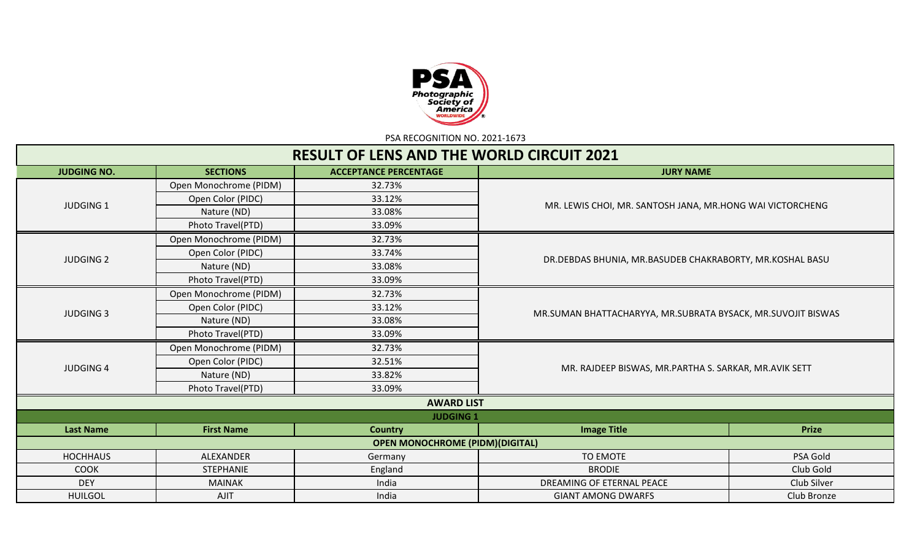

PSA RECOGNITION NO. 2021-1673

|                    |                        | <b>RESULT OF LENS AND THE WORLD CIRCUIT 2021</b> |                                                              |              |  |  |  |
|--------------------|------------------------|--------------------------------------------------|--------------------------------------------------------------|--------------|--|--|--|
| <b>JUDGING NO.</b> | <b>SECTIONS</b>        | <b>ACCEPTANCE PERCENTAGE</b>                     | <b>JURY NAME</b>                                             |              |  |  |  |
|                    | Open Monochrome (PIDM) | 32.73%                                           |                                                              |              |  |  |  |
|                    | Open Color (PIDC)      | 33.12%                                           | MR. LEWIS CHOI, MR. SANTOSH JANA, MR.HONG WAI VICTORCHENG    |              |  |  |  |
| <b>JUDGING 1</b>   | Nature (ND)            | 33.08%                                           |                                                              |              |  |  |  |
|                    | Photo Travel(PTD)      | 33.09%                                           |                                                              |              |  |  |  |
|                    | Open Monochrome (PIDM) | 32.73%                                           |                                                              |              |  |  |  |
|                    | Open Color (PIDC)      | 33.74%                                           | DR. DEBDAS BHUNIA, MR. BASUDEB CHAKRABORTY, MR. KOSHAL BASU  |              |  |  |  |
| <b>JUDGING 2</b>   | Nature (ND)            | 33.08%                                           |                                                              |              |  |  |  |
|                    | Photo Travel(PTD)      | 33.09%                                           |                                                              |              |  |  |  |
|                    | Open Monochrome (PIDM) | 32.73%                                           |                                                              |              |  |  |  |
|                    | Open Color (PIDC)      | 33.12%                                           |                                                              |              |  |  |  |
| <b>JUDGING 3</b>   | Nature (ND)            | 33.08%                                           | MR.SUMAN BHATTACHARYYA, MR.SUBRATA BYSACK, MR.SUVOJIT BISWAS |              |  |  |  |
|                    | Photo Travel(PTD)      | 33.09%                                           |                                                              |              |  |  |  |
|                    | Open Monochrome (PIDM) | 32.73%                                           |                                                              |              |  |  |  |
|                    | Open Color (PIDC)      | 32.51%                                           |                                                              |              |  |  |  |
| <b>JUDGING 4</b>   | Nature (ND)            | 33.82%                                           | MR. RAJDEEP BISWAS, MR. PARTHA S. SARKAR, MR. AVIK SETT      |              |  |  |  |
|                    | Photo Travel(PTD)      | 33.09%                                           |                                                              |              |  |  |  |
|                    |                        | <b>AWARD LIST</b>                                |                                                              |              |  |  |  |
|                    |                        | <b>JUDGING 1</b>                                 |                                                              |              |  |  |  |
| <b>Last Name</b>   | <b>First Name</b>      | <b>Country</b>                                   | <b>Image Title</b>                                           | <b>Prize</b> |  |  |  |
|                    |                        | <b>OPEN MONOCHROME (PIDM) (DIGITAL)</b>          |                                                              |              |  |  |  |
| <b>HOCHHAUS</b>    | ALEXANDER              | Germany                                          | <b>TO EMOTE</b>                                              | PSA Gold     |  |  |  |
| <b>COOK</b>        | <b>STEPHANIE</b>       | England                                          | <b>BRODIE</b>                                                | Club Gold    |  |  |  |
| <b>DEY</b>         | <b>MAINAK</b>          | India                                            | DREAMING OF ETERNAL PEACE                                    | Club Silver  |  |  |  |
| <b>HUILGOL</b>     | AJIT                   | India                                            | Club Bronze<br><b>GIANT AMONG DWARFS</b>                     |              |  |  |  |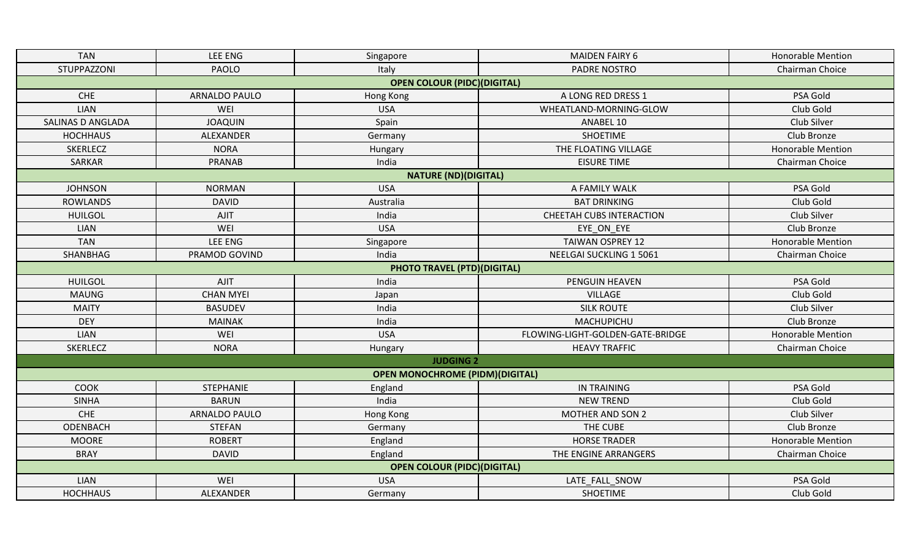| <b>TAN</b>               | LEE ENG          | Singapore                              | <b>MAIDEN FAIRY 6</b>            | <b>Honorable Mention</b> |
|--------------------------|------------------|----------------------------------------|----------------------------------|--------------------------|
| STUPPAZZONI              | <b>PAOLO</b>     | Italy                                  | <b>PADRE NOSTRO</b>              | Chairman Choice          |
|                          |                  | <b>OPEN COLOUR (PIDC)(DIGITAL)</b>     |                                  |                          |
| <b>CHE</b>               | ARNALDO PAULO    | Hong Kong                              | A LONG RED DRESS 1               | PSA Gold                 |
| LIAN                     | WEI              | <b>USA</b>                             | WHEATLAND-MORNING-GLOW           | Club Gold                |
| <b>SALINAS D ANGLADA</b> | <b>JOAQUIN</b>   | Spain                                  | ANABEL 10                        | Club Silver              |
| <b>HOCHHAUS</b>          | ALEXANDER        | Germany                                | <b>SHOETIME</b>                  | Club Bronze              |
| <b>SKERLECZ</b>          | <b>NORA</b>      | Hungary                                | THE FLOATING VILLAGE             | <b>Honorable Mention</b> |
| <b>SARKAR</b>            | <b>PRANAB</b>    | India                                  | <b>EISURE TIME</b>               | Chairman Choice          |
|                          |                  | <b>NATURE (ND)(DIGITAL)</b>            |                                  |                          |
| <b>JOHNSON</b>           | <b>NORMAN</b>    | <b>USA</b>                             | A FAMILY WALK                    | PSA Gold                 |
| <b>ROWLANDS</b>          | <b>DAVID</b>     | Australia                              | <b>BAT DRINKING</b>              | Club Gold                |
| <b>HUILGOL</b>           | <b>AJIT</b>      | India                                  | <b>CHEETAH CUBS INTERACTION</b>  | Club Silver              |
| <b>LIAN</b>              | WEI              | <b>USA</b>                             | EYE ON EYE                       | Club Bronze              |
| <b>TAN</b>               | LEE ENG          | Singapore                              | <b>TAIWAN OSPREY 12</b>          | <b>Honorable Mention</b> |
| SHANBHAG                 | PRAMOD GOVIND    | India                                  | NEELGAI SUCKLING 1 5061          | Chairman Choice          |
|                          |                  | <b>PHOTO TRAVEL (PTD)(DIGITAL)</b>     |                                  |                          |
| <b>HUILGOL</b>           | AJIT             | India                                  | PENGUIN HEAVEN                   | PSA Gold                 |
| <b>MAUNG</b>             | <b>CHAN MYEI</b> | Japan                                  | <b>VILLAGE</b>                   | Club Gold                |
| <b>MAITY</b>             | <b>BASUDEV</b>   | India                                  | <b>SILK ROUTE</b>                | Club Silver              |
| <b>DEY</b>               | <b>MAINAK</b>    | India                                  | MACHUPICHU                       | Club Bronze              |
| LIAN                     | WEI              | <b>USA</b>                             | FLOWING-LIGHT-GOLDEN-GATE-BRIDGE | <b>Honorable Mention</b> |
| <b>SKERLECZ</b>          | <b>NORA</b>      | Hungary                                | <b>HEAVY TRAFFIC</b>             | Chairman Choice          |
|                          |                  | <b>JUDGING 2</b>                       |                                  |                          |
|                          |                  | <b>OPEN MONOCHROME (PIDM)(DIGITAL)</b> |                                  |                          |
| <b>COOK</b>              | STEPHANIE        | England                                | <b>IN TRAINING</b>               | PSA Gold                 |
| <b>SINHA</b>             | <b>BARUN</b>     | India                                  | <b>NEW TREND</b>                 | Club Gold                |
| CHE                      | ARNALDO PAULO    | Hong Kong                              | MOTHER AND SON 2                 | Club Silver              |
| ODENBACH                 | <b>STEFAN</b>    | Germany                                | THE CUBE                         | Club Bronze              |
| <b>MOORE</b>             | <b>ROBERT</b>    | England                                | <b>HORSE TRADER</b>              | <b>Honorable Mention</b> |
| <b>BRAY</b>              | <b>DAVID</b>     | England                                | THE ENGINE ARRANGERS             | Chairman Choice          |
|                          |                  | <b>OPEN COLOUR (PIDC)(DIGITAL)</b>     |                                  |                          |
| <b>LIAN</b>              | WEI              | <b>USA</b>                             | LATE FALL SNOW                   | PSA Gold                 |
| <b>HOCHHAUS</b>          | ALEXANDER        | Germany                                | <b>SHOETIME</b>                  | Club Gold                |
|                          |                  |                                        |                                  |                          |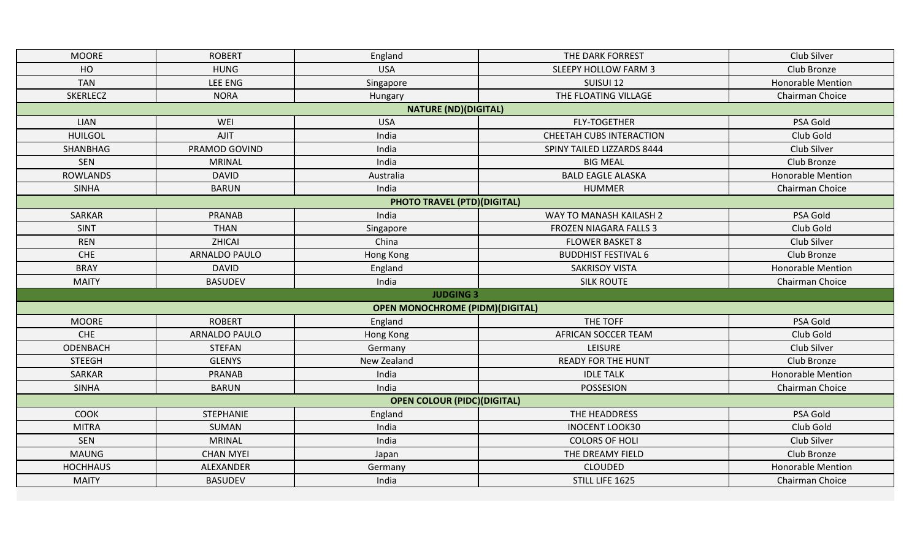| <b>MOORE</b>    | <b>ROBERT</b>        | England                                | THE DARK FORREST                | Club Silver              |
|-----------------|----------------------|----------------------------------------|---------------------------------|--------------------------|
| HO              | <b>HUNG</b>          | <b>USA</b>                             | <b>SLEEPY HOLLOW FARM 3</b>     | Club Bronze              |
| <b>TAN</b>      | <b>LEE ENG</b>       | Singapore                              | SUISUI 12                       | <b>Honorable Mention</b> |
| <b>SKERLECZ</b> | <b>NORA</b>          | Hungary                                | THE FLOATING VILLAGE            | Chairman Choice          |
|                 |                      | <b>NATURE (ND)(DIGITAL)</b>            |                                 |                          |
| <b>LIAN</b>     | WEI                  | <b>USA</b>                             | <b>FLY-TOGETHER</b>             | PSA Gold                 |
| <b>HUILGOL</b>  | <b>AJIT</b>          | India                                  | <b>CHEETAH CUBS INTERACTION</b> | Club Gold                |
| SHANBHAG        | PRAMOD GOVIND        | India                                  | SPINY TAILED LIZZARDS 8444      | Club Silver              |
| SEN             | <b>MRINAL</b>        | India                                  | <b>BIG MEAL</b>                 | Club Bronze              |
| <b>ROWLANDS</b> | <b>DAVID</b>         | Australia                              | <b>BALD EAGLE ALASKA</b>        | Honorable Mention        |
| <b>SINHA</b>    | <b>BARUN</b>         | India                                  | <b>HUMMER</b>                   | Chairman Choice          |
|                 |                      | <b>PHOTO TRAVEL (PTD)(DIGITAL)</b>     |                                 |                          |
| <b>SARKAR</b>   | <b>PRANAB</b>        | India                                  | WAY TO MANASH KAILASH 2         | PSA Gold                 |
| <b>SINT</b>     | <b>THAN</b>          | Singapore                              | <b>FROZEN NIAGARA FALLS 3</b>   | Club Gold                |
| <b>REN</b>      | ZHICAI               | China                                  | <b>FLOWER BASKET 8</b>          | Club Silver              |
| <b>CHE</b>      | <b>ARNALDO PAULO</b> | Hong Kong                              | <b>BUDDHIST FESTIVAL 6</b>      | Club Bronze              |
| <b>BRAY</b>     | <b>DAVID</b>         | England                                | <b>SAKRISOY VISTA</b>           | <b>Honorable Mention</b> |
| <b>MAITY</b>    | <b>BASUDEV</b>       | India                                  | <b>SILK ROUTE</b>               | Chairman Choice          |
|                 |                      | <b>JUDGING 3</b>                       |                                 |                          |
|                 |                      | <b>OPEN MONOCHROME (PIDM)(DIGITAL)</b> |                                 |                          |
| <b>MOORE</b>    | <b>ROBERT</b>        | England                                | THE TOFF                        | PSA Gold                 |
| <b>CHE</b>      | <b>ARNALDO PAULO</b> | Hong Kong                              | AFRICAN SOCCER TEAM             | Club Gold                |
| ODENBACH        | <b>STEFAN</b>        | Germany                                | <b>LEISURE</b>                  | Club Silver              |
| <b>STEEGH</b>   | <b>GLENYS</b>        | New Zealand                            | <b>READY FOR THE HUNT</b>       | Club Bronze              |
| SARKAR          | <b>PRANAB</b>        | India                                  | <b>IDLE TALK</b>                | <b>Honorable Mention</b> |
| <b>SINHA</b>    | <b>BARUN</b>         | India                                  | POSSESION                       | Chairman Choice          |
|                 |                      | <b>OPEN COLOUR (PIDC)(DIGITAL)</b>     |                                 |                          |
| <b>COOK</b>     | <b>STEPHANIE</b>     | England                                | THE HEADDRESS                   | PSA Gold                 |
| <b>MITRA</b>    | SUMAN                | India                                  | <b>INOCENT LOOK30</b>           | Club Gold                |
| <b>SEN</b>      | <b>MRINAL</b>        | India                                  | <b>COLORS OF HOLI</b>           | Club Silver              |
| <b>MAUNG</b>    | <b>CHAN MYEI</b>     | Japan                                  | THE DREAMY FIELD                | Club Bronze              |
| <b>HOCHHAUS</b> | ALEXANDER            | Germany                                | <b>CLOUDED</b>                  | <b>Honorable Mention</b> |
| <b>MAITY</b>    | <b>BASUDEV</b>       | India                                  | STILL LIFE 1625                 | Chairman Choice          |
|                 |                      |                                        |                                 |                          |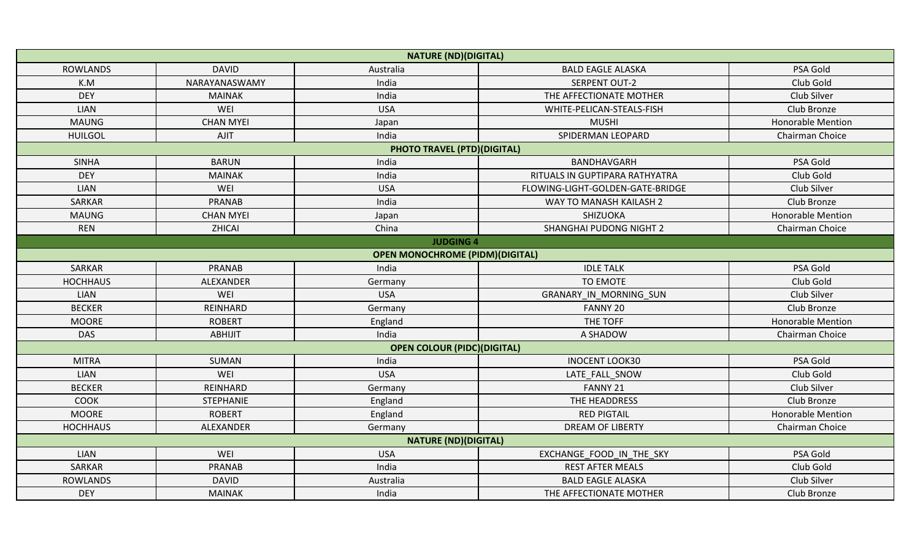|                 |                  | <b>NATURE (ND)(DIGITAL)</b>            |                                          |                          |
|-----------------|------------------|----------------------------------------|------------------------------------------|--------------------------|
| <b>ROWLANDS</b> | <b>DAVID</b>     | Australia                              | <b>BALD EAGLE ALASKA</b>                 | PSA Gold                 |
| K.M             | NARAYANASWAMY    | India                                  | <b>SERPENT OUT-2</b>                     | Club Gold                |
| <b>DEY</b>      | <b>MAINAK</b>    | India                                  | THE AFFECTIONATE MOTHER                  | Club Silver              |
| <b>LIAN</b>     | WEI              | <b>USA</b>                             | WHITE-PELICAN-STEALS-FISH<br>Club Bronze |                          |
| <b>MAUNG</b>    | <b>CHAN MYEI</b> | Japan                                  | <b>MUSHI</b>                             | <b>Honorable Mention</b> |
| <b>HUILGOL</b>  | AJIT             | India                                  | SPIDERMAN LEOPARD                        | Chairman Choice          |
|                 |                  | <b>PHOTO TRAVEL (PTD)(DIGITAL)</b>     |                                          |                          |
| <b>SINHA</b>    | <b>BARUN</b>     | India                                  | BANDHAVGARH                              | PSA Gold                 |
| <b>DEY</b>      | <b>MAINAK</b>    | India                                  | RITUALS IN GUPTIPARA RATHYATRA           | Club Gold                |
| <b>LIAN</b>     | WEI              | <b>USA</b>                             | FLOWING-LIGHT-GOLDEN-GATE-BRIDGE         | Club Silver              |
| <b>SARKAR</b>   | <b>PRANAB</b>    | India                                  | WAY TO MANASH KAILASH 2                  | Club Bronze              |
| <b>MAUNG</b>    | <b>CHAN MYEI</b> | Japan                                  | SHIZUOKA                                 | <b>Honorable Mention</b> |
| <b>REN</b>      | ZHICAI           | China                                  | <b>SHANGHAI PUDONG NIGHT 2</b>           | Chairman Choice          |
|                 |                  | <b>JUDGING 4</b>                       |                                          |                          |
|                 |                  | <b>OPEN MONOCHROME (PIDM)(DIGITAL)</b> |                                          |                          |
| <b>SARKAR</b>   | <b>PRANAB</b>    | India                                  | <b>IDLE TALK</b>                         | PSA Gold                 |
| <b>HOCHHAUS</b> | ALEXANDER        | Germany                                | <b>TO EMOTE</b>                          | Club Gold                |
| LIAN            | WEI              | <b>USA</b>                             | GRANARY IN MORNING SUN                   | Club Silver              |
| <b>BECKER</b>   | REINHARD         | Germany                                | FANNY 20                                 | Club Bronze              |
| <b>MOORE</b>    | <b>ROBERT</b>    | England                                | THE TOFF                                 | <b>Honorable Mention</b> |
| <b>DAS</b>      | <b>ABHIJIT</b>   | India                                  | A SHADOW                                 | Chairman Choice          |
|                 |                  | <b>OPEN COLOUR (PIDC)(DIGITAL)</b>     |                                          |                          |
| <b>MITRA</b>    | <b>SUMAN</b>     | India                                  | <b>INOCENT LOOK30</b>                    | PSA Gold                 |
| <b>LIAN</b>     | WEI              | <b>USA</b>                             | LATE FALL SNOW                           | Club Gold                |
| <b>BECKER</b>   | REINHARD         | Germany                                | FANNY 21                                 | Club Silver              |
| <b>COOK</b>     | <b>STEPHANIE</b> | England                                | THE HEADDRESS                            | Club Bronze              |
| <b>MOORE</b>    | <b>ROBERT</b>    | England                                | <b>RED PIGTAIL</b>                       | <b>Honorable Mention</b> |
| <b>HOCHHAUS</b> | ALEXANDER        | Germany                                | <b>DREAM OF LIBERTY</b>                  | Chairman Choice          |
|                 |                  | <b>NATURE (ND)(DIGITAL)</b>            |                                          |                          |
| <b>LIAN</b>     | WEI              | <b>USA</b>                             | EXCHANGE FOOD IN THE SKY                 | PSA Gold                 |
| SARKAR          | <b>PRANAB</b>    | India                                  | <b>REST AFTER MEALS</b>                  | Club Gold                |
| <b>ROWLANDS</b> | <b>DAVID</b>     | Australia                              | <b>BALD EAGLE ALASKA</b>                 | Club Silver              |
| <b>DEY</b>      | <b>MAINAK</b>    | India                                  | THE AFFECTIONATE MOTHER                  | Club Bronze              |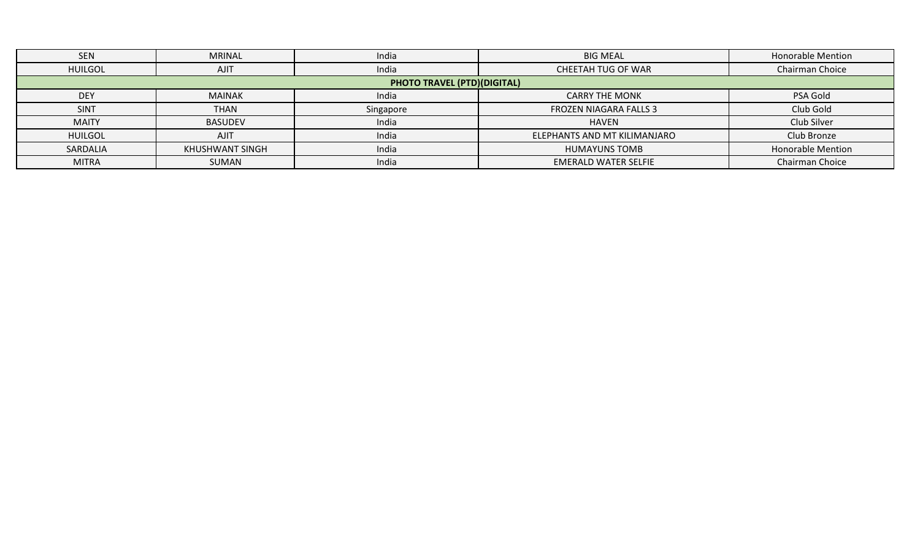| <b>SEN</b>     | <b>MRINAL</b>   | India                              | <b>BIG MEAL</b>              | <b>Honorable Mention</b> |
|----------------|-----------------|------------------------------------|------------------------------|--------------------------|
| <b>HUILGOL</b> | <b>AJIT</b>     | India                              | CHEETAH TUG OF WAR           | Chairman Choice          |
|                |                 | <b>PHOTO TRAVEL (PTD)(DIGITAL)</b> |                              |                          |
| <b>DEY</b>     | <b>MAINAK</b>   | India                              | <b>CARRY THE MONK</b>        | PSA Gold                 |
| <b>SINT</b>    | <b>THAN</b>     | Singapore                          | FROZEN NIAGARA FALLS 3       | Club Gold                |
| <b>MAITY</b>   | <b>BASUDEV</b>  | India                              | HAVEN                        | Club Silver              |
| <b>HUILGOL</b> | <b>AJIT</b>     | India                              | ELEPHANTS AND MT KILIMANJARO | Club Bronze              |
| SARDALIA       | KHUSHWANT SINGH | India                              | <b>HUMAYUNS TOMB</b>         | <b>Honorable Mention</b> |
| <b>MITRA</b>   | <b>SUMAN</b>    | India                              | <b>EMERALD WATER SELFIE</b>  | Chairman Choice          |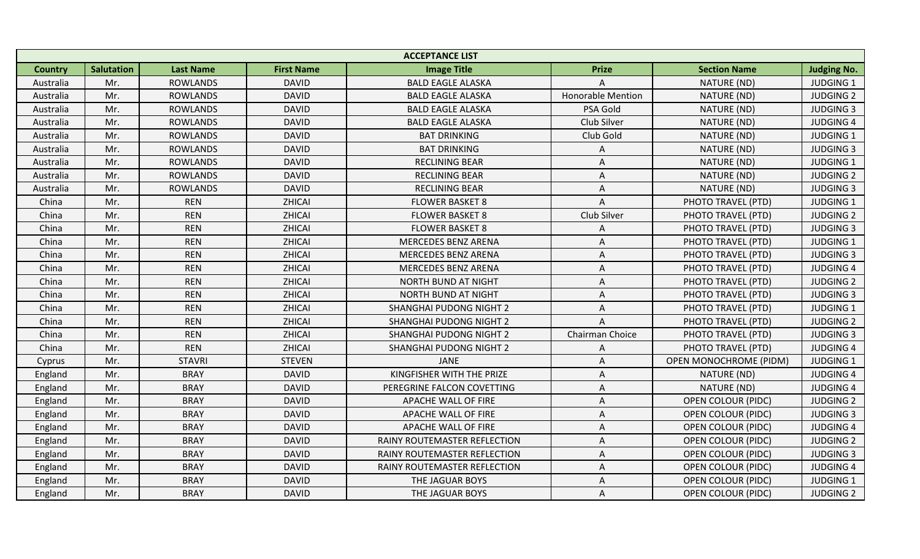|                |                   |                  |                   | <b>ACCEPTANCE LIST</b>         |                          |                           |                    |
|----------------|-------------------|------------------|-------------------|--------------------------------|--------------------------|---------------------------|--------------------|
| <b>Country</b> | <b>Salutation</b> | <b>Last Name</b> | <b>First Name</b> | <b>Image Title</b>             | <b>Prize</b>             | <b>Section Name</b>       | <b>Judging No.</b> |
| Australia      | Mr.               | <b>ROWLANDS</b>  | <b>DAVID</b>      | <b>BALD EAGLE ALASKA</b>       |                          | NATURE (ND)               | <b>JUDGING 1</b>   |
| Australia      | Mr.               | <b>ROWLANDS</b>  | <b>DAVID</b>      | <b>BALD EAGLE ALASKA</b>       | <b>Honorable Mention</b> | NATURE (ND)               | <b>JUDGING 2</b>   |
| Australia      | Mr.               | <b>ROWLANDS</b>  | <b>DAVID</b>      | <b>BALD EAGLE ALASKA</b>       | PSA Gold                 | NATURE (ND)               | <b>JUDGING 3</b>   |
| Australia      | Mr.               | <b>ROWLANDS</b>  | <b>DAVID</b>      | <b>BALD EAGLE ALASKA</b>       | Club Silver              | NATURE (ND)               | <b>JUDGING 4</b>   |
| Australia      | Mr.               | <b>ROWLANDS</b>  | <b>DAVID</b>      | <b>BAT DRINKING</b>            | Club Gold                | NATURE (ND)               | <b>JUDGING 1</b>   |
| Australia      | Mr.               | <b>ROWLANDS</b>  | <b>DAVID</b>      | <b>BAT DRINKING</b>            | Α                        | NATURE (ND)               | <b>JUDGING 3</b>   |
| Australia      | Mr.               | <b>ROWLANDS</b>  | <b>DAVID</b>      | <b>RECLINING BEAR</b>          | A                        | NATURE (ND)               | <b>JUDGING 1</b>   |
| Australia      | Mr.               | <b>ROWLANDS</b>  | <b>DAVID</b>      | <b>RECLINING BEAR</b>          | Α                        | NATURE (ND)               | <b>JUDGING 2</b>   |
| Australia      | Mr.               | <b>ROWLANDS</b>  | <b>DAVID</b>      | <b>RECLINING BEAR</b>          | Α                        | NATURE (ND)               | <b>JUDGING 3</b>   |
| China          | Mr.               | <b>REN</b>       | ZHICAI            | <b>FLOWER BASKET 8</b>         | Α                        | PHOTO TRAVEL (PTD)        | <b>JUDGING 1</b>   |
| China          | Mr.               | <b>REN</b>       | ZHICAI            | <b>FLOWER BASKET 8</b>         | Club Silver              | PHOTO TRAVEL (PTD)        | <b>JUDGING 2</b>   |
| China          | Mr.               | <b>REN</b>       | ZHICAI            | <b>FLOWER BASKET 8</b>         | Α                        | PHOTO TRAVEL (PTD)        | <b>JUDGING 3</b>   |
| China          | Mr.               | <b>REN</b>       | ZHICAI            | <b>MERCEDES BENZ ARENA</b>     | Α                        | PHOTO TRAVEL (PTD)        | <b>JUDGING 1</b>   |
| China          | Mr.               | <b>REN</b>       | ZHICAI            | <b>MERCEDES BENZ ARENA</b>     | Α                        | PHOTO TRAVEL (PTD)        | <b>JUDGING 3</b>   |
| China          | Mr.               | <b>REN</b>       | ZHICAI            | <b>MERCEDES BENZ ARENA</b>     | Α                        | PHOTO TRAVEL (PTD)        | <b>JUDGING 4</b>   |
| China          | Mr.               | <b>REN</b>       | ZHICAI            | <b>NORTH BUND AT NIGHT</b>     | A                        | PHOTO TRAVEL (PTD)        | <b>JUDGING 2</b>   |
| China          | Mr.               | <b>REN</b>       | ZHICAI            | NORTH BUND AT NIGHT            | Α                        | PHOTO TRAVEL (PTD)        | <b>JUDGING 3</b>   |
| China          | Mr.               | <b>REN</b>       | ZHICAI            | SHANGHAI PUDONG NIGHT 2        | Α                        | PHOTO TRAVEL (PTD)        | <b>JUDGING 1</b>   |
| China          | Mr.               | <b>REN</b>       | ZHICAI            | SHANGHAI PUDONG NIGHT 2        | A                        | PHOTO TRAVEL (PTD)        | <b>JUDGING 2</b>   |
| China          | Mr.               | <b>REN</b>       | ZHICAI            | <b>SHANGHAI PUDONG NIGHT 2</b> | Chairman Choice          | PHOTO TRAVEL (PTD)        | <b>JUDGING 3</b>   |
| China          | Mr.               | <b>REN</b>       | ZHICAI            | SHANGHAI PUDONG NIGHT 2        | A                        | PHOTO TRAVEL (PTD)        | <b>JUDGING 4</b>   |
| Cyprus         | Mr.               | <b>STAVRI</b>    | <b>STEVEN</b>     | JANE                           | Α                        | OPEN MONOCHROME (PIDM)    | <b>JUDGING 1</b>   |
| England        | Mr.               | <b>BRAY</b>      | <b>DAVID</b>      | KINGFISHER WITH THE PRIZE      | Α                        | NATURE (ND)               | <b>JUDGING 4</b>   |
| England        | Mr.               | <b>BRAY</b>      | <b>DAVID</b>      | PEREGRINE FALCON COVETTING     | Α                        | NATURE (ND)               | <b>JUDGING 4</b>   |
| England        | Mr.               | <b>BRAY</b>      | <b>DAVID</b>      | APACHE WALL OF FIRE            | Α                        | <b>OPEN COLOUR (PIDC)</b> | <b>JUDGING 2</b>   |
| England        | Mr.               | <b>BRAY</b>      | <b>DAVID</b>      | APACHE WALL OF FIRE            | A                        | <b>OPEN COLOUR (PIDC)</b> | <b>JUDGING 3</b>   |
| England        | Mr.               | <b>BRAY</b>      | <b>DAVID</b>      | APACHE WALL OF FIRE            | Α                        | OPEN COLOUR (PIDC)        | <b>JUDGING 4</b>   |
| England        | Mr.               | <b>BRAY</b>      | <b>DAVID</b>      | RAINY ROUTEMASTER REFLECTION   | A                        | <b>OPEN COLOUR (PIDC)</b> | <b>JUDGING 2</b>   |
| England        | Mr.               | <b>BRAY</b>      | <b>DAVID</b>      | RAINY ROUTEMASTER REFLECTION   | Α                        | <b>OPEN COLOUR (PIDC)</b> | <b>JUDGING 3</b>   |
| England        | Mr.               | <b>BRAY</b>      | <b>DAVID</b>      | RAINY ROUTEMASTER REFLECTION   | Α                        | <b>OPEN COLOUR (PIDC)</b> | <b>JUDGING 4</b>   |
| England        | Mr.               | <b>BRAY</b>      | <b>DAVID</b>      | THE JAGUAR BOYS                | Α                        | <b>OPEN COLOUR (PIDC)</b> | <b>JUDGING 1</b>   |
| England        | Mr.               | <b>BRAY</b>      | <b>DAVID</b>      | THE JAGUAR BOYS                | A                        | <b>OPEN COLOUR (PIDC)</b> | <b>JUDGING 2</b>   |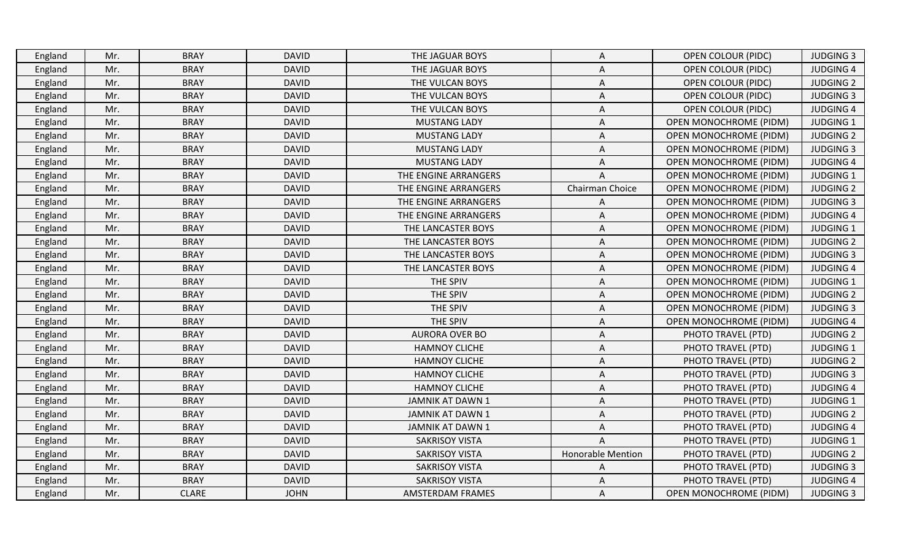| <b>BRAY</b><br>OPEN COLOUR (PIDC)<br>Mr.<br><b>DAVID</b><br>THE JAGUAR BOYS<br>England<br>A<br><b>BRAY</b><br>Mr.<br><b>DAVID</b><br>THE JAGUAR BOYS<br><b>OPEN COLOUR (PIDC)</b><br>England<br>Α<br><b>BRAY</b><br>Mr.<br><b>DAVID</b><br>THE VULCAN BOYS<br>OPEN COLOUR (PIDC)<br>England<br>Α<br>Mr.<br><b>BRAY</b><br><b>DAVID</b><br>England<br>THE VULCAN BOYS<br>Α<br><b>OPEN COLOUR (PIDC)</b><br>Mr.<br><b>BRAY</b><br><b>DAVID</b><br>THE VULCAN BOYS<br>Α<br><b>OPEN COLOUR (PIDC)</b><br>England<br>Mr.<br><b>BRAY</b><br><b>DAVID</b><br><b>MUSTANG LADY</b><br><b>OPEN MONOCHROME (PIDM)</b><br>England<br>A<br><b>BRAY</b><br><b>DAVID</b><br><b>MUSTANG LADY</b><br><b>OPEN MONOCHROME (PIDM)</b><br>England<br>Mr.<br>Α<br><b>BRAY</b><br>Mr.<br><b>DAVID</b><br><b>MUSTANG LADY</b><br>Α<br><b>OPEN MONOCHROME (PIDM)</b><br>England<br><b>BRAY</b><br><b>DAVID</b><br>England<br>Mr.<br><b>MUSTANG LADY</b><br>Α<br><b>OPEN MONOCHROME (PIDM)</b><br>Mr.<br><b>BRAY</b><br><b>DAVID</b><br>THE ENGINE ARRANGERS<br><b>OPEN MONOCHROME (PIDM)</b><br>England<br>A<br><b>BRAY</b><br>Chairman Choice<br>England<br>Mr.<br><b>DAVID</b><br>THE ENGINE ARRANGERS<br><b>OPEN MONOCHROME (PIDM)</b><br><b>BRAY</b><br><b>DAVID</b><br>England<br>Mr.<br>THE ENGINE ARRANGERS<br>OPEN MONOCHROME (PIDM)<br>Α<br><b>BRAY</b><br>Mr.<br><b>DAVID</b><br>THE ENGINE ARRANGERS<br>OPEN MONOCHROME (PIDM)<br>England<br>Α<br><b>BRAY</b><br>Mr.<br><b>DAVID</b><br>THE LANCASTER BOYS<br>Α<br>OPEN MONOCHROME (PIDM)<br>England | <b>JUDGING 3</b> |
|----------------------------------------------------------------------------------------------------------------------------------------------------------------------------------------------------------------------------------------------------------------------------------------------------------------------------------------------------------------------------------------------------------------------------------------------------------------------------------------------------------------------------------------------------------------------------------------------------------------------------------------------------------------------------------------------------------------------------------------------------------------------------------------------------------------------------------------------------------------------------------------------------------------------------------------------------------------------------------------------------------------------------------------------------------------------------------------------------------------------------------------------------------------------------------------------------------------------------------------------------------------------------------------------------------------------------------------------------------------------------------------------------------------------------------------------------------------------------------------------------------------------------------------|------------------|
|                                                                                                                                                                                                                                                                                                                                                                                                                                                                                                                                                                                                                                                                                                                                                                                                                                                                                                                                                                                                                                                                                                                                                                                                                                                                                                                                                                                                                                                                                                                                        |                  |
|                                                                                                                                                                                                                                                                                                                                                                                                                                                                                                                                                                                                                                                                                                                                                                                                                                                                                                                                                                                                                                                                                                                                                                                                                                                                                                                                                                                                                                                                                                                                        | <b>JUDGING 4</b> |
|                                                                                                                                                                                                                                                                                                                                                                                                                                                                                                                                                                                                                                                                                                                                                                                                                                                                                                                                                                                                                                                                                                                                                                                                                                                                                                                                                                                                                                                                                                                                        | <b>JUDGING 2</b> |
|                                                                                                                                                                                                                                                                                                                                                                                                                                                                                                                                                                                                                                                                                                                                                                                                                                                                                                                                                                                                                                                                                                                                                                                                                                                                                                                                                                                                                                                                                                                                        | <b>JUDGING 3</b> |
|                                                                                                                                                                                                                                                                                                                                                                                                                                                                                                                                                                                                                                                                                                                                                                                                                                                                                                                                                                                                                                                                                                                                                                                                                                                                                                                                                                                                                                                                                                                                        | <b>JUDGING 4</b> |
|                                                                                                                                                                                                                                                                                                                                                                                                                                                                                                                                                                                                                                                                                                                                                                                                                                                                                                                                                                                                                                                                                                                                                                                                                                                                                                                                                                                                                                                                                                                                        | <b>JUDGING 1</b> |
|                                                                                                                                                                                                                                                                                                                                                                                                                                                                                                                                                                                                                                                                                                                                                                                                                                                                                                                                                                                                                                                                                                                                                                                                                                                                                                                                                                                                                                                                                                                                        | <b>JUDGING 2</b> |
|                                                                                                                                                                                                                                                                                                                                                                                                                                                                                                                                                                                                                                                                                                                                                                                                                                                                                                                                                                                                                                                                                                                                                                                                                                                                                                                                                                                                                                                                                                                                        | <b>JUDGING 3</b> |
|                                                                                                                                                                                                                                                                                                                                                                                                                                                                                                                                                                                                                                                                                                                                                                                                                                                                                                                                                                                                                                                                                                                                                                                                                                                                                                                                                                                                                                                                                                                                        | <b>JUDGING 4</b> |
|                                                                                                                                                                                                                                                                                                                                                                                                                                                                                                                                                                                                                                                                                                                                                                                                                                                                                                                                                                                                                                                                                                                                                                                                                                                                                                                                                                                                                                                                                                                                        | <b>JUDGING 1</b> |
|                                                                                                                                                                                                                                                                                                                                                                                                                                                                                                                                                                                                                                                                                                                                                                                                                                                                                                                                                                                                                                                                                                                                                                                                                                                                                                                                                                                                                                                                                                                                        | <b>JUDGING 2</b> |
|                                                                                                                                                                                                                                                                                                                                                                                                                                                                                                                                                                                                                                                                                                                                                                                                                                                                                                                                                                                                                                                                                                                                                                                                                                                                                                                                                                                                                                                                                                                                        | <b>JUDGING 3</b> |
|                                                                                                                                                                                                                                                                                                                                                                                                                                                                                                                                                                                                                                                                                                                                                                                                                                                                                                                                                                                                                                                                                                                                                                                                                                                                                                                                                                                                                                                                                                                                        | <b>JUDGING 4</b> |
|                                                                                                                                                                                                                                                                                                                                                                                                                                                                                                                                                                                                                                                                                                                                                                                                                                                                                                                                                                                                                                                                                                                                                                                                                                                                                                                                                                                                                                                                                                                                        | <b>JUDGING 1</b> |
| Mr.<br><b>BRAY</b><br><b>DAVID</b><br>THE LANCASTER BOYS<br>OPEN MONOCHROME (PIDM)<br>England<br>A                                                                                                                                                                                                                                                                                                                                                                                                                                                                                                                                                                                                                                                                                                                                                                                                                                                                                                                                                                                                                                                                                                                                                                                                                                                                                                                                                                                                                                     | <b>JUDGING 2</b> |
| <b>BRAY</b><br>Mr.<br><b>DAVID</b><br>THE LANCASTER BOYS<br><b>OPEN MONOCHROME (PIDM)</b><br>England<br>A                                                                                                                                                                                                                                                                                                                                                                                                                                                                                                                                                                                                                                                                                                                                                                                                                                                                                                                                                                                                                                                                                                                                                                                                                                                                                                                                                                                                                              | <b>JUDGING 3</b> |
| Mr.<br><b>BRAY</b><br><b>DAVID</b><br>THE LANCASTER BOYS<br>Α<br><b>OPEN MONOCHROME (PIDM)</b><br>England                                                                                                                                                                                                                                                                                                                                                                                                                                                                                                                                                                                                                                                                                                                                                                                                                                                                                                                                                                                                                                                                                                                                                                                                                                                                                                                                                                                                                              | <b>JUDGING 4</b> |
| THE SPIV<br>Mr.<br><b>BRAY</b><br><b>DAVID</b><br>Α<br>OPEN MONOCHROME (PIDM)<br>England                                                                                                                                                                                                                                                                                                                                                                                                                                                                                                                                                                                                                                                                                                                                                                                                                                                                                                                                                                                                                                                                                                                                                                                                                                                                                                                                                                                                                                               | <b>JUDGING 1</b> |
| <b>BRAY</b><br>THE SPIV<br>England<br>Mr.<br><b>DAVID</b><br>Α<br><b>OPEN MONOCHROME (PIDM)</b>                                                                                                                                                                                                                                                                                                                                                                                                                                                                                                                                                                                                                                                                                                                                                                                                                                                                                                                                                                                                                                                                                                                                                                                                                                                                                                                                                                                                                                        | <b>JUDGING 2</b> |
| Mr.<br><b>BRAY</b><br>THE SPIV<br><b>DAVID</b><br>England<br>Α<br><b>OPEN MONOCHROME (PIDM)</b>                                                                                                                                                                                                                                                                                                                                                                                                                                                                                                                                                                                                                                                                                                                                                                                                                                                                                                                                                                                                                                                                                                                                                                                                                                                                                                                                                                                                                                        | <b>JUDGING 3</b> |
| THE SPIV<br>Mr.<br><b>BRAY</b><br><b>DAVID</b><br><b>OPEN MONOCHROME (PIDM)</b><br>England<br>A                                                                                                                                                                                                                                                                                                                                                                                                                                                                                                                                                                                                                                                                                                                                                                                                                                                                                                                                                                                                                                                                                                                                                                                                                                                                                                                                                                                                                                        | <b>JUDGING 4</b> |
| <b>BRAY</b><br><b>AURORA OVER BO</b><br>England<br>Mr.<br><b>DAVID</b><br>Α<br>PHOTO TRAVEL (PTD)                                                                                                                                                                                                                                                                                                                                                                                                                                                                                                                                                                                                                                                                                                                                                                                                                                                                                                                                                                                                                                                                                                                                                                                                                                                                                                                                                                                                                                      | <b>JUDGING 2</b> |
| Mr.<br><b>BRAY</b><br><b>DAVID</b><br><b>HAMNOY CLICHE</b><br>PHOTO TRAVEL (PTD)<br>England<br>A                                                                                                                                                                                                                                                                                                                                                                                                                                                                                                                                                                                                                                                                                                                                                                                                                                                                                                                                                                                                                                                                                                                                                                                                                                                                                                                                                                                                                                       | <b>JUDGING 1</b> |
| <b>BRAY</b><br>Mr.<br><b>DAVID</b><br><b>HAMNOY CLICHE</b><br>PHOTO TRAVEL (PTD)<br>England<br>Α                                                                                                                                                                                                                                                                                                                                                                                                                                                                                                                                                                                                                                                                                                                                                                                                                                                                                                                                                                                                                                                                                                                                                                                                                                                                                                                                                                                                                                       | <b>JUDGING 2</b> |
| Mr.<br><b>BRAY</b><br><b>DAVID</b><br>PHOTO TRAVEL (PTD)<br>England<br><b>HAMNOY CLICHE</b><br>A                                                                                                                                                                                                                                                                                                                                                                                                                                                                                                                                                                                                                                                                                                                                                                                                                                                                                                                                                                                                                                                                                                                                                                                                                                                                                                                                                                                                                                       | <b>JUDGING 3</b> |
| Mr.<br><b>BRAY</b><br><b>DAVID</b><br><b>HAMNOY CLICHE</b><br>PHOTO TRAVEL (PTD)<br>England<br>Α                                                                                                                                                                                                                                                                                                                                                                                                                                                                                                                                                                                                                                                                                                                                                                                                                                                                                                                                                                                                                                                                                                                                                                                                                                                                                                                                                                                                                                       | <b>JUDGING 4</b> |
| Mr.<br><b>BRAY</b><br><b>DAVID</b><br>Α<br>PHOTO TRAVEL (PTD)<br>England<br>JAMNIK AT DAWN 1                                                                                                                                                                                                                                                                                                                                                                                                                                                                                                                                                                                                                                                                                                                                                                                                                                                                                                                                                                                                                                                                                                                                                                                                                                                                                                                                                                                                                                           | <b>JUDGING 1</b> |
| Mr.<br><b>BRAY</b><br><b>DAVID</b><br><b>JAMNIK AT DAWN 1</b><br>A<br>PHOTO TRAVEL (PTD)<br>England                                                                                                                                                                                                                                                                                                                                                                                                                                                                                                                                                                                                                                                                                                                                                                                                                                                                                                                                                                                                                                                                                                                                                                                                                                                                                                                                                                                                                                    | <b>JUDGING 2</b> |
| Mr.<br><b>BRAY</b><br><b>DAVID</b><br><b>JAMNIK AT DAWN 1</b><br>PHOTO TRAVEL (PTD)<br>England<br>A                                                                                                                                                                                                                                                                                                                                                                                                                                                                                                                                                                                                                                                                                                                                                                                                                                                                                                                                                                                                                                                                                                                                                                                                                                                                                                                                                                                                                                    | <b>JUDGING 4</b> |
| <b>BRAY</b><br>Mr.<br><b>DAVID</b><br><b>SAKRISOY VISTA</b><br>$\overline{A}$<br>England<br>PHOTO TRAVEL (PTD)                                                                                                                                                                                                                                                                                                                                                                                                                                                                                                                                                                                                                                                                                                                                                                                                                                                                                                                                                                                                                                                                                                                                                                                                                                                                                                                                                                                                                         | <b>JUDGING 1</b> |
| Mr.<br><b>BRAY</b><br><b>DAVID</b><br><b>SAKRISOY VISTA</b><br><b>Honorable Mention</b><br>PHOTO TRAVEL (PTD)<br>England                                                                                                                                                                                                                                                                                                                                                                                                                                                                                                                                                                                                                                                                                                                                                                                                                                                                                                                                                                                                                                                                                                                                                                                                                                                                                                                                                                                                               | <b>JUDGING 2</b> |
| <b>BRAY</b><br><b>DAVID</b><br><b>SAKRISOY VISTA</b><br>PHOTO TRAVEL (PTD)<br>England<br>Mr.<br>A                                                                                                                                                                                                                                                                                                                                                                                                                                                                                                                                                                                                                                                                                                                                                                                                                                                                                                                                                                                                                                                                                                                                                                                                                                                                                                                                                                                                                                      | <b>JUDGING 3</b> |
| Mr.<br><b>BRAY</b><br><b>DAVID</b><br><b>SAKRISOY VISTA</b><br>PHOTO TRAVEL (PTD)<br>England<br>Α                                                                                                                                                                                                                                                                                                                                                                                                                                                                                                                                                                                                                                                                                                                                                                                                                                                                                                                                                                                                                                                                                                                                                                                                                                                                                                                                                                                                                                      |                  |
| England<br>Mr.<br><b>CLARE</b><br><b>JOHN</b><br>AMSTERDAM FRAMES<br><b>OPEN MONOCHROME (PIDM)</b><br>A                                                                                                                                                                                                                                                                                                                                                                                                                                                                                                                                                                                                                                                                                                                                                                                                                                                                                                                                                                                                                                                                                                                                                                                                                                                                                                                                                                                                                                | <b>JUDGING 4</b> |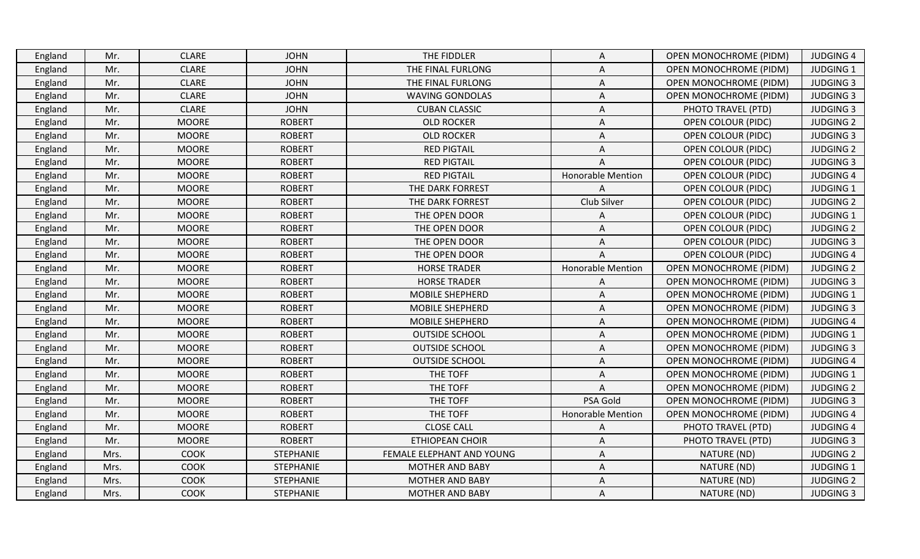| England | Mr.  | <b>CLARE</b> | <b>JOHN</b>      | THE FIDDLER               | A                        | <b>OPEN MONOCHROME (PIDM)</b> | <b>JUDGING 4</b> |
|---------|------|--------------|------------------|---------------------------|--------------------------|-------------------------------|------------------|
| England | Mr.  | <b>CLARE</b> | <b>JOHN</b>      | THE FINAL FURLONG         | Α                        | <b>OPEN MONOCHROME (PIDM)</b> | <b>JUDGING 1</b> |
| England | Mr.  | <b>CLARE</b> | <b>JOHN</b>      | THE FINAL FURLONG         | Α                        | OPEN MONOCHROME (PIDM)        | <b>JUDGING 3</b> |
| England | Mr.  | <b>CLARE</b> | <b>JOHN</b>      | WAVING GONDOLAS           | A                        | OPEN MONOCHROME (PIDM)        | <b>JUDGING 3</b> |
| England | Mr.  | <b>CLARE</b> | <b>JOHN</b>      | <b>CUBAN CLASSIC</b>      | Α                        | PHOTO TRAVEL (PTD)            | <b>JUDGING 3</b> |
| England | Mr.  | <b>MOORE</b> | <b>ROBERT</b>    | <b>OLD ROCKER</b>         | A                        | <b>OPEN COLOUR (PIDC)</b>     | <b>JUDGING 2</b> |
| England | Mr.  | <b>MOORE</b> | <b>ROBERT</b>    | <b>OLD ROCKER</b>         | A                        | <b>OPEN COLOUR (PIDC)</b>     | <b>JUDGING 3</b> |
| England | Mr.  | <b>MOORE</b> | <b>ROBERT</b>    | <b>RED PIGTAIL</b>        | Α                        | <b>OPEN COLOUR (PIDC)</b>     | <b>JUDGING 2</b> |
| England | Mr.  | <b>MOORE</b> | <b>ROBERT</b>    | <b>RED PIGTAIL</b>        | A                        | <b>OPEN COLOUR (PIDC)</b>     | <b>JUDGING 3</b> |
| England | Mr.  | <b>MOORE</b> | <b>ROBERT</b>    | <b>RED PIGTAIL</b>        | Honorable Mention        | <b>OPEN COLOUR (PIDC)</b>     | <b>JUDGING 4</b> |
| England | Mr.  | <b>MOORE</b> | <b>ROBERT</b>    | THE DARK FORREST          | A                        | <b>OPEN COLOUR (PIDC)</b>     | <b>JUDGING 1</b> |
| England | Mr.  | <b>MOORE</b> | <b>ROBERT</b>    | THE DARK FORREST          | Club Silver              | <b>OPEN COLOUR (PIDC)</b>     | <b>JUDGING 2</b> |
| England | Mr.  | <b>MOORE</b> | <b>ROBERT</b>    | THE OPEN DOOR             | A                        | <b>OPEN COLOUR (PIDC)</b>     | JUDGING 1        |
| England | Mr.  | <b>MOORE</b> | <b>ROBERT</b>    | THE OPEN DOOR             | A                        | <b>OPEN COLOUR (PIDC)</b>     | <b>JUDGING 2</b> |
| England | Mr.  | <b>MOORE</b> | <b>ROBERT</b>    | THE OPEN DOOR             | Α                        | <b>OPEN COLOUR (PIDC)</b>     | <b>JUDGING 3</b> |
| England | Mr.  | <b>MOORE</b> | <b>ROBERT</b>    | THE OPEN DOOR             | A                        | <b>OPEN COLOUR (PIDC)</b>     | <b>JUDGING 4</b> |
| England | Mr.  | <b>MOORE</b> | <b>ROBERT</b>    | <b>HORSE TRADER</b>       | Honorable Mention        | <b>OPEN MONOCHROME (PIDM)</b> | <b>JUDGING 2</b> |
| England | Mr.  | <b>MOORE</b> | <b>ROBERT</b>    | <b>HORSE TRADER</b>       | A                        | OPEN MONOCHROME (PIDM)        | <b>JUDGING 3</b> |
| England | Mr.  | <b>MOORE</b> | <b>ROBERT</b>    | <b>MOBILE SHEPHERD</b>    | A                        | <b>OPEN MONOCHROME (PIDM)</b> | <b>JUDGING 1</b> |
| England | Mr.  | <b>MOORE</b> | <b>ROBERT</b>    | MOBILE SHEPHERD           | Α                        | <b>OPEN MONOCHROME (PIDM)</b> | <b>JUDGING 3</b> |
| England | Mr.  | <b>MOORE</b> | <b>ROBERT</b>    | MOBILE SHEPHERD           | Α                        | <b>OPEN MONOCHROME (PIDM)</b> | <b>JUDGING 4</b> |
| England | Mr.  | <b>MOORE</b> | <b>ROBERT</b>    | <b>OUTSIDE SCHOOL</b>     | A                        | <b>OPEN MONOCHROME (PIDM)</b> | <b>JUDGING 1</b> |
| England | Mr.  | <b>MOORE</b> | <b>ROBERT</b>    | <b>OUTSIDE SCHOOL</b>     | Α                        | <b>OPEN MONOCHROME (PIDM)</b> | <b>JUDGING 3</b> |
| England | Mr.  | <b>MOORE</b> | <b>ROBERT</b>    | <b>OUTSIDE SCHOOL</b>     | Α                        | <b>OPEN MONOCHROME (PIDM)</b> | <b>JUDGING 4</b> |
| England | Mr.  | <b>MOORE</b> | <b>ROBERT</b>    | THE TOFF                  | Α                        | <b>OPEN MONOCHROME (PIDM)</b> | JUDGING 1        |
| England | Mr.  | <b>MOORE</b> | <b>ROBERT</b>    | THE TOFF                  | A                        | <b>OPEN MONOCHROME (PIDM)</b> | <b>JUDGING 2</b> |
| England | Mr.  | <b>MOORE</b> | <b>ROBERT</b>    | THE TOFF                  | PSA Gold                 | <b>OPEN MONOCHROME (PIDM)</b> | <b>JUDGING 3</b> |
| England | Mr.  | <b>MOORE</b> | <b>ROBERT</b>    | THE TOFF                  | <b>Honorable Mention</b> | <b>OPEN MONOCHROME (PIDM)</b> | <b>JUDGING 4</b> |
| England | Mr.  | <b>MOORE</b> | <b>ROBERT</b>    | <b>CLOSE CALL</b>         | A                        | PHOTO TRAVEL (PTD)            | <b>JUDGING 4</b> |
| England | Mr.  | <b>MOORE</b> | <b>ROBERT</b>    | <b>ETHIOPEAN CHOIR</b>    | A                        | PHOTO TRAVEL (PTD)            | <b>JUDGING 3</b> |
| England | Mrs. | <b>COOK</b>  | STEPHANIE        | FEMALE ELEPHANT AND YOUNG | Α                        | NATURE (ND)                   | <b>JUDGING 2</b> |
| England | Mrs. | COOK         | STEPHANIE        | <b>MOTHER AND BABY</b>    | Α                        | NATURE (ND)                   | JUDGING 1        |
| England | Mrs. | COOK         | <b>STEPHANIE</b> | <b>MOTHER AND BABY</b>    | Α                        | NATURE (ND)                   | <b>JUDGING 2</b> |
| England | Mrs. | <b>COOK</b>  | <b>STEPHANIE</b> | <b>MOTHER AND BABY</b>    | Α                        | NATURE (ND)                   | <b>JUDGING 3</b> |
|         |      |              |                  |                           |                          |                               |                  |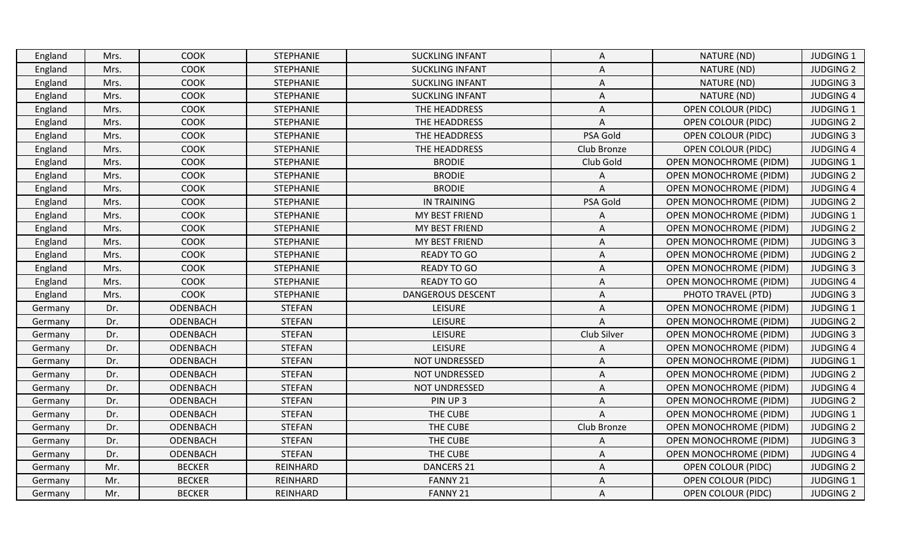| England | Mrs. | <b>COOK</b>   | <b>STEPHANIE</b> | <b>SUCKLING INFANT</b>   | A                         | NATURE (ND)                   | <b>JUDGING 1</b> |
|---------|------|---------------|------------------|--------------------------|---------------------------|-------------------------------|------------------|
| England | Mrs. | <b>COOK</b>   | <b>STEPHANIE</b> | <b>SUCKLING INFANT</b>   | A                         | NATURE (ND)                   | <b>JUDGING 2</b> |
| England | Mrs. | COOK          | <b>STEPHANIE</b> | <b>SUCKLING INFANT</b>   | Α                         | NATURE (ND)                   | <b>JUDGING 3</b> |
| England | Mrs. | COOK          | STEPHANIE        | <b>SUCKLING INFANT</b>   | Α                         | NATURE (ND)                   | <b>JUDGING 4</b> |
| England | Mrs. | COOK          | <b>STEPHANIE</b> | THE HEADDRESS            | Α                         | <b>OPEN COLOUR (PIDC)</b>     | <b>JUDGING 1</b> |
| England | Mrs. | COOK          | <b>STEPHANIE</b> | THE HEADDRESS            | A                         | <b>OPEN COLOUR (PIDC)</b>     | <b>JUDGING 2</b> |
| England | Mrs. | COOK          | <b>STEPHANIE</b> | THE HEADDRESS            | PSA Gold                  | <b>OPEN COLOUR (PIDC)</b>     | <b>JUDGING 3</b> |
| England | Mrs. | <b>COOK</b>   | <b>STEPHANIE</b> | THE HEADDRESS            | Club Bronze               | <b>OPEN COLOUR (PIDC)</b>     | <b>JUDGING 4</b> |
| England | Mrs. | COOK          | <b>STEPHANIE</b> | <b>BRODIE</b>            | Club Gold                 | OPEN MONOCHROME (PIDM)        | <b>JUDGING 1</b> |
| England | Mrs. | COOK          | <b>STEPHANIE</b> | <b>BRODIE</b>            | Α                         | <b>OPEN MONOCHROME (PIDM)</b> | <b>JUDGING 2</b> |
| England | Mrs. | COOK          | <b>STEPHANIE</b> | <b>BRODIE</b>            | A                         | <b>OPEN MONOCHROME (PIDM)</b> | <b>JUDGING 4</b> |
| England | Mrs. | <b>COOK</b>   | <b>STEPHANIE</b> | IN TRAINING              | PSA Gold                  | OPEN MONOCHROME (PIDM)        | <b>JUDGING 2</b> |
| England | Mrs. | COOK          | <b>STEPHANIE</b> | MY BEST FRIEND           | A                         | OPEN MONOCHROME (PIDM)        | <b>JUDGING 1</b> |
| England | Mrs. | COOK          | <b>STEPHANIE</b> | MY BEST FRIEND           | Α                         | OPEN MONOCHROME (PIDM)        | <b>JUDGING 2</b> |
| England | Mrs. | COOK          | <b>STEPHANIE</b> | MY BEST FRIEND           | Α                         | <b>OPEN MONOCHROME (PIDM)</b> | <b>JUDGING 3</b> |
| England | Mrs. | COOK          | <b>STEPHANIE</b> | <b>READY TO GO</b>       | A                         | OPEN MONOCHROME (PIDM)        | <b>JUDGING 2</b> |
| England | Mrs. | COOK          | <b>STEPHANIE</b> | <b>READY TO GO</b>       | $\boldsymbol{\mathsf{A}}$ | <b>OPEN MONOCHROME (PIDM)</b> | <b>JUDGING 3</b> |
| England | Mrs. | COOK          | <b>STEPHANIE</b> | <b>READY TO GO</b>       | A                         | OPEN MONOCHROME (PIDM)        | <b>JUDGING 4</b> |
| England | Mrs. | <b>COOK</b>   | <b>STEPHANIE</b> | <b>DANGEROUS DESCENT</b> | A                         | PHOTO TRAVEL (PTD)            | <b>JUDGING 3</b> |
| Germany | Dr.  | ODENBACH      | <b>STEFAN</b>    | <b>LEISURE</b>           | Α                         | <b>OPEN MONOCHROME (PIDM)</b> | <b>JUDGING 1</b> |
| Germany | Dr.  | ODENBACH      | <b>STEFAN</b>    | <b>LEISURE</b>           | Α                         | <b>OPEN MONOCHROME (PIDM)</b> | <b>JUDGING 2</b> |
| Germany | Dr.  | ODENBACH      | <b>STEFAN</b>    | <b>LEISURE</b>           | Club Silver               | <b>OPEN MONOCHROME (PIDM)</b> | <b>JUDGING 3</b> |
| Germany | Dr.  | ODENBACH      | <b>STEFAN</b>    | <b>LEISURE</b>           | Α                         | <b>OPEN MONOCHROME (PIDM)</b> | <b>JUDGING 4</b> |
| Germany | Dr.  | ODENBACH      | <b>STEFAN</b>    | <b>NOT UNDRESSED</b>     | Α                         | <b>OPEN MONOCHROME (PIDM)</b> | <b>JUDGING 1</b> |
| Germany | Dr.  | ODENBACH      | <b>STEFAN</b>    | NOT UNDRESSED            | Α                         | <b>OPEN MONOCHROME (PIDM)</b> | <b>JUDGING 2</b> |
| Germany | Dr.  | ODENBACH      | <b>STEFAN</b>    | <b>NOT UNDRESSED</b>     | Α                         | <b>OPEN MONOCHROME (PIDM)</b> | <b>JUDGING 4</b> |
| Germany | Dr.  | ODENBACH      | <b>STEFAN</b>    | PIN UP 3                 | Α                         | <b>OPEN MONOCHROME (PIDM)</b> | <b>JUDGING 2</b> |
| Germany | Dr.  | ODENBACH      | <b>STEFAN</b>    | THE CUBE                 | A                         | OPEN MONOCHROME (PIDM)        | JUDGING 1        |
| Germany | Dr.  | ODENBACH      | <b>STEFAN</b>    | THE CUBE                 | Club Bronze               | OPEN MONOCHROME (PIDM)        | <b>JUDGING 2</b> |
| Germany | Dr.  | ODENBACH      | <b>STEFAN</b>    | THE CUBE                 | Α                         | <b>OPEN MONOCHROME (PIDM)</b> | <b>JUDGING 3</b> |
| Germany | Dr.  | ODENBACH      | <b>STEFAN</b>    | THE CUBE                 | Α                         | OPEN MONOCHROME (PIDM)        | <b>JUDGING 4</b> |
| Germany | Mr.  | <b>BECKER</b> | REINHARD         | <b>DANCERS 21</b>        | Α                         | OPEN COLOUR (PIDC)            | <b>JUDGING 2</b> |
| Germany | Mr.  | <b>BECKER</b> | REINHARD         | FANNY 21                 | Α                         | <b>OPEN COLOUR (PIDC)</b>     | <b>JUDGING 1</b> |
| Germany | Mr.  | <b>BECKER</b> | REINHARD         | FANNY 21                 | A                         | <b>OPEN COLOUR (PIDC)</b>     | <b>JUDGING 2</b> |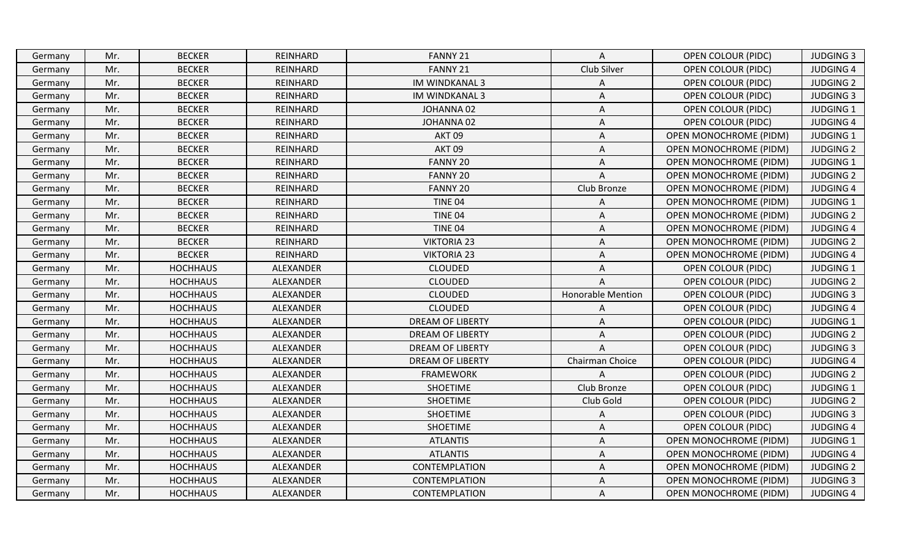| Germany | Mr. | <b>BECKER</b>   | REINHARD  | FANNY 21                | A                        | <b>OPEN COLOUR (PIDC)</b>     | <b>JUDGING 3</b> |
|---------|-----|-----------------|-----------|-------------------------|--------------------------|-------------------------------|------------------|
| Germany | Mr. | <b>BECKER</b>   | REINHARD  | FANNY 21                | Club Silver              | <b>OPEN COLOUR (PIDC)</b>     | <b>JUDGING 4</b> |
| Germany | Mr. | <b>BECKER</b>   | REINHARD  | <b>IM WINDKANAL 3</b>   | Α                        | <b>OPEN COLOUR (PIDC)</b>     | <b>JUDGING 2</b> |
| Germany | Mr. | <b>BECKER</b>   | REINHARD  | <b>IM WINDKANAL 3</b>   | Α                        | <b>OPEN COLOUR (PIDC)</b>     | <b>JUDGING 3</b> |
| Germany | Mr. | <b>BECKER</b>   | REINHARD  | JOHANNA 02              | Α                        | <b>OPEN COLOUR (PIDC)</b>     | <b>JUDGING 1</b> |
| Germany | Mr. | <b>BECKER</b>   | REINHARD  | JOHANNA 02              | A                        | <b>OPEN COLOUR (PIDC)</b>     | <b>JUDGING 4</b> |
| Germany | Mr. | <b>BECKER</b>   | REINHARD  | AKT <sub>09</sub>       | Α                        | <b>OPEN MONOCHROME (PIDM)</b> | <b>JUDGING 1</b> |
| Germany | Mr. | <b>BECKER</b>   | REINHARD  | AKT <sub>09</sub>       | Α                        | <b>OPEN MONOCHROME (PIDM)</b> | <b>JUDGING 2</b> |
| Germany | Mr. | <b>BECKER</b>   | REINHARD  | FANNY 20                | A                        | OPEN MONOCHROME (PIDM)        | <b>JUDGING 1</b> |
| Germany | Mr. | <b>BECKER</b>   | REINHARD  | FANNY 20                | A                        | <b>OPEN MONOCHROME (PIDM)</b> | <b>JUDGING 2</b> |
| Germany | Mr. | <b>BECKER</b>   | REINHARD  | FANNY 20                | Club Bronze              | <b>OPEN MONOCHROME (PIDM)</b> | <b>JUDGING 4</b> |
| Germany | Mr. | <b>BECKER</b>   | REINHARD  | TINE 04                 | Α                        | <b>OPEN MONOCHROME (PIDM)</b> | <b>JUDGING 1</b> |
| Germany | Mr. | <b>BECKER</b>   | REINHARD  | <b>TINE 04</b>          | A                        | <b>OPEN MONOCHROME (PIDM)</b> | <b>JUDGING 2</b> |
| Germany | Mr. | <b>BECKER</b>   | REINHARD  | TINE 04                 | Α                        | <b>OPEN MONOCHROME (PIDM)</b> | <b>JUDGING 4</b> |
| Germany | Mr. | <b>BECKER</b>   | REINHARD  | <b>VIKTORIA 23</b>      | A                        | OPEN MONOCHROME (PIDM)        | <b>JUDGING 2</b> |
| Germany | Mr. | <b>BECKER</b>   | REINHARD  | <b>VIKTORIA 23</b>      | A                        | OPEN MONOCHROME (PIDM)        | <b>JUDGING 4</b> |
| Germany | Mr. | <b>HOCHHAUS</b> | ALEXANDER | <b>CLOUDED</b>          | Α                        | <b>OPEN COLOUR (PIDC)</b>     | <b>JUDGING 1</b> |
| Germany | Mr. | <b>HOCHHAUS</b> | ALEXANDER | <b>CLOUDED</b>          | A                        | <b>OPEN COLOUR (PIDC)</b>     | <b>JUDGING 2</b> |
| Germany | Mr. | <b>HOCHHAUS</b> | ALEXANDER | <b>CLOUDED</b>          | <b>Honorable Mention</b> | <b>OPEN COLOUR (PIDC)</b>     | <b>JUDGING 3</b> |
| Germany | Mr. | <b>HOCHHAUS</b> | ALEXANDER | <b>CLOUDED</b>          | A                        | <b>OPEN COLOUR (PIDC)</b>     | <b>JUDGING 4</b> |
| Germany | Mr. | <b>HOCHHAUS</b> | ALEXANDER | <b>DREAM OF LIBERTY</b> | A                        | <b>OPEN COLOUR (PIDC)</b>     | <b>JUDGING 1</b> |
| Germany | Mr. | <b>HOCHHAUS</b> | ALEXANDER | <b>DREAM OF LIBERTY</b> | A                        | <b>OPEN COLOUR (PIDC)</b>     | <b>JUDGING 2</b> |
| Germany | Mr. | <b>HOCHHAUS</b> | ALEXANDER | <b>DREAM OF LIBERTY</b> | A                        | <b>OPEN COLOUR (PIDC)</b>     | <b>JUDGING 3</b> |
| Germany | Mr. | <b>HOCHHAUS</b> | ALEXANDER | <b>DREAM OF LIBERTY</b> | Chairman Choice          | <b>OPEN COLOUR (PIDC)</b>     | <b>JUDGING 4</b> |
| Germany | Mr. | <b>HOCHHAUS</b> | ALEXANDER | <b>FRAMEWORK</b>        | Α                        | <b>OPEN COLOUR (PIDC)</b>     | <b>JUDGING 2</b> |
| Germany | Mr. | <b>HOCHHAUS</b> | ALEXANDER | <b>SHOETIME</b>         | Club Bronze              | <b>OPEN COLOUR (PIDC)</b>     | <b>JUDGING 1</b> |
| Germany | Mr. | <b>HOCHHAUS</b> | ALEXANDER | <b>SHOETIME</b>         | Club Gold                | <b>OPEN COLOUR (PIDC)</b>     | <b>JUDGING 2</b> |
| Germany | Mr. | <b>HOCHHAUS</b> | ALEXANDER | <b>SHOETIME</b>         | A                        | <b>OPEN COLOUR (PIDC)</b>     | <b>JUDGING 3</b> |
| Germany | Mr. | <b>HOCHHAUS</b> | ALEXANDER | <b>SHOETIME</b>         | A                        | <b>OPEN COLOUR (PIDC)</b>     | <b>JUDGING 4</b> |
| Germany | Mr. | <b>HOCHHAUS</b> | ALEXANDER | <b>ATLANTIS</b>         | Α                        | <b>OPEN MONOCHROME (PIDM)</b> | <b>JUDGING 1</b> |
| Germany | Mr. | <b>HOCHHAUS</b> | ALEXANDER | <b>ATLANTIS</b>         | Α                        | <b>OPEN MONOCHROME (PIDM)</b> | <b>JUDGING 4</b> |
| Germany | Mr. | <b>HOCHHAUS</b> | ALEXANDER | CONTEMPLATION           | Α                        | OPEN MONOCHROME (PIDM)        | <b>JUDGING 2</b> |
| Germany | Mr. | <b>HOCHHAUS</b> | ALEXANDER | CONTEMPLATION           | A                        | OPEN MONOCHROME (PIDM)        | <b>JUDGING 3</b> |
| Germany | Mr. | <b>HOCHHAUS</b> | ALEXANDER | <b>CONTEMPLATION</b>    | A                        | <b>OPEN MONOCHROME (PIDM)</b> | <b>JUDGING 4</b> |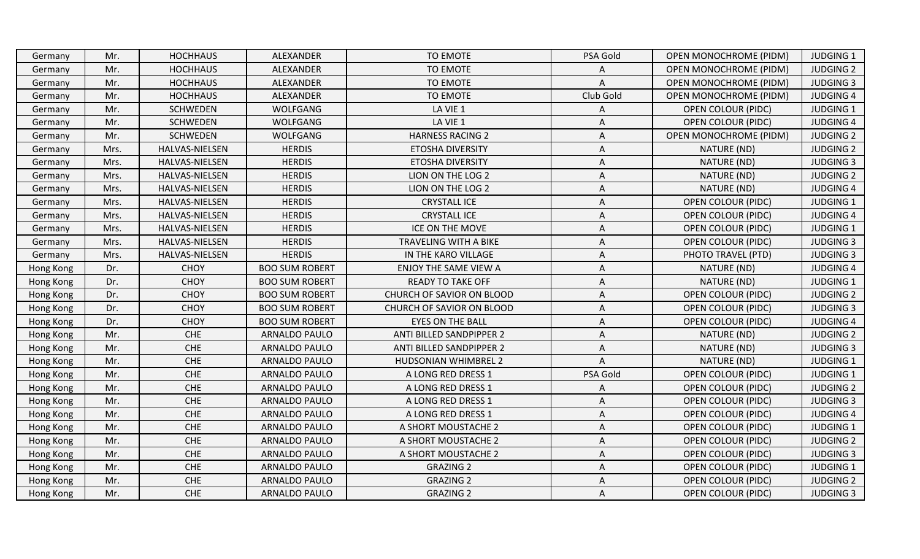| Germany   | Mr.  | <b>HOCHHAUS</b> | ALEXANDER             | TO EMOTE                     | PSA Gold  | <b>OPEN MONOCHROME (PIDM)</b> | <b>JUDGING 1</b> |
|-----------|------|-----------------|-----------------------|------------------------------|-----------|-------------------------------|------------------|
| Germany   | Mr.  | <b>HOCHHAUS</b> | ALEXANDER             | TO EMOTE                     |           | <b>OPEN MONOCHROME (PIDM)</b> | <b>JUDGING 2</b> |
| Germany   | Mr.  | <b>HOCHHAUS</b> | ALEXANDER             | TO EMOTE                     | A         | OPEN MONOCHROME (PIDM)        | <b>JUDGING 3</b> |
| Germany   | Mr.  | <b>HOCHHAUS</b> | ALEXANDER             | TO EMOTE                     | Club Gold | <b>OPEN MONOCHROME (PIDM)</b> | <b>JUDGING 4</b> |
| Germany   | Mr.  | <b>SCHWEDEN</b> | WOLFGANG              | LA VIE 1                     | Α         | <b>OPEN COLOUR (PIDC)</b>     | <b>JUDGING 1</b> |
| Germany   | Mr.  | <b>SCHWEDEN</b> | <b>WOLFGANG</b>       | LA VIE 1                     | Α         | <b>OPEN COLOUR (PIDC)</b>     | <b>JUDGING 4</b> |
| Germany   | Mr.  | <b>SCHWEDEN</b> | <b>WOLFGANG</b>       | <b>HARNESS RACING 2</b>      | Α         | <b>OPEN MONOCHROME (PIDM)</b> | <b>JUDGING 2</b> |
| Germany   | Mrs. | HALVAS-NIELSEN  | <b>HERDIS</b>         | ETOSHA DIVERSITY             | A         | NATURE (ND)                   | <b>JUDGING 2</b> |
| Germany   | Mrs. | HALVAS-NIELSEN  | <b>HERDIS</b>         | <b>ETOSHA DIVERSITY</b>      | A         | NATURE (ND)                   | <b>JUDGING 3</b> |
| Germany   | Mrs. | HALVAS-NIELSEN  | <b>HERDIS</b>         | LION ON THE LOG 2            | Α         | NATURE (ND)                   | <b>JUDGING 2</b> |
| Germany   | Mrs. | HALVAS-NIELSEN  | <b>HERDIS</b>         | LION ON THE LOG 2            | A         | NATURE (ND)                   | <b>JUDGING 4</b> |
| Germany   | Mrs. | HALVAS-NIELSEN  | <b>HERDIS</b>         | <b>CRYSTALL ICE</b>          | A         | <b>OPEN COLOUR (PIDC)</b>     | <b>JUDGING 1</b> |
| Germany   | Mrs. | HALVAS-NIELSEN  | <b>HERDIS</b>         | <b>CRYSTALL ICE</b>          | Α         | <b>OPEN COLOUR (PIDC)</b>     | <b>JUDGING 4</b> |
| Germany   | Mrs. | HALVAS-NIELSEN  | <b>HERDIS</b>         | ICE ON THE MOVE              | A         | <b>OPEN COLOUR (PIDC)</b>     | <b>JUDGING 1</b> |
| Germany   | Mrs. | HALVAS-NIELSEN  | <b>HERDIS</b>         | TRAVELING WITH A BIKE        | Α         | <b>OPEN COLOUR (PIDC)</b>     | <b>JUDGING 3</b> |
| Germany   | Mrs. | HALVAS-NIELSEN  | <b>HERDIS</b>         | IN THE KARO VILLAGE          | A         | PHOTO TRAVEL (PTD)            | <b>JUDGING 3</b> |
| Hong Kong | Dr.  | <b>CHOY</b>     | <b>BOO SUM ROBERT</b> | <b>ENJOY THE SAME VIEW A</b> | Α         | NATURE (ND)                   | <b>JUDGING 4</b> |
| Hong Kong | Dr.  | <b>CHOY</b>     | <b>BOO SUM ROBERT</b> | <b>READY TO TAKE OFF</b>     | Α         | NATURE (ND)                   | <b>JUDGING 1</b> |
| Hong Kong | Dr.  | <b>CHOY</b>     | <b>BOO SUM ROBERT</b> | CHURCH OF SAVIOR ON BLOOD    | Α         | <b>OPEN COLOUR (PIDC)</b>     | <b>JUDGING 2</b> |
| Hong Kong | Dr.  | <b>CHOY</b>     | <b>BOO SUM ROBERT</b> | CHURCH OF SAVIOR ON BLOOD    | Α         | <b>OPEN COLOUR (PIDC)</b>     | <b>JUDGING 3</b> |
| Hong Kong | Dr.  | <b>CHOY</b>     | <b>BOO SUM ROBERT</b> | <b>EYES ON THE BALL</b>      | A         | <b>OPEN COLOUR (PIDC)</b>     | <b>JUDGING 4</b> |
| Hong Kong | Mr.  | <b>CHE</b>      | ARNALDO PAULO         | ANTI BILLED SANDPIPPER 2     | Α         | NATURE (ND)                   | <b>JUDGING 2</b> |
| Hong Kong | Mr.  | <b>CHE</b>      | <b>ARNALDO PAULO</b>  | ANTI BILLED SANDPIPPER 2     | Α         | NATURE (ND)                   | <b>JUDGING 3</b> |
| Hong Kong | Mr.  | <b>CHE</b>      | ARNALDO PAULO         | HUDSONIAN WHIMBREL 2         | A         | NATURE (ND)                   | <b>JUDGING 1</b> |
| Hong Kong | Mr.  | <b>CHE</b>      | <b>ARNALDO PAULO</b>  | A LONG RED DRESS 1           | PSA Gold  | OPEN COLOUR (PIDC)            | <b>JUDGING 1</b> |
| Hong Kong | Mr.  | <b>CHE</b>      | <b>ARNALDO PAULO</b>  | A LONG RED DRESS 1           | Α         | <b>OPEN COLOUR (PIDC)</b>     | <b>JUDGING 2</b> |
| Hong Kong | Mr.  | <b>CHE</b>      | <b>ARNALDO PAULO</b>  | A LONG RED DRESS 1           | Α         | <b>OPEN COLOUR (PIDC)</b>     | <b>JUDGING 3</b> |
| Hong Kong | Mr.  | <b>CHE</b>      | <b>ARNALDO PAULO</b>  | A LONG RED DRESS 1           | Α         | <b>OPEN COLOUR (PIDC)</b>     | <b>JUDGING 4</b> |
| Hong Kong | Mr.  | <b>CHE</b>      | <b>ARNALDO PAULO</b>  | A SHORT MOUSTACHE 2          | Α         | <b>OPEN COLOUR (PIDC)</b>     | <b>JUDGING 1</b> |
| Hong Kong | Mr.  | <b>CHE</b>      | <b>ARNALDO PAULO</b>  | A SHORT MOUSTACHE 2          | Α         | <b>OPEN COLOUR (PIDC)</b>     | <b>JUDGING 2</b> |
| Hong Kong | Mr.  | <b>CHE</b>      | <b>ARNALDO PAULO</b>  | A SHORT MOUSTACHE 2          | Α         | <b>OPEN COLOUR (PIDC)</b>     | <b>JUDGING 3</b> |
| Hong Kong | Mr.  | <b>CHE</b>      | ARNALDO PAULO         | <b>GRAZING 2</b>             | Α         | <b>OPEN COLOUR (PIDC)</b>     | <b>JUDGING 1</b> |
| Hong Kong | Mr.  | <b>CHE</b>      | <b>ARNALDO PAULO</b>  | <b>GRAZING 2</b>             | Α         | <b>OPEN COLOUR (PIDC)</b>     | <b>JUDGING 2</b> |
| Hong Kong | Mr.  | <b>CHE</b>      | <b>ARNALDO PAULO</b>  | <b>GRAZING 2</b>             | A         | <b>OPEN COLOUR (PIDC)</b>     | <b>JUDGING 3</b> |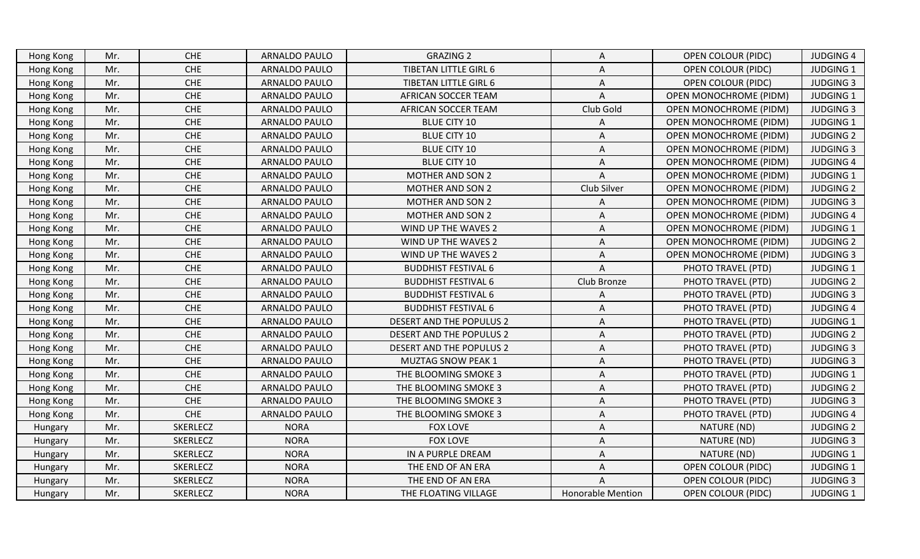| Hong Kong | Mr. | <b>CHE</b>      | <b>ARNALDO PAULO</b> | <b>GRAZING 2</b>             | Α                        | <b>OPEN COLOUR (PIDC)</b>     | <b>JUDGING 4</b> |
|-----------|-----|-----------------|----------------------|------------------------------|--------------------------|-------------------------------|------------------|
| Hong Kong | Mr. | <b>CHE</b>      | <b>ARNALDO PAULO</b> | <b>TIBETAN LITTLE GIRL 6</b> | Α                        | <b>OPEN COLOUR (PIDC)</b>     | <b>JUDGING 1</b> |
| Hong Kong | Mr. | <b>CHE</b>      | <b>ARNALDO PAULO</b> | <b>TIBETAN LITTLE GIRL 6</b> | Α                        | <b>OPEN COLOUR (PIDC)</b>     | <b>JUDGING 3</b> |
| Hong Kong | Mr. | <b>CHE</b>      | <b>ARNALDO PAULO</b> | <b>AFRICAN SOCCER TEAM</b>   | A                        | OPEN MONOCHROME (PIDM)        | <b>JUDGING 1</b> |
| Hong Kong | Mr. | <b>CHE</b>      | ARNALDO PAULO        | AFRICAN SOCCER TEAM          | Club Gold                | <b>OPEN MONOCHROME (PIDM)</b> | <b>JUDGING 3</b> |
| Hong Kong | Mr. | <b>CHE</b>      | ARNALDO PAULO        | <b>BLUE CITY 10</b>          | A                        | <b>OPEN MONOCHROME (PIDM)</b> | <b>JUDGING 1</b> |
| Hong Kong | Mr. | <b>CHE</b>      | <b>ARNALDO PAULO</b> | <b>BLUE CITY 10</b>          | Α                        | <b>OPEN MONOCHROME (PIDM)</b> | <b>JUDGING 2</b> |
| Hong Kong | Mr. | CHE             | <b>ARNALDO PAULO</b> | <b>BLUE CITY 10</b>          | Α                        | <b>OPEN MONOCHROME (PIDM)</b> | <b>JUDGING 3</b> |
| Hong Kong | Mr. | <b>CHE</b>      | ARNALDO PAULO        | <b>BLUE CITY 10</b>          | A                        | <b>OPEN MONOCHROME (PIDM)</b> | <b>JUDGING 4</b> |
| Hong Kong | Mr. | <b>CHE</b>      | ARNALDO PAULO        | <b>MOTHER AND SON 2</b>      | A                        | <b>OPEN MONOCHROME (PIDM)</b> | <b>JUDGING 1</b> |
| Hong Kong | Mr. | <b>CHE</b>      | ARNALDO PAULO        | <b>MOTHER AND SON 2</b>      | Club Silver              | <b>OPEN MONOCHROME (PIDM)</b> | <b>JUDGING 2</b> |
| Hong Kong | Mr. | <b>CHE</b>      | ARNALDO PAULO        | <b>MOTHER AND SON 2</b>      | Α                        | OPEN MONOCHROME (PIDM)        | <b>JUDGING 3</b> |
| Hong Kong | Mr. | <b>CHE</b>      | <b>ARNALDO PAULO</b> | <b>MOTHER AND SON 2</b>      | A                        | OPEN MONOCHROME (PIDM)        | <b>JUDGING 4</b> |
| Hong Kong | Mr. | <b>CHE</b>      | ARNALDO PAULO        | WIND UP THE WAVES 2          | A                        | <b>OPEN MONOCHROME (PIDM)</b> | <b>JUDGING 1</b> |
| Hong Kong | Mr. | ${\sf CHE}$     | ARNALDO PAULO        | WIND UP THE WAVES 2          | Α                        | OPEN MONOCHROME (PIDM)        | <b>JUDGING 2</b> |
| Hong Kong | Mr. | <b>CHE</b>      | ARNALDO PAULO        | WIND UP THE WAVES 2          | Α                        | <b>OPEN MONOCHROME (PIDM)</b> | <b>JUDGING 3</b> |
| Hong Kong | Mr. | <b>CHE</b>      | <b>ARNALDO PAULO</b> | <b>BUDDHIST FESTIVAL 6</b>   | A                        | PHOTO TRAVEL (PTD)            | <b>JUDGING 1</b> |
| Hong Kong | Mr. | <b>CHE</b>      | <b>ARNALDO PAULO</b> | <b>BUDDHIST FESTIVAL 6</b>   | Club Bronze              | PHOTO TRAVEL (PTD)            | <b>JUDGING 2</b> |
| Hong Kong | Mr. | <b>CHE</b>      | ARNALDO PAULO        | <b>BUDDHIST FESTIVAL 6</b>   | A                        | PHOTO TRAVEL (PTD)            | <b>JUDGING 3</b> |
| Hong Kong | Mr. | CHE             | <b>ARNALDO PAULO</b> | <b>BUDDHIST FESTIVAL 6</b>   | A                        | PHOTO TRAVEL (PTD)            | <b>JUDGING 4</b> |
| Hong Kong | Mr. | <b>CHE</b>      | <b>ARNALDO PAULO</b> | DESERT AND THE POPULUS 2     | Α                        | PHOTO TRAVEL (PTD)            | <b>JUDGING 1</b> |
| Hong Kong | Mr. | <b>CHE</b>      | <b>ARNALDO PAULO</b> | DESERT AND THE POPULUS 2     | Α                        | PHOTO TRAVEL (PTD)            | <b>JUDGING 2</b> |
| Hong Kong | Mr. | CHE             | <b>ARNALDO PAULO</b> | DESERT AND THE POPULUS 2     | A                        | PHOTO TRAVEL (PTD)            | <b>JUDGING 3</b> |
| Hong Kong | Mr. | <b>CHE</b>      | ARNALDO PAULO        | <b>MUZTAG SNOW PEAK 1</b>    | A                        | PHOTO TRAVEL (PTD)            | <b>JUDGING 3</b> |
| Hong Kong | Mr. | <b>CHE</b>      | ARNALDO PAULO        | THE BLOOMING SMOKE 3         | Α                        | PHOTO TRAVEL (PTD)            | <b>JUDGING 1</b> |
| Hong Kong | Mr. | <b>CHE</b>      | ARNALDO PAULO        | THE BLOOMING SMOKE 3         | Α                        | PHOTO TRAVEL (PTD)            | <b>JUDGING 2</b> |
| Hong Kong | Mr. | <b>CHE</b>      | <b>ARNALDO PAULO</b> | THE BLOOMING SMOKE 3         | Α                        | PHOTO TRAVEL (PTD)            | <b>JUDGING 3</b> |
| Hong Kong | Mr. | <b>CHE</b>      | <b>ARNALDO PAULO</b> | THE BLOOMING SMOKE 3         | Α                        | PHOTO TRAVEL (PTD)            | <b>JUDGING 4</b> |
| Hungary   | Mr. | SKERLECZ        | <b>NORA</b>          | <b>FOX LOVE</b>              | A                        | NATURE (ND)                   | <b>JUDGING 2</b> |
| Hungary   | Mr. | SKERLECZ        | <b>NORA</b>          | <b>FOX LOVE</b>              | A                        | NATURE (ND)                   | <b>JUDGING 3</b> |
| Hungary   | Mr. | <b>SKERLECZ</b> | <b>NORA</b>          | IN A PURPLE DREAM            | Α                        | NATURE (ND)                   | <b>JUDGING 1</b> |
| Hungary   | Mr. | SKERLECZ        | <b>NORA</b>          | THE END OF AN ERA            | Α                        | <b>OPEN COLOUR (PIDC)</b>     | <b>JUDGING 1</b> |
| Hungary   | Mr. | SKERLECZ        | <b>NORA</b>          | THE END OF AN ERA            | A                        | <b>OPEN COLOUR (PIDC)</b>     | <b>JUDGING 3</b> |
| Hungary   | Mr. | <b>SKERLECZ</b> | <b>NORA</b>          | THE FLOATING VILLAGE         | <b>Honorable Mention</b> | <b>OPEN COLOUR (PIDC)</b>     | <b>JUDGING 1</b> |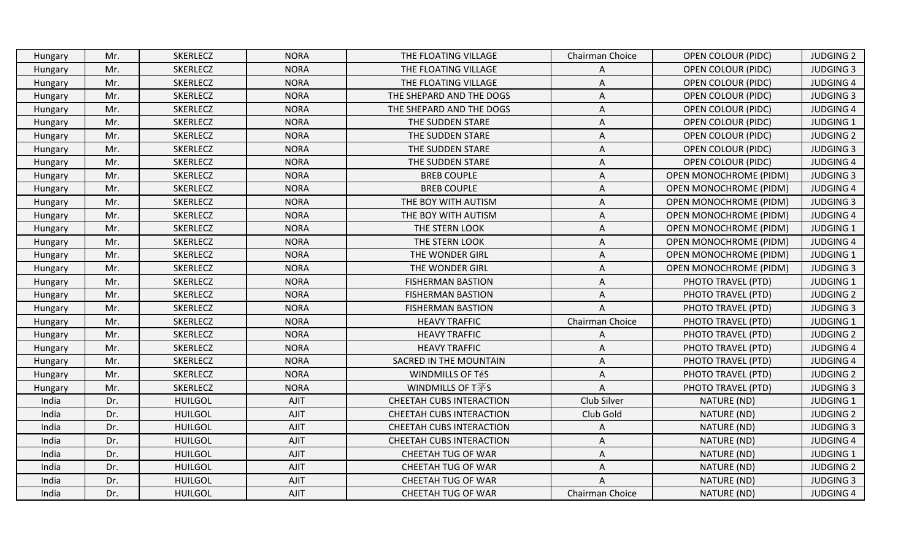|       | Hungary | Mr. | <b>SKERLECZ</b> | <b>NORA</b> | THE FLOATING VILLAGE            | Chairman Choice | OPEN COLOUR (PIDC)            | <b>JUDGING 2</b> |
|-------|---------|-----|-----------------|-------------|---------------------------------|-----------------|-------------------------------|------------------|
|       | Hungary | Mr. | <b>SKERLECZ</b> | <b>NORA</b> | THE FLOATING VILLAGE            | Α               | OPEN COLOUR (PIDC)            | <b>JUDGING 3</b> |
|       | Hungary | Mr. | <b>SKERLECZ</b> | <b>NORA</b> | THE FLOATING VILLAGE            | Α               | <b>OPEN COLOUR (PIDC)</b>     | <b>JUDGING 4</b> |
|       | Hungary | Mr. | SKERLECZ        | <b>NORA</b> | THE SHEPARD AND THE DOGS        | Α               | <b>OPEN COLOUR (PIDC)</b>     | <b>JUDGING 3</b> |
|       | Hungary | Mr. | <b>SKERLECZ</b> | <b>NORA</b> | THE SHEPARD AND THE DOGS        | Α               | OPEN COLOUR (PIDC)            | <b>JUDGING 4</b> |
|       | Hungary | Mr. | SKERLECZ        | <b>NORA</b> | THE SUDDEN STARE                | Α               | <b>OPEN COLOUR (PIDC)</b>     | <b>JUDGING 1</b> |
|       | Hungary | Mr. | SKERLECZ        | <b>NORA</b> | THE SUDDEN STARE                | Α               | OPEN COLOUR (PIDC)            | <b>JUDGING 2</b> |
|       | Hungary | Mr. | <b>SKERLECZ</b> | <b>NORA</b> | THE SUDDEN STARE                | Α               | <b>OPEN COLOUR (PIDC)</b>     | <b>JUDGING 3</b> |
|       | Hungary | Mr. | SKERLECZ        | <b>NORA</b> | THE SUDDEN STARE                | Α               | OPEN COLOUR (PIDC)            | <b>JUDGING 4</b> |
|       | Hungary | Mr. | SKERLECZ        | <b>NORA</b> | <b>BREB COUPLE</b>              | Α               | <b>OPEN MONOCHROME (PIDM)</b> | <b>JUDGING 3</b> |
|       | Hungary | Mr. | SKERLECZ        | <b>NORA</b> | <b>BREB COUPLE</b>              | A               | <b>OPEN MONOCHROME (PIDM)</b> | <b>JUDGING 4</b> |
|       | Hungary | Mr. | SKERLECZ        | <b>NORA</b> | THE BOY WITH AUTISM             | Α               | <b>OPEN MONOCHROME (PIDM)</b> | <b>JUDGING 3</b> |
|       | Hungary | Mr. | <b>SKERLECZ</b> | <b>NORA</b> | THE BOY WITH AUTISM             | Α               | OPEN MONOCHROME (PIDM)        | <b>JUDGING 4</b> |
|       | Hungary | Mr. | SKERLECZ        | <b>NORA</b> | THE STERN LOOK                  | Α               | <b>OPEN MONOCHROME (PIDM)</b> | <b>JUDGING 1</b> |
|       | Hungary | Mr. | SKERLECZ        | <b>NORA</b> | THE STERN LOOK                  | Α               | <b>OPEN MONOCHROME (PIDM)</b> | <b>JUDGING 4</b> |
|       | Hungary | Mr. | SKERLECZ        | <b>NORA</b> | THE WONDER GIRL                 | Α               | <b>OPEN MONOCHROME (PIDM)</b> | <b>JUDGING 1</b> |
|       | Hungary | Mr. | SKERLECZ        | <b>NORA</b> | THE WONDER GIRL                 | A               | <b>OPEN MONOCHROME (PIDM)</b> | <b>JUDGING 3</b> |
|       | Hungary | Mr. | <b>SKERLECZ</b> | <b>NORA</b> | <b>FISHERMAN BASTION</b>        | A               | PHOTO TRAVEL (PTD)            | <b>JUDGING 1</b> |
|       | Hungary | Mr. | SKERLECZ        | <b>NORA</b> | <b>FISHERMAN BASTION</b>        | Α               | PHOTO TRAVEL (PTD)            | <b>JUDGING 2</b> |
|       | Hungary | Mr. | SKERLECZ        | <b>NORA</b> | <b>FISHERMAN BASTION</b>        | A               | PHOTO TRAVEL (PTD)            | <b>JUDGING 3</b> |
|       | Hungary | Mr. | SKERLECZ        | <b>NORA</b> | <b>HEAVY TRAFFIC</b>            | Chairman Choice | PHOTO TRAVEL (PTD)            | <b>JUDGING 1</b> |
|       | Hungary | Mr. | SKERLECZ        | <b>NORA</b> | <b>HEAVY TRAFFIC</b>            | Α               | PHOTO TRAVEL (PTD)            | <b>JUDGING 2</b> |
|       | Hungary | Mr. | SKERLECZ        | <b>NORA</b> | <b>HEAVY TRAFFIC</b>            | Α               | PHOTO TRAVEL (PTD)            | <b>JUDGING 4</b> |
|       | Hungary | Mr. | SKERLECZ        | <b>NORA</b> | SACRED IN THE MOUNTAIN          | Α               | PHOTO TRAVEL (PTD)            | <b>JUDGING 4</b> |
|       | Hungary | Mr. | <b>SKERLECZ</b> | <b>NORA</b> | WINDMILLS OF TéS                | Α               | PHOTO TRAVEL (PTD)            | <b>JUDGING 2</b> |
|       | Hungary | Mr. | <b>SKERLECZ</b> | <b>NORA</b> | <b>WINDMILLS OF T茅S</b>         | A               | PHOTO TRAVEL (PTD)            | <b>JUDGING 3</b> |
| India |         | Dr. | <b>HUILGOL</b>  | AJIT        | CHEETAH CUBS INTERACTION        | Club Silver     | NATURE (ND)                   | <b>JUDGING 1</b> |
|       | India   | Dr. | <b>HUILGOL</b>  | <b>AJIT</b> | CHEETAH CUBS INTERACTION        | Club Gold       | NATURE (ND)                   | <b>JUDGING 2</b> |
|       | India   | Dr. | <b>HUILGOL</b>  | AJIT        | <b>CHEETAH CUBS INTERACTION</b> | Α               | NATURE (ND)                   | <b>JUDGING 3</b> |
|       | India   | Dr. | <b>HUILGOL</b>  | <b>AJIT</b> | <b>CHEETAH CUBS INTERACTION</b> | A               | NATURE (ND)                   | <b>JUDGING 4</b> |
|       | India   | Dr. | <b>HUILGOL</b>  | AJIT        | CHEETAH TUG OF WAR              | Α               | NATURE (ND)                   | <b>JUDGING 1</b> |
|       | India   | Dr. | <b>HUILGOL</b>  | AJIT        | CHEETAH TUG OF WAR              | Α               | NATURE (ND)                   | <b>JUDGING 2</b> |
| India |         | Dr. | <b>HUILGOL</b>  | AJIT        | CHEETAH TUG OF WAR              | A               | NATURE (ND)                   | <b>JUDGING 3</b> |
|       | India   | Dr. | <b>HUILGOL</b>  | AJIT        | CHEETAH TUG OF WAR              | Chairman Choice | NATURE (ND)                   | <b>JUDGING 4</b> |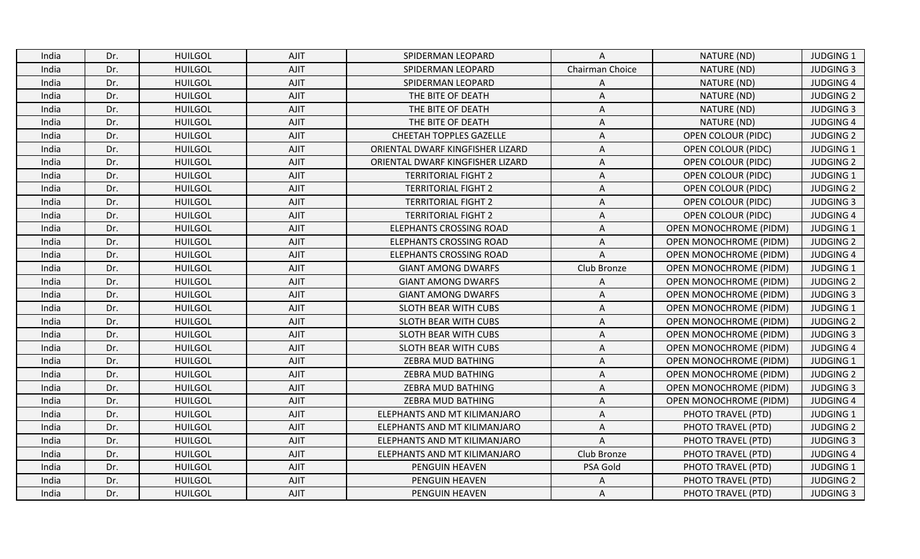| India | Dr. | <b>HUILGOL</b> | <b>AJIT</b> | SPIDERMAN LEOPARD                | A               | NATURE (ND)                   | <b>JUDGING 1</b> |
|-------|-----|----------------|-------------|----------------------------------|-----------------|-------------------------------|------------------|
| India | Dr. | <b>HUILGOL</b> | <b>AJIT</b> | SPIDERMAN LEOPARD                | Chairman Choice | NATURE (ND)                   | <b>JUDGING 3</b> |
| India | Dr. | <b>HUILGOL</b> | <b>AJIT</b> | SPIDERMAN LEOPARD                | A               | NATURE (ND)                   | <b>JUDGING 4</b> |
| India | Dr. | <b>HUILGOL</b> | AJIT        | THE BITE OF DEATH                | $\overline{A}$  | NATURE (ND)                   | <b>JUDGING 2</b> |
| India | Dr. | <b>HUILGOL</b> | <b>AJIT</b> | THE BITE OF DEATH                | Α               | NATURE (ND)                   | <b>JUDGING 3</b> |
| India | Dr. | <b>HUILGOL</b> | AJIT        | THE BITE OF DEATH                | A               | NATURE (ND)                   | <b>JUDGING 4</b> |
| India | Dr. | <b>HUILGOL</b> | <b>AJIT</b> | CHEETAH TOPPLES GAZELLE          | Α               | <b>OPEN COLOUR (PIDC)</b>     | <b>JUDGING 2</b> |
| India | Dr. | <b>HUILGOL</b> | <b>AJIT</b> | ORIENTAL DWARF KINGFISHER LIZARD | A               | <b>OPEN COLOUR (PIDC)</b>     | <b>JUDGING 1</b> |
| India | Dr. | <b>HUILGOL</b> | AJIT        | ORIENTAL DWARF KINGFISHER LIZARD | A               | <b>OPEN COLOUR (PIDC)</b>     | <b>JUDGING 2</b> |
| India | Dr. | <b>HUILGOL</b> | <b>AJIT</b> | <b>TERRITORIAL FIGHT 2</b>       | A               | <b>OPEN COLOUR (PIDC)</b>     | <b>JUDGING 1</b> |
| India | Dr. | <b>HUILGOL</b> | <b>AJIT</b> | <b>TERRITORIAL FIGHT 2</b>       | A               | <b>OPEN COLOUR (PIDC)</b>     | <b>JUDGING 2</b> |
| India | Dr. | <b>HUILGOL</b> | AJIT        | <b>TERRITORIAL FIGHT 2</b>       | Α               | <b>OPEN COLOUR (PIDC)</b>     | <b>JUDGING 3</b> |
| India | Dr. | <b>HUILGOL</b> | <b>AJIT</b> | <b>TERRITORIAL FIGHT 2</b>       | A               | <b>OPEN COLOUR (PIDC)</b>     | <b>JUDGING 4</b> |
| India | Dr. | <b>HUILGOL</b> | <b>AJIT</b> | <b>ELEPHANTS CROSSING ROAD</b>   | A               | <b>OPEN MONOCHROME (PIDM)</b> | <b>JUDGING 1</b> |
| India | Dr. | <b>HUILGOL</b> | <b>AJIT</b> | <b>ELEPHANTS CROSSING ROAD</b>   | A               | <b>OPEN MONOCHROME (PIDM)</b> | <b>JUDGING 2</b> |
| India | Dr. | <b>HUILGOL</b> | <b>AJIT</b> | <b>ELEPHANTS CROSSING ROAD</b>   | A               | <b>OPEN MONOCHROME (PIDM)</b> | <b>JUDGING 4</b> |
| India | Dr. | <b>HUILGOL</b> | <b>AJIT</b> | <b>GIANT AMONG DWARFS</b>        | Club Bronze     | <b>OPEN MONOCHROME (PIDM)</b> | <b>JUDGING 1</b> |
| India | Dr. | <b>HUILGOL</b> | <b>AJIT</b> | <b>GIANT AMONG DWARFS</b>        | $\overline{A}$  | <b>OPEN MONOCHROME (PIDM)</b> | <b>JUDGING 2</b> |
| India | Dr. | <b>HUILGOL</b> | <b>AJIT</b> | <b>GIANT AMONG DWARFS</b>        | A               | <b>OPEN MONOCHROME (PIDM)</b> | <b>JUDGING 3</b> |
| India | Dr. | <b>HUILGOL</b> | <b>AJIT</b> | SLOTH BEAR WITH CUBS             | A               | <b>OPEN MONOCHROME (PIDM)</b> | <b>JUDGING 1</b> |
| India | Dr. | <b>HUILGOL</b> | <b>AJIT</b> | SLOTH BEAR WITH CUBS             | Α               | <b>OPEN MONOCHROME (PIDM)</b> | <b>JUDGING 2</b> |
| India | Dr. | <b>HUILGOL</b> | <b>AJIT</b> | SLOTH BEAR WITH CUBS             | Α               | <b>OPEN MONOCHROME (PIDM)</b> | <b>JUDGING 3</b> |
| India | Dr. | <b>HUILGOL</b> | <b>AJIT</b> | SLOTH BEAR WITH CUBS             | A               | <b>OPEN MONOCHROME (PIDM)</b> | <b>JUDGING 4</b> |
| India | Dr. | <b>HUILGOL</b> | <b>AJIT</b> | ZEBRA MUD BATHING                | A               | <b>OPEN MONOCHROME (PIDM)</b> | <b>JUDGING 1</b> |
| India | Dr. | <b>HUILGOL</b> | <b>AJIT</b> | ZEBRA MUD BATHING                | Α               | <b>OPEN MONOCHROME (PIDM)</b> | <b>JUDGING 2</b> |
| India | Dr. | <b>HUILGOL</b> | <b>AJIT</b> | ZEBRA MUD BATHING                | A               | <b>OPEN MONOCHROME (PIDM)</b> | <b>JUDGING 3</b> |
| India | Dr. | <b>HUILGOL</b> | <b>AJIT</b> | ZEBRA MUD BATHING                | Α               | <b>OPEN MONOCHROME (PIDM)</b> | <b>JUDGING 4</b> |
| India | Dr. | <b>HUILGOL</b> | <b>AJIT</b> | ELEPHANTS AND MT KILIMANJARO     | A               | PHOTO TRAVEL (PTD)            | JUDGING 1        |
| India | Dr. | <b>HUILGOL</b> | <b>AJIT</b> | ELEPHANTS AND MT KILIMANJARO     | A               | PHOTO TRAVEL (PTD)            | <b>JUDGING 2</b> |
| India | Dr. | <b>HUILGOL</b> | <b>AJIT</b> | ELEPHANTS AND MT KILIMANJARO     | $\overline{A}$  | PHOTO TRAVEL (PTD)            | <b>JUDGING 3</b> |
| India | Dr. | <b>HUILGOL</b> | <b>AJIT</b> | ELEPHANTS AND MT KILIMANJARO     | Club Bronze     | PHOTO TRAVEL (PTD)            | <b>JUDGING 4</b> |
| India | Dr. | <b>HUILGOL</b> | AJIT        | PENGUIN HEAVEN                   | PSA Gold        | PHOTO TRAVEL (PTD)            | <b>JUDGING 1</b> |
| India | Dr. | <b>HUILGOL</b> | <b>AJIT</b> | PENGUIN HEAVEN                   | Α               | PHOTO TRAVEL (PTD)            | <b>JUDGING 2</b> |
| India | Dr. | <b>HUILGOL</b> | <b>AJIT</b> | PENGUIN HEAVEN                   | A               | PHOTO TRAVEL (PTD)            | <b>JUDGING 3</b> |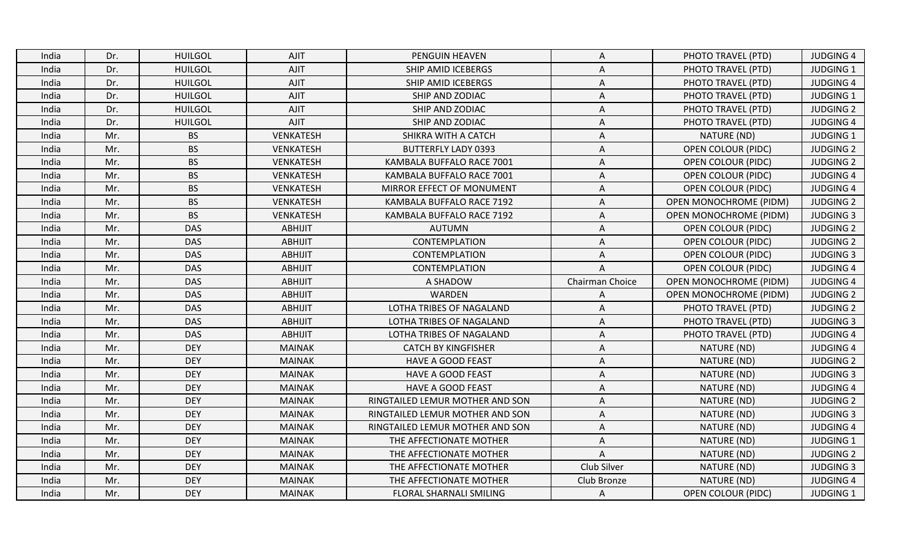| India | Dr. | <b>HUILGOL</b> | <b>AJIT</b>      | PENGUIN HEAVEN                  | A               | PHOTO TRAVEL (PTD)            | <b>JUDGING 4</b> |
|-------|-----|----------------|------------------|---------------------------------|-----------------|-------------------------------|------------------|
| India | Dr. | <b>HUILGOL</b> | AJIT             | SHIP AMID ICEBERGS              | Α               | PHOTO TRAVEL (PTD)            | <b>JUDGING 1</b> |
| India | Dr. | <b>HUILGOL</b> | AJIT             | SHIP AMID ICEBERGS              | A               | PHOTO TRAVEL (PTD)            | <b>JUDGING 4</b> |
| India | Dr. | <b>HUILGOL</b> | AJIT             | SHIP AND ZODIAC                 | A               | PHOTO TRAVEL (PTD)            | <b>JUDGING 1</b> |
| India | Dr. | <b>HUILGOL</b> | AJIT             | SHIP AND ZODIAC                 | Α               | PHOTO TRAVEL (PTD)            | <b>JUDGING 2</b> |
| India | Dr. | <b>HUILGOL</b> | AJIT             | SHIP AND ZODIAC                 | A               | PHOTO TRAVEL (PTD)            | <b>JUDGING 4</b> |
| India | Mr. | <b>BS</b>      | <b>VENKATESH</b> | SHIKRA WITH A CATCH             | Α               | NATURE (ND)                   | <b>JUDGING 1</b> |
| India | Mr. | <b>BS</b>      | <b>VENKATESH</b> | <b>BUTTERFLY LADY 0393</b>      | A               | <b>OPEN COLOUR (PIDC)</b>     | <b>JUDGING 2</b> |
| India | Mr. | <b>BS</b>      | <b>VENKATESH</b> | KAMBALA BUFFALO RACE 7001       | A               | <b>OPEN COLOUR (PIDC)</b>     | <b>JUDGING 2</b> |
| India | Mr. | <b>BS</b>      | <b>VENKATESH</b> | KAMBALA BUFFALO RACE 7001       | A               | <b>OPEN COLOUR (PIDC)</b>     | <b>JUDGING 4</b> |
| India | Mr. | <b>BS</b>      | <b>VENKATESH</b> | MIRROR EFFECT OF MONUMENT       | A               | <b>OPEN COLOUR (PIDC)</b>     | <b>JUDGING 4</b> |
| India | Mr. | <b>BS</b>      | <b>VENKATESH</b> | KAMBALA BUFFALO RACE 7192       | $\mathsf A$     | <b>OPEN MONOCHROME (PIDM)</b> | <b>JUDGING 2</b> |
| India | Mr. | <b>BS</b>      | <b>VENKATESH</b> | KAMBALA BUFFALO RACE 7192       | A               | <b>OPEN MONOCHROME (PIDM)</b> | <b>JUDGING 3</b> |
| India | Mr. | <b>DAS</b>     | <b>ABHIJIT</b>   | <b>AUTUMN</b>                   | A               | <b>OPEN COLOUR (PIDC)</b>     | <b>JUDGING 2</b> |
| India | Mr. | <b>DAS</b>     | <b>ABHIJIT</b>   | CONTEMPLATION                   | A               | OPEN COLOUR (PIDC)            | <b>JUDGING 2</b> |
| India | Mr. | <b>DAS</b>     | <b>ABHIJIT</b>   | <b>CONTEMPLATION</b>            | Α               | <b>OPEN COLOUR (PIDC)</b>     | <b>JUDGING 3</b> |
| India | Mr. | <b>DAS</b>     | <b>ABHIJIT</b>   | CONTEMPLATION                   | $\overline{A}$  | <b>OPEN COLOUR (PIDC)</b>     | <b>JUDGING 4</b> |
| India | Mr. | <b>DAS</b>     | <b>ABHIJIT</b>   | A SHADOW                        | Chairman Choice | <b>OPEN MONOCHROME (PIDM)</b> | <b>JUDGING 4</b> |
| India | Mr. | <b>DAS</b>     | ABHIJIT          | WARDEN                          | A               | <b>OPEN MONOCHROME (PIDM)</b> | <b>JUDGING 2</b> |
| India | Mr. | <b>DAS</b>     | <b>ABHIJIT</b>   | LOTHA TRIBES OF NAGALAND        | A               | PHOTO TRAVEL (PTD)            | <b>JUDGING 2</b> |
| India | Mr. | <b>DAS</b>     | <b>ABHIJIT</b>   | LOTHA TRIBES OF NAGALAND        | A               | PHOTO TRAVEL (PTD)            | <b>JUDGING 3</b> |
| India | Mr. | <b>DAS</b>     | ABHIJIT          | LOTHA TRIBES OF NAGALAND        | Α               | PHOTO TRAVEL (PTD)            | <b>JUDGING 4</b> |
| India | Mr. | <b>DEY</b>     | <b>MAINAK</b>    | <b>CATCH BY KINGFISHER</b>      | A               | NATURE (ND)                   | <b>JUDGING 4</b> |
| India | Mr. | <b>DEY</b>     | <b>MAINAK</b>    | HAVE A GOOD FEAST               | A               | NATURE (ND)                   | <b>JUDGING 2</b> |
| India | Mr. | <b>DEY</b>     | <b>MAINAK</b>    | <b>HAVE A GOOD FEAST</b>        | A               | NATURE (ND)                   | <b>JUDGING 3</b> |
| India | Mr. | <b>DEY</b>     | <b>MAINAK</b>    | <b>HAVE A GOOD FEAST</b>        | A               | NATURE (ND)                   | <b>JUDGING 4</b> |
| India | Mr. | <b>DEY</b>     | <b>MAINAK</b>    | RINGTAILED LEMUR MOTHER AND SON | Α               | NATURE (ND)                   | <b>JUDGING 2</b> |
| India | Mr. | <b>DEY</b>     | <b>MAINAK</b>    | RINGTAILED LEMUR MOTHER AND SON | A               | NATURE (ND)                   | <b>JUDGING 3</b> |
| India | Mr. | <b>DEY</b>     | <b>MAINAK</b>    | RINGTAILED LEMUR MOTHER AND SON | A               | NATURE (ND)                   | <b>JUDGING 4</b> |
| India | Mr. | <b>DEY</b>     | <b>MAINAK</b>    | THE AFFECTIONATE MOTHER         | A               | NATURE (ND)                   | <b>JUDGING 1</b> |
| India | Mr. | <b>DEY</b>     | <b>MAINAK</b>    | THE AFFECTIONATE MOTHER         | $\mathsf{A}$    | NATURE (ND)                   | <b>JUDGING 2</b> |
| India | Mr. | <b>DEY</b>     | <b>MAINAK</b>    | THE AFFECTIONATE MOTHER         | Club Silver     | NATURE (ND)                   | <b>JUDGING 3</b> |
| India | Mr. | <b>DEY</b>     | <b>MAINAK</b>    | THE AFFECTIONATE MOTHER         | Club Bronze     | NATURE (ND)                   | <b>JUDGING 4</b> |
| India | Mr. | <b>DEY</b>     | <b>MAINAK</b>    | FLORAL SHARNALI SMILING         | A               | <b>OPEN COLOUR (PIDC)</b>     | <b>JUDGING 1</b> |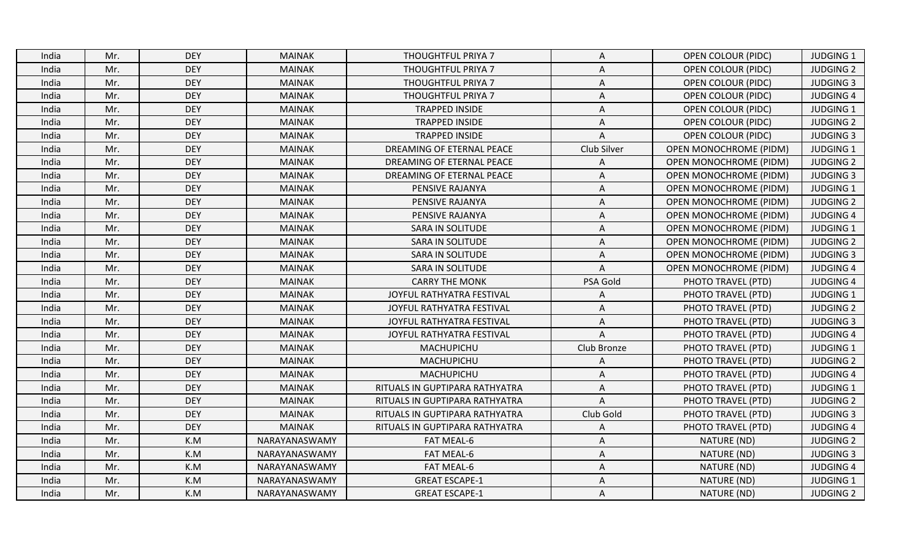| India | Mr. | <b>DEY</b> | <b>MAINAK</b> | THOUGHTFUL PRIYA 7             | A              | <b>OPEN COLOUR (PIDC)</b>     | <b>JUDGING 1</b> |
|-------|-----|------------|---------------|--------------------------------|----------------|-------------------------------|------------------|
| India | Mr. | <b>DEY</b> | <b>MAINAK</b> | THOUGHTFUL PRIYA 7             | A              | <b>OPEN COLOUR (PIDC)</b>     | <b>JUDGING 2</b> |
| India | Mr. | <b>DEY</b> | <b>MAINAK</b> | THOUGHTFUL PRIYA 7             | A              | <b>OPEN COLOUR (PIDC)</b>     | <b>JUDGING 3</b> |
| India | Mr. | <b>DEY</b> | <b>MAINAK</b> | THOUGHTFUL PRIYA 7             | A              | <b>OPEN COLOUR (PIDC)</b>     | <b>JUDGING 4</b> |
| India | Mr. | <b>DEY</b> | <b>MAINAK</b> | <b>TRAPPED INSIDE</b>          | A              | <b>OPEN COLOUR (PIDC)</b>     | <b>JUDGING 1</b> |
| India | Mr. | <b>DEY</b> | <b>MAINAK</b> | <b>TRAPPED INSIDE</b>          | A              | <b>OPEN COLOUR (PIDC)</b>     | <b>JUDGING 2</b> |
| India | Mr. | <b>DEY</b> | <b>MAINAK</b> | <b>TRAPPED INSIDE</b>          | $\overline{A}$ | <b>OPEN COLOUR (PIDC)</b>     | <b>JUDGING 3</b> |
| India | Mr. | <b>DEY</b> | <b>MAINAK</b> | DREAMING OF ETERNAL PEACE      | Club Silver    | <b>OPEN MONOCHROME (PIDM)</b> | <b>JUDGING 1</b> |
| India | Mr. | <b>DEY</b> | <b>MAINAK</b> | DREAMING OF ETERNAL PEACE      | A              | <b>OPEN MONOCHROME (PIDM)</b> | <b>JUDGING 2</b> |
| India | Mr. | <b>DEY</b> | <b>MAINAK</b> | DREAMING OF ETERNAL PEACE      | A              | <b>OPEN MONOCHROME (PIDM)</b> | <b>JUDGING 3</b> |
| India | Mr. | <b>DEY</b> | <b>MAINAK</b> | PENSIVE RAJANYA                | A              | <b>OPEN MONOCHROME (PIDM)</b> | <b>JUDGING 1</b> |
| India | Mr. | <b>DEY</b> | <b>MAINAK</b> | PENSIVE RAJANYA                | Α              | <b>OPEN MONOCHROME (PIDM)</b> | <b>JUDGING 2</b> |
| India | Mr. | <b>DEY</b> | <b>MAINAK</b> | PENSIVE RAJANYA                | A              | <b>OPEN MONOCHROME (PIDM)</b> | <b>JUDGING 4</b> |
| India | Mr. | <b>DEY</b> | <b>MAINAK</b> | <b>SARA IN SOLITUDE</b>        | A              | <b>OPEN MONOCHROME (PIDM)</b> | <b>JUDGING 1</b> |
| India | Mr. | <b>DEY</b> | <b>MAINAK</b> | <b>SARA IN SOLITUDE</b>        | A              | <b>OPEN MONOCHROME (PIDM)</b> | <b>JUDGING 2</b> |
| India | Mr. | <b>DEY</b> | <b>MAINAK</b> | <b>SARA IN SOLITUDE</b>        | Α              | <b>OPEN MONOCHROME (PIDM)</b> | <b>JUDGING 3</b> |
| India | Mr. | <b>DEY</b> | <b>MAINAK</b> | SARA IN SOLITUDE               | $\Lambda$      | <b>OPEN MONOCHROME (PIDM)</b> | <b>JUDGING 4</b> |
| India | Mr. | <b>DEY</b> | <b>MAINAK</b> | <b>CARRY THE MONK</b>          | PSA Gold       | PHOTO TRAVEL (PTD)            | <b>JUDGING 4</b> |
| India | Mr. | <b>DEY</b> | <b>MAINAK</b> | JOYFUL RATHYATRA FESTIVAL      | Α              | PHOTO TRAVEL (PTD)            | <b>JUDGING 1</b> |
| India | Mr. | <b>DEY</b> | <b>MAINAK</b> | JOYFUL RATHYATRA FESTIVAL      | A              | PHOTO TRAVEL (PTD)            | <b>JUDGING 2</b> |
| India | Mr. | <b>DEY</b> | <b>MAINAK</b> | JOYFUL RATHYATRA FESTIVAL      | Α              | PHOTO TRAVEL (PTD)            | <b>JUDGING 3</b> |
| India | Mr. | <b>DEY</b> | <b>MAINAK</b> | JOYFUL RATHYATRA FESTIVAL      | A              | PHOTO TRAVEL (PTD)            | <b>JUDGING 4</b> |
| India | Mr. | <b>DEY</b> | <b>MAINAK</b> | MACHUPICHU                     | Club Bronze    | PHOTO TRAVEL (PTD)            | JUDGING 1        |
| India | Mr. | <b>DEY</b> | <b>MAINAK</b> | MACHUPICHU                     | A              | PHOTO TRAVEL (PTD)            | <b>JUDGING 2</b> |
| India | Mr. | <b>DEY</b> | <b>MAINAK</b> | MACHUPICHU                     | Α              | PHOTO TRAVEL (PTD)            | <b>JUDGING 4</b> |
| India | Mr. | <b>DEY</b> | <b>MAINAK</b> | RITUALS IN GUPTIPARA RATHYATRA | A              | PHOTO TRAVEL (PTD)            | <b>JUDGING 1</b> |
| India | Mr. | <b>DEY</b> | <b>MAINAK</b> | RITUALS IN GUPTIPARA RATHYATRA | $\overline{A}$ | PHOTO TRAVEL (PTD)            | <b>JUDGING 2</b> |
| India | Mr. | <b>DEY</b> | <b>MAINAK</b> | RITUALS IN GUPTIPARA RATHYATRA | Club Gold      | PHOTO TRAVEL (PTD)            | <b>JUDGING 3</b> |
| India | Mr. | <b>DEY</b> | <b>MAINAK</b> | RITUALS IN GUPTIPARA RATHYATRA | A              | PHOTO TRAVEL (PTD)            | <b>JUDGING 4</b> |
| India | Mr. | K.M        | NARAYANASWAMY | FAT MEAL-6                     | Α              | NATURE (ND)                   | <b>JUDGING 2</b> |
| India | Mr. | K.M        | NARAYANASWAMY | FAT MEAL-6                     | A              | NATURE (ND)                   | <b>JUDGING 3</b> |
| India | Mr. | K.M        | NARAYANASWAMY | FAT MEAL-6                     | A              | NATURE (ND)                   | <b>JUDGING 4</b> |
| India | Mr. | K.M        | NARAYANASWAMY | <b>GREAT ESCAPE-1</b>          | $\overline{A}$ | NATURE (ND)                   | <b>JUDGING 1</b> |
| India | Mr. | K.M        | NARAYANASWAMY | <b>GREAT ESCAPE-1</b>          | A              | NATURE (ND)                   | <b>JUDGING 2</b> |
|       |     |            |               |                                |                |                               |                  |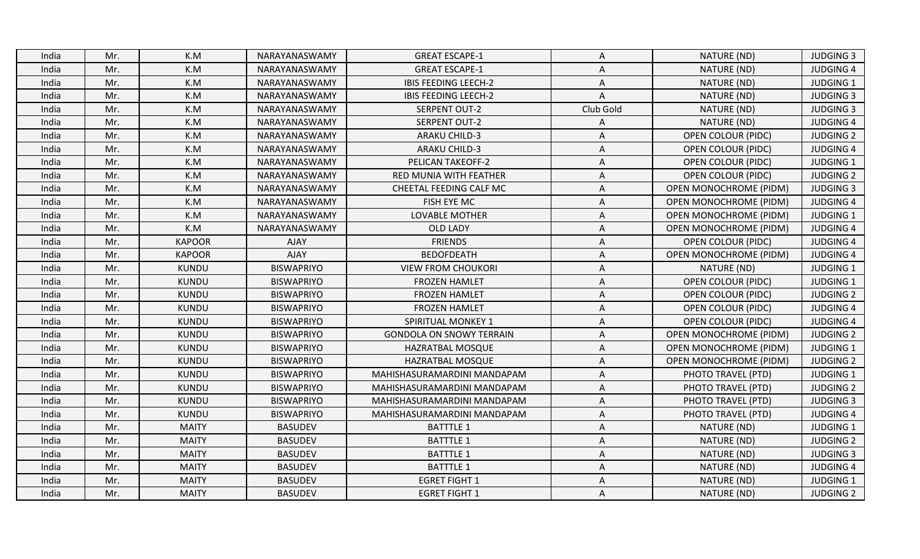| K.M<br>NARAYANASWAMY<br><b>GREAT ESCAPE-1</b><br>NATURE (ND)<br><b>JUDGING 3</b><br>India<br>Mr.<br>A<br><b>JUDGING 4</b><br>Mr.<br>K.M<br>NARAYANASWAMY<br><b>GREAT ESCAPE-1</b><br>A<br>NATURE (ND)<br>India<br>Mr.<br>K.M<br><b>IBIS FEEDING LEECH-2</b><br><b>JUDGING 1</b><br>NARAYANASWAMY<br>A<br>NATURE (ND)<br>India<br>$\mathsf{A}$<br>Mr.<br>K.M<br><b>IBIS FEEDING LEECH-2</b><br><b>JUDGING 3</b><br>NARAYANASWAMY<br>NATURE (ND)<br>India<br>Mr.<br>K.M<br>Club Gold<br>NATURE (ND)<br><b>JUDGING 3</b><br>India<br>NARAYANASWAMY<br><b>SERPENT OUT-2</b><br>Mr.<br>K.M<br><b>SERPENT OUT-2</b><br>India<br>NARAYANASWAMY<br>NATURE (ND)<br><b>JUDGING 4</b><br>A<br>Mr.<br>K.M<br>NARAYANASWAMY<br><b>ARAKU CHILD-3</b><br>$\mathsf A$<br><b>OPEN COLOUR (PIDC)</b><br><b>JUDGING 2</b><br>India<br>Mr.<br>K.M<br><b>ARAKU CHILD-3</b><br><b>OPEN COLOUR (PIDC)</b><br><b>JUDGING 4</b><br>NARAYANASWAMY<br>A<br>India<br>Mr.<br>K.M<br><b>PELICAN TAKEOFF-2</b><br>A<br><b>OPEN COLOUR (PIDC)</b><br><b>JUDGING 1</b><br>India<br>NARAYANASWAMY<br>Mr.<br>K.M<br>NARAYANASWAMY<br>RED MUNIA WITH FEATHER<br><b>JUDGING 2</b><br>India<br>A<br><b>OPEN COLOUR (PIDC)</b><br>Mr.<br>K.M<br><b>JUDGING 3</b><br>India<br>NARAYANASWAMY<br>CHEETAL FEEDING CALF MC<br>A<br><b>OPEN MONOCHROME (PIDM)</b><br>Mr.<br>K.M<br>NARAYANASWAMY<br>FISH EYE MC<br>$\mathsf A$<br><b>JUDGING 4</b><br>India<br><b>OPEN MONOCHROME (PIDM)</b><br>Mr.<br>K.M<br>LOVABLE MOTHER<br><b>JUDGING 1</b><br>India<br>NARAYANASWAMY<br>A<br><b>OPEN MONOCHROME (PIDM)</b><br>K.M<br>Mr.<br>NARAYANASWAMY<br><b>OLD LADY</b><br><b>OPEN MONOCHROME (PIDM)</b><br><b>JUDGING 4</b><br>India<br>A<br>Mr.<br><b>KAPOOR</b><br><b>FRIENDS</b><br><b>JUDGING 4</b><br>India<br><b>AJAY</b><br>A<br>OPEN COLOUR (PIDC)<br><b>KAPOOR</b><br>Mr.<br><b>AJAY</b><br><b>BEDOFDEATH</b><br><b>OPEN MONOCHROME (PIDM)</b><br><b>JUDGING 4</b><br>India<br>Α<br>Mr.<br>KUNDU<br><b>BISWAPRIYO</b><br><b>VIEW FROM CHOUKORI</b><br>$\mathsf A$<br><b>JUDGING 1</b><br>India<br>NATURE (ND)<br>Mr.<br><b>KUNDU</b><br><b>BISWAPRIYO</b><br>A<br><b>OPEN COLOUR (PIDC)</b><br><b>JUDGING 1</b><br>India<br><b>FROZEN HAMLET</b><br>KUNDU<br><b>BISWAPRIYO</b><br>OPEN COLOUR (PIDC)<br><b>JUDGING 2</b><br>India<br>Mr.<br><b>FROZEN HAMLET</b><br>A<br><b>KUNDU</b><br>Mr.<br><b>BISWAPRIYO</b><br><b>FROZEN HAMLET</b><br>A<br><b>JUDGING 4</b><br>India<br><b>OPEN COLOUR (PIDC)</b><br>Mr.<br>KUNDU<br><b>BISWAPRIYO</b><br><b>JUDGING 4</b><br>SPIRITUAL MONKEY 1<br><b>OPEN COLOUR (PIDC)</b><br>India<br>Α<br>Mr.<br>KUNDU<br><b>BISWAPRIYO</b><br><b>GONDOLA ON SNOWY TERRAIN</b><br><b>OPEN MONOCHROME (PIDM)</b><br><b>JUDGING 2</b><br>India<br>Α<br><b>BISWAPRIYO</b><br>Mr.<br><b>KUNDU</b><br>HAZRATBAL MOSQUE<br><b>OPEN MONOCHROME (PIDM)</b><br>JUDGING 1<br>India<br>A<br>Mr.<br><b>BISWAPRIYO</b><br>HAZRATBAL MOSQUE<br>India<br><b>KUNDU</b><br>Α<br><b>OPEN MONOCHROME (PIDM)</b><br><b>JUDGING 2</b><br>Mr.<br><b>KUNDU</b><br><b>BISWAPRIYO</b><br><b>JUDGING 1</b><br>MAHISHASURAMARDINI MANDAPAM<br>A<br>PHOTO TRAVEL (PTD)<br>India<br>Mr.<br><b>KUNDU</b><br><b>BISWAPRIYO</b><br>PHOTO TRAVEL (PTD)<br><b>JUDGING 2</b><br>India<br>MAHISHASURAMARDINI MANDAPAM<br>Α<br>KUNDU<br><b>BISWAPRIYO</b><br>India<br>Mr.<br>MAHISHASURAMARDINI MANDAPAM<br>A<br>PHOTO TRAVEL (PTD)<br><b>JUDGING 3</b><br>Mr.<br><b>KUNDU</b><br><b>BISWAPRIYO</b><br>MAHISHASURAMARDINI MANDAPAM<br>PHOTO TRAVEL (PTD)<br><b>JUDGING 4</b><br>India<br>A<br>Mr.<br><b>MAITY</b><br><b>BASUDEV</b><br><b>BATTTLE 1</b><br>India<br>A<br>NATURE (ND)<br><b>JUDGING 1</b><br>Mr.<br><b>MAITY</b><br><b>BASUDEV</b><br><b>BATTTLE 1</b><br><b>JUDGING 2</b><br>Α<br>NATURE (ND)<br>India<br>Mr.<br><b>MAITY</b><br><b>BASUDEV</b><br><b>BATTTLE 1</b><br>A<br>NATURE (ND)<br><b>JUDGING 3</b><br>India<br><b>MAITY</b><br><b>BASUDEV</b><br><b>BATTTLE 1</b><br><b>JUDGING 4</b><br>India<br>Mr.<br>Α<br>NATURE (ND)<br><b>EGRET FIGHT 1</b><br><b>JUDGING 1</b><br>Mr.<br><b>MAITY</b><br><b>BASUDEV</b><br>NATURE (ND)<br>India<br>A<br>Mr.<br><b>BASUDEV</b><br><b>EGRET FIGHT 1</b><br>Α<br><b>JUDGING 2</b><br>India<br><b>MAITY</b><br>NATURE (ND) |  |  |  |  |
|---------------------------------------------------------------------------------------------------------------------------------------------------------------------------------------------------------------------------------------------------------------------------------------------------------------------------------------------------------------------------------------------------------------------------------------------------------------------------------------------------------------------------------------------------------------------------------------------------------------------------------------------------------------------------------------------------------------------------------------------------------------------------------------------------------------------------------------------------------------------------------------------------------------------------------------------------------------------------------------------------------------------------------------------------------------------------------------------------------------------------------------------------------------------------------------------------------------------------------------------------------------------------------------------------------------------------------------------------------------------------------------------------------------------------------------------------------------------------------------------------------------------------------------------------------------------------------------------------------------------------------------------------------------------------------------------------------------------------------------------------------------------------------------------------------------------------------------------------------------------------------------------------------------------------------------------------------------------------------------------------------------------------------------------------------------------------------------------------------------------------------------------------------------------------------------------------------------------------------------------------------------------------------------------------------------------------------------------------------------------------------------------------------------------------------------------------------------------------------------------------------------------------------------------------------------------------------------------------------------------------------------------------------------------------------------------------------------------------------------------------------------------------------------------------------------------------------------------------------------------------------------------------------------------------------------------------------------------------------------------------------------------------------------------------------------------------------------------------------------------------------------------------------------------------------------------------------------------------------------------------------------------------------------------------------------------------------------------------------------------------------------------------------------------------------------------------------------------------------------------------------------------------------------------------------------------------------------------------------------------------------------------------------------------------------------------------------------------------------------------------------------------------------------------------------------------------------------------------------------------------------------------------------------------------------------------------------------------------------------------------------------------------------------------------------------------------------------------------------------------------------------------------------------------------------------------------------------------------------------|--|--|--|--|
|                                                                                                                                                                                                                                                                                                                                                                                                                                                                                                                                                                                                                                                                                                                                                                                                                                                                                                                                                                                                                                                                                                                                                                                                                                                                                                                                                                                                                                                                                                                                                                                                                                                                                                                                                                                                                                                                                                                                                                                                                                                                                                                                                                                                                                                                                                                                                                                                                                                                                                                                                                                                                                                                                                                                                                                                                                                                                                                                                                                                                                                                                                                                                                                                                                                                                                                                                                                                                                                                                                                                                                                                                                                                                                                                                                                                                                                                                                                                                                                                                                                                                                                                                                                                                                       |  |  |  |  |
|                                                                                                                                                                                                                                                                                                                                                                                                                                                                                                                                                                                                                                                                                                                                                                                                                                                                                                                                                                                                                                                                                                                                                                                                                                                                                                                                                                                                                                                                                                                                                                                                                                                                                                                                                                                                                                                                                                                                                                                                                                                                                                                                                                                                                                                                                                                                                                                                                                                                                                                                                                                                                                                                                                                                                                                                                                                                                                                                                                                                                                                                                                                                                                                                                                                                                                                                                                                                                                                                                                                                                                                                                                                                                                                                                                                                                                                                                                                                                                                                                                                                                                                                                                                                                                       |  |  |  |  |
|                                                                                                                                                                                                                                                                                                                                                                                                                                                                                                                                                                                                                                                                                                                                                                                                                                                                                                                                                                                                                                                                                                                                                                                                                                                                                                                                                                                                                                                                                                                                                                                                                                                                                                                                                                                                                                                                                                                                                                                                                                                                                                                                                                                                                                                                                                                                                                                                                                                                                                                                                                                                                                                                                                                                                                                                                                                                                                                                                                                                                                                                                                                                                                                                                                                                                                                                                                                                                                                                                                                                                                                                                                                                                                                                                                                                                                                                                                                                                                                                                                                                                                                                                                                                                                       |  |  |  |  |
|                                                                                                                                                                                                                                                                                                                                                                                                                                                                                                                                                                                                                                                                                                                                                                                                                                                                                                                                                                                                                                                                                                                                                                                                                                                                                                                                                                                                                                                                                                                                                                                                                                                                                                                                                                                                                                                                                                                                                                                                                                                                                                                                                                                                                                                                                                                                                                                                                                                                                                                                                                                                                                                                                                                                                                                                                                                                                                                                                                                                                                                                                                                                                                                                                                                                                                                                                                                                                                                                                                                                                                                                                                                                                                                                                                                                                                                                                                                                                                                                                                                                                                                                                                                                                                       |  |  |  |  |
|                                                                                                                                                                                                                                                                                                                                                                                                                                                                                                                                                                                                                                                                                                                                                                                                                                                                                                                                                                                                                                                                                                                                                                                                                                                                                                                                                                                                                                                                                                                                                                                                                                                                                                                                                                                                                                                                                                                                                                                                                                                                                                                                                                                                                                                                                                                                                                                                                                                                                                                                                                                                                                                                                                                                                                                                                                                                                                                                                                                                                                                                                                                                                                                                                                                                                                                                                                                                                                                                                                                                                                                                                                                                                                                                                                                                                                                                                                                                                                                                                                                                                                                                                                                                                                       |  |  |  |  |
|                                                                                                                                                                                                                                                                                                                                                                                                                                                                                                                                                                                                                                                                                                                                                                                                                                                                                                                                                                                                                                                                                                                                                                                                                                                                                                                                                                                                                                                                                                                                                                                                                                                                                                                                                                                                                                                                                                                                                                                                                                                                                                                                                                                                                                                                                                                                                                                                                                                                                                                                                                                                                                                                                                                                                                                                                                                                                                                                                                                                                                                                                                                                                                                                                                                                                                                                                                                                                                                                                                                                                                                                                                                                                                                                                                                                                                                                                                                                                                                                                                                                                                                                                                                                                                       |  |  |  |  |
|                                                                                                                                                                                                                                                                                                                                                                                                                                                                                                                                                                                                                                                                                                                                                                                                                                                                                                                                                                                                                                                                                                                                                                                                                                                                                                                                                                                                                                                                                                                                                                                                                                                                                                                                                                                                                                                                                                                                                                                                                                                                                                                                                                                                                                                                                                                                                                                                                                                                                                                                                                                                                                                                                                                                                                                                                                                                                                                                                                                                                                                                                                                                                                                                                                                                                                                                                                                                                                                                                                                                                                                                                                                                                                                                                                                                                                                                                                                                                                                                                                                                                                                                                                                                                                       |  |  |  |  |
|                                                                                                                                                                                                                                                                                                                                                                                                                                                                                                                                                                                                                                                                                                                                                                                                                                                                                                                                                                                                                                                                                                                                                                                                                                                                                                                                                                                                                                                                                                                                                                                                                                                                                                                                                                                                                                                                                                                                                                                                                                                                                                                                                                                                                                                                                                                                                                                                                                                                                                                                                                                                                                                                                                                                                                                                                                                                                                                                                                                                                                                                                                                                                                                                                                                                                                                                                                                                                                                                                                                                                                                                                                                                                                                                                                                                                                                                                                                                                                                                                                                                                                                                                                                                                                       |  |  |  |  |
|                                                                                                                                                                                                                                                                                                                                                                                                                                                                                                                                                                                                                                                                                                                                                                                                                                                                                                                                                                                                                                                                                                                                                                                                                                                                                                                                                                                                                                                                                                                                                                                                                                                                                                                                                                                                                                                                                                                                                                                                                                                                                                                                                                                                                                                                                                                                                                                                                                                                                                                                                                                                                                                                                                                                                                                                                                                                                                                                                                                                                                                                                                                                                                                                                                                                                                                                                                                                                                                                                                                                                                                                                                                                                                                                                                                                                                                                                                                                                                                                                                                                                                                                                                                                                                       |  |  |  |  |
|                                                                                                                                                                                                                                                                                                                                                                                                                                                                                                                                                                                                                                                                                                                                                                                                                                                                                                                                                                                                                                                                                                                                                                                                                                                                                                                                                                                                                                                                                                                                                                                                                                                                                                                                                                                                                                                                                                                                                                                                                                                                                                                                                                                                                                                                                                                                                                                                                                                                                                                                                                                                                                                                                                                                                                                                                                                                                                                                                                                                                                                                                                                                                                                                                                                                                                                                                                                                                                                                                                                                                                                                                                                                                                                                                                                                                                                                                                                                                                                                                                                                                                                                                                                                                                       |  |  |  |  |
|                                                                                                                                                                                                                                                                                                                                                                                                                                                                                                                                                                                                                                                                                                                                                                                                                                                                                                                                                                                                                                                                                                                                                                                                                                                                                                                                                                                                                                                                                                                                                                                                                                                                                                                                                                                                                                                                                                                                                                                                                                                                                                                                                                                                                                                                                                                                                                                                                                                                                                                                                                                                                                                                                                                                                                                                                                                                                                                                                                                                                                                                                                                                                                                                                                                                                                                                                                                                                                                                                                                                                                                                                                                                                                                                                                                                                                                                                                                                                                                                                                                                                                                                                                                                                                       |  |  |  |  |
|                                                                                                                                                                                                                                                                                                                                                                                                                                                                                                                                                                                                                                                                                                                                                                                                                                                                                                                                                                                                                                                                                                                                                                                                                                                                                                                                                                                                                                                                                                                                                                                                                                                                                                                                                                                                                                                                                                                                                                                                                                                                                                                                                                                                                                                                                                                                                                                                                                                                                                                                                                                                                                                                                                                                                                                                                                                                                                                                                                                                                                                                                                                                                                                                                                                                                                                                                                                                                                                                                                                                                                                                                                                                                                                                                                                                                                                                                                                                                                                                                                                                                                                                                                                                                                       |  |  |  |  |
|                                                                                                                                                                                                                                                                                                                                                                                                                                                                                                                                                                                                                                                                                                                                                                                                                                                                                                                                                                                                                                                                                                                                                                                                                                                                                                                                                                                                                                                                                                                                                                                                                                                                                                                                                                                                                                                                                                                                                                                                                                                                                                                                                                                                                                                                                                                                                                                                                                                                                                                                                                                                                                                                                                                                                                                                                                                                                                                                                                                                                                                                                                                                                                                                                                                                                                                                                                                                                                                                                                                                                                                                                                                                                                                                                                                                                                                                                                                                                                                                                                                                                                                                                                                                                                       |  |  |  |  |
|                                                                                                                                                                                                                                                                                                                                                                                                                                                                                                                                                                                                                                                                                                                                                                                                                                                                                                                                                                                                                                                                                                                                                                                                                                                                                                                                                                                                                                                                                                                                                                                                                                                                                                                                                                                                                                                                                                                                                                                                                                                                                                                                                                                                                                                                                                                                                                                                                                                                                                                                                                                                                                                                                                                                                                                                                                                                                                                                                                                                                                                                                                                                                                                                                                                                                                                                                                                                                                                                                                                                                                                                                                                                                                                                                                                                                                                                                                                                                                                                                                                                                                                                                                                                                                       |  |  |  |  |
|                                                                                                                                                                                                                                                                                                                                                                                                                                                                                                                                                                                                                                                                                                                                                                                                                                                                                                                                                                                                                                                                                                                                                                                                                                                                                                                                                                                                                                                                                                                                                                                                                                                                                                                                                                                                                                                                                                                                                                                                                                                                                                                                                                                                                                                                                                                                                                                                                                                                                                                                                                                                                                                                                                                                                                                                                                                                                                                                                                                                                                                                                                                                                                                                                                                                                                                                                                                                                                                                                                                                                                                                                                                                                                                                                                                                                                                                                                                                                                                                                                                                                                                                                                                                                                       |  |  |  |  |
|                                                                                                                                                                                                                                                                                                                                                                                                                                                                                                                                                                                                                                                                                                                                                                                                                                                                                                                                                                                                                                                                                                                                                                                                                                                                                                                                                                                                                                                                                                                                                                                                                                                                                                                                                                                                                                                                                                                                                                                                                                                                                                                                                                                                                                                                                                                                                                                                                                                                                                                                                                                                                                                                                                                                                                                                                                                                                                                                                                                                                                                                                                                                                                                                                                                                                                                                                                                                                                                                                                                                                                                                                                                                                                                                                                                                                                                                                                                                                                                                                                                                                                                                                                                                                                       |  |  |  |  |
|                                                                                                                                                                                                                                                                                                                                                                                                                                                                                                                                                                                                                                                                                                                                                                                                                                                                                                                                                                                                                                                                                                                                                                                                                                                                                                                                                                                                                                                                                                                                                                                                                                                                                                                                                                                                                                                                                                                                                                                                                                                                                                                                                                                                                                                                                                                                                                                                                                                                                                                                                                                                                                                                                                                                                                                                                                                                                                                                                                                                                                                                                                                                                                                                                                                                                                                                                                                                                                                                                                                                                                                                                                                                                                                                                                                                                                                                                                                                                                                                                                                                                                                                                                                                                                       |  |  |  |  |
|                                                                                                                                                                                                                                                                                                                                                                                                                                                                                                                                                                                                                                                                                                                                                                                                                                                                                                                                                                                                                                                                                                                                                                                                                                                                                                                                                                                                                                                                                                                                                                                                                                                                                                                                                                                                                                                                                                                                                                                                                                                                                                                                                                                                                                                                                                                                                                                                                                                                                                                                                                                                                                                                                                                                                                                                                                                                                                                                                                                                                                                                                                                                                                                                                                                                                                                                                                                                                                                                                                                                                                                                                                                                                                                                                                                                                                                                                                                                                                                                                                                                                                                                                                                                                                       |  |  |  |  |
|                                                                                                                                                                                                                                                                                                                                                                                                                                                                                                                                                                                                                                                                                                                                                                                                                                                                                                                                                                                                                                                                                                                                                                                                                                                                                                                                                                                                                                                                                                                                                                                                                                                                                                                                                                                                                                                                                                                                                                                                                                                                                                                                                                                                                                                                                                                                                                                                                                                                                                                                                                                                                                                                                                                                                                                                                                                                                                                                                                                                                                                                                                                                                                                                                                                                                                                                                                                                                                                                                                                                                                                                                                                                                                                                                                                                                                                                                                                                                                                                                                                                                                                                                                                                                                       |  |  |  |  |
|                                                                                                                                                                                                                                                                                                                                                                                                                                                                                                                                                                                                                                                                                                                                                                                                                                                                                                                                                                                                                                                                                                                                                                                                                                                                                                                                                                                                                                                                                                                                                                                                                                                                                                                                                                                                                                                                                                                                                                                                                                                                                                                                                                                                                                                                                                                                                                                                                                                                                                                                                                                                                                                                                                                                                                                                                                                                                                                                                                                                                                                                                                                                                                                                                                                                                                                                                                                                                                                                                                                                                                                                                                                                                                                                                                                                                                                                                                                                                                                                                                                                                                                                                                                                                                       |  |  |  |  |
|                                                                                                                                                                                                                                                                                                                                                                                                                                                                                                                                                                                                                                                                                                                                                                                                                                                                                                                                                                                                                                                                                                                                                                                                                                                                                                                                                                                                                                                                                                                                                                                                                                                                                                                                                                                                                                                                                                                                                                                                                                                                                                                                                                                                                                                                                                                                                                                                                                                                                                                                                                                                                                                                                                                                                                                                                                                                                                                                                                                                                                                                                                                                                                                                                                                                                                                                                                                                                                                                                                                                                                                                                                                                                                                                                                                                                                                                                                                                                                                                                                                                                                                                                                                                                                       |  |  |  |  |
|                                                                                                                                                                                                                                                                                                                                                                                                                                                                                                                                                                                                                                                                                                                                                                                                                                                                                                                                                                                                                                                                                                                                                                                                                                                                                                                                                                                                                                                                                                                                                                                                                                                                                                                                                                                                                                                                                                                                                                                                                                                                                                                                                                                                                                                                                                                                                                                                                                                                                                                                                                                                                                                                                                                                                                                                                                                                                                                                                                                                                                                                                                                                                                                                                                                                                                                                                                                                                                                                                                                                                                                                                                                                                                                                                                                                                                                                                                                                                                                                                                                                                                                                                                                                                                       |  |  |  |  |
|                                                                                                                                                                                                                                                                                                                                                                                                                                                                                                                                                                                                                                                                                                                                                                                                                                                                                                                                                                                                                                                                                                                                                                                                                                                                                                                                                                                                                                                                                                                                                                                                                                                                                                                                                                                                                                                                                                                                                                                                                                                                                                                                                                                                                                                                                                                                                                                                                                                                                                                                                                                                                                                                                                                                                                                                                                                                                                                                                                                                                                                                                                                                                                                                                                                                                                                                                                                                                                                                                                                                                                                                                                                                                                                                                                                                                                                                                                                                                                                                                                                                                                                                                                                                                                       |  |  |  |  |
|                                                                                                                                                                                                                                                                                                                                                                                                                                                                                                                                                                                                                                                                                                                                                                                                                                                                                                                                                                                                                                                                                                                                                                                                                                                                                                                                                                                                                                                                                                                                                                                                                                                                                                                                                                                                                                                                                                                                                                                                                                                                                                                                                                                                                                                                                                                                                                                                                                                                                                                                                                                                                                                                                                                                                                                                                                                                                                                                                                                                                                                                                                                                                                                                                                                                                                                                                                                                                                                                                                                                                                                                                                                                                                                                                                                                                                                                                                                                                                                                                                                                                                                                                                                                                                       |  |  |  |  |
|                                                                                                                                                                                                                                                                                                                                                                                                                                                                                                                                                                                                                                                                                                                                                                                                                                                                                                                                                                                                                                                                                                                                                                                                                                                                                                                                                                                                                                                                                                                                                                                                                                                                                                                                                                                                                                                                                                                                                                                                                                                                                                                                                                                                                                                                                                                                                                                                                                                                                                                                                                                                                                                                                                                                                                                                                                                                                                                                                                                                                                                                                                                                                                                                                                                                                                                                                                                                                                                                                                                                                                                                                                                                                                                                                                                                                                                                                                                                                                                                                                                                                                                                                                                                                                       |  |  |  |  |
|                                                                                                                                                                                                                                                                                                                                                                                                                                                                                                                                                                                                                                                                                                                                                                                                                                                                                                                                                                                                                                                                                                                                                                                                                                                                                                                                                                                                                                                                                                                                                                                                                                                                                                                                                                                                                                                                                                                                                                                                                                                                                                                                                                                                                                                                                                                                                                                                                                                                                                                                                                                                                                                                                                                                                                                                                                                                                                                                                                                                                                                                                                                                                                                                                                                                                                                                                                                                                                                                                                                                                                                                                                                                                                                                                                                                                                                                                                                                                                                                                                                                                                                                                                                                                                       |  |  |  |  |
|                                                                                                                                                                                                                                                                                                                                                                                                                                                                                                                                                                                                                                                                                                                                                                                                                                                                                                                                                                                                                                                                                                                                                                                                                                                                                                                                                                                                                                                                                                                                                                                                                                                                                                                                                                                                                                                                                                                                                                                                                                                                                                                                                                                                                                                                                                                                                                                                                                                                                                                                                                                                                                                                                                                                                                                                                                                                                                                                                                                                                                                                                                                                                                                                                                                                                                                                                                                                                                                                                                                                                                                                                                                                                                                                                                                                                                                                                                                                                                                                                                                                                                                                                                                                                                       |  |  |  |  |
|                                                                                                                                                                                                                                                                                                                                                                                                                                                                                                                                                                                                                                                                                                                                                                                                                                                                                                                                                                                                                                                                                                                                                                                                                                                                                                                                                                                                                                                                                                                                                                                                                                                                                                                                                                                                                                                                                                                                                                                                                                                                                                                                                                                                                                                                                                                                                                                                                                                                                                                                                                                                                                                                                                                                                                                                                                                                                                                                                                                                                                                                                                                                                                                                                                                                                                                                                                                                                                                                                                                                                                                                                                                                                                                                                                                                                                                                                                                                                                                                                                                                                                                                                                                                                                       |  |  |  |  |
|                                                                                                                                                                                                                                                                                                                                                                                                                                                                                                                                                                                                                                                                                                                                                                                                                                                                                                                                                                                                                                                                                                                                                                                                                                                                                                                                                                                                                                                                                                                                                                                                                                                                                                                                                                                                                                                                                                                                                                                                                                                                                                                                                                                                                                                                                                                                                                                                                                                                                                                                                                                                                                                                                                                                                                                                                                                                                                                                                                                                                                                                                                                                                                                                                                                                                                                                                                                                                                                                                                                                                                                                                                                                                                                                                                                                                                                                                                                                                                                                                                                                                                                                                                                                                                       |  |  |  |  |
|                                                                                                                                                                                                                                                                                                                                                                                                                                                                                                                                                                                                                                                                                                                                                                                                                                                                                                                                                                                                                                                                                                                                                                                                                                                                                                                                                                                                                                                                                                                                                                                                                                                                                                                                                                                                                                                                                                                                                                                                                                                                                                                                                                                                                                                                                                                                                                                                                                                                                                                                                                                                                                                                                                                                                                                                                                                                                                                                                                                                                                                                                                                                                                                                                                                                                                                                                                                                                                                                                                                                                                                                                                                                                                                                                                                                                                                                                                                                                                                                                                                                                                                                                                                                                                       |  |  |  |  |
|                                                                                                                                                                                                                                                                                                                                                                                                                                                                                                                                                                                                                                                                                                                                                                                                                                                                                                                                                                                                                                                                                                                                                                                                                                                                                                                                                                                                                                                                                                                                                                                                                                                                                                                                                                                                                                                                                                                                                                                                                                                                                                                                                                                                                                                                                                                                                                                                                                                                                                                                                                                                                                                                                                                                                                                                                                                                                                                                                                                                                                                                                                                                                                                                                                                                                                                                                                                                                                                                                                                                                                                                                                                                                                                                                                                                                                                                                                                                                                                                                                                                                                                                                                                                                                       |  |  |  |  |
|                                                                                                                                                                                                                                                                                                                                                                                                                                                                                                                                                                                                                                                                                                                                                                                                                                                                                                                                                                                                                                                                                                                                                                                                                                                                                                                                                                                                                                                                                                                                                                                                                                                                                                                                                                                                                                                                                                                                                                                                                                                                                                                                                                                                                                                                                                                                                                                                                                                                                                                                                                                                                                                                                                                                                                                                                                                                                                                                                                                                                                                                                                                                                                                                                                                                                                                                                                                                                                                                                                                                                                                                                                                                                                                                                                                                                                                                                                                                                                                                                                                                                                                                                                                                                                       |  |  |  |  |
|                                                                                                                                                                                                                                                                                                                                                                                                                                                                                                                                                                                                                                                                                                                                                                                                                                                                                                                                                                                                                                                                                                                                                                                                                                                                                                                                                                                                                                                                                                                                                                                                                                                                                                                                                                                                                                                                                                                                                                                                                                                                                                                                                                                                                                                                                                                                                                                                                                                                                                                                                                                                                                                                                                                                                                                                                                                                                                                                                                                                                                                                                                                                                                                                                                                                                                                                                                                                                                                                                                                                                                                                                                                                                                                                                                                                                                                                                                                                                                                                                                                                                                                                                                                                                                       |  |  |  |  |
|                                                                                                                                                                                                                                                                                                                                                                                                                                                                                                                                                                                                                                                                                                                                                                                                                                                                                                                                                                                                                                                                                                                                                                                                                                                                                                                                                                                                                                                                                                                                                                                                                                                                                                                                                                                                                                                                                                                                                                                                                                                                                                                                                                                                                                                                                                                                                                                                                                                                                                                                                                                                                                                                                                                                                                                                                                                                                                                                                                                                                                                                                                                                                                                                                                                                                                                                                                                                                                                                                                                                                                                                                                                                                                                                                                                                                                                                                                                                                                                                                                                                                                                                                                                                                                       |  |  |  |  |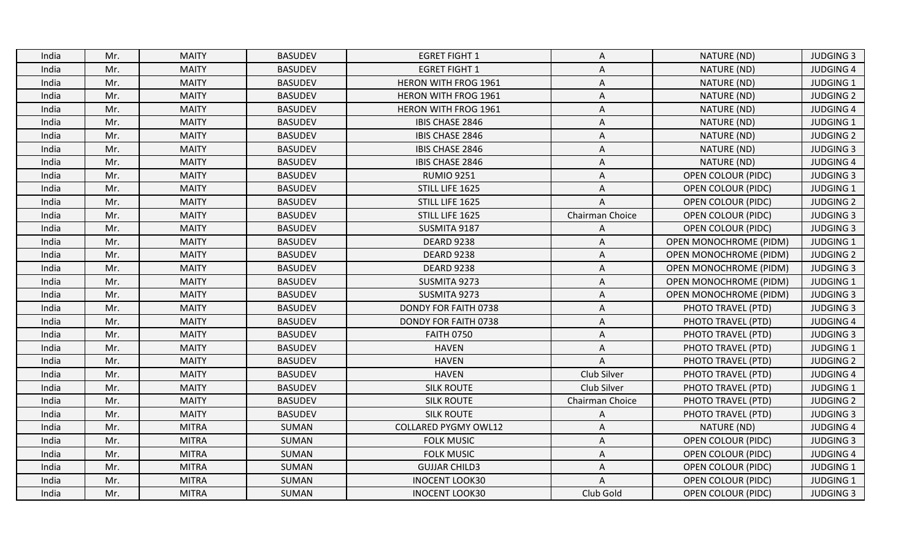| <b>MAITY</b><br>India<br>Mr.<br><b>BASUDEV</b><br><b>EGRET FIGHT 1</b><br>NATURE (ND)<br>A<br><b>MAITY</b><br><b>BASUDEV</b><br><b>EGRET FIGHT 1</b><br>NATURE (ND)<br>Mr.<br>A<br>India<br><b>MAITY</b><br><b>BASUDEV</b><br><b>HERON WITH FROG 1961</b><br>NATURE (ND)<br>Mr.<br>India<br>A<br>Mr.<br><b>MAITY</b><br><b>BASUDEV</b><br><b>HERON WITH FROG 1961</b><br>NATURE (ND)<br>A<br>India<br>Mr.<br><b>MAITY</b><br><b>BASUDEV</b><br><b>HERON WITH FROG 1961</b><br>NATURE (ND)<br>India<br>Α<br><b>MAITY</b><br><b>BASUDEV</b><br>IBIS CHASE 2846<br>NATURE (ND)<br>Mr.<br>A<br>India<br><b>MAITY</b><br><b>BASUDEV</b><br>IBIS CHASE 2846<br>NATURE (ND)<br>Mr.<br>Α<br>India<br><b>MAITY</b><br>Mr.<br><b>BASUDEV</b><br>IBIS CHASE 2846<br>A<br>NATURE (ND)<br>India<br><b>BASUDEV</b><br>Mr.<br><b>MAITY</b><br>IBIS CHASE 2846<br>A<br>NATURE (ND)<br>India<br>Mr.<br><b>MAITY</b><br><b>BASUDEV</b><br><b>RUMIO 9251</b><br><b>OPEN COLOUR (PIDC)</b><br>India<br>A<br><b>MAITY</b><br><b>BASUDEV</b><br>STILL LIFE 1625<br>Mr.<br><b>OPEN COLOUR (PIDC)</b><br>India<br>A<br>Mr.<br><b>MAITY</b><br><b>BASUDEV</b><br>STILL LIFE 1625<br>A<br><b>OPEN COLOUR (PIDC)</b><br>India<br>STILL LIFE 1625<br>Mr.<br><b>MAITY</b><br><b>BASUDEV</b><br>Chairman Choice<br><b>OPEN COLOUR (PIDC)</b><br>India<br><b>BASUDEV</b><br>SUSMITA 9187<br>Mr.<br><b>MAITY</b><br><b>OPEN COLOUR (PIDC)</b><br>India<br>A<br><b>MAITY</b><br>Mr.<br><b>BASUDEV</b><br><b>DEARD 9238</b><br>India<br>A<br><b>OPEN MONOCHROME (PIDM)</b><br><b>MAITY</b><br><b>BASUDEV</b><br><b>DEARD 9238</b><br>Mr.<br>India<br>Α<br><b>OPEN MONOCHROME (PIDM)</b><br>Mr.<br><b>MAITY</b><br><b>BASUDEV</b><br><b>DEARD 9238</b><br>A<br><b>OPEN MONOCHROME (PIDM)</b><br>India<br>Mr.<br><b>MAITY</b><br><b>BASUDEV</b><br>SUSMITA 9273<br>A<br><b>OPEN MONOCHROME (PIDM)</b><br>India<br><b>MAITY</b><br><b>BASUDEV</b><br>SUSMITA 9273<br>India<br>Mr.<br>Α<br><b>OPEN MONOCHROME (PIDM)</b><br><b>MAITY</b><br>Mr.<br><b>BASUDEV</b><br>DONDY FOR FAITH 0738<br>A<br>PHOTO TRAVEL (PTD)<br>India<br><b>MAITY</b><br><b>BASUDEV</b><br>Mr.<br>DONDY FOR FAITH 0738<br>PHOTO TRAVEL (PTD)<br>India<br>Α<br>Mr.<br><b>MAITY</b><br><b>BASUDEV</b><br><b>FAITH 0750</b><br>India<br>Α<br>PHOTO TRAVEL (PTD)<br>Mr.<br><b>MAITY</b><br><b>BASUDEV</b><br><b>HAVEN</b><br>PHOTO TRAVEL (PTD)<br>India<br>A<br><b>BASUDEV</b><br><b>HAVEN</b><br>India<br>Mr.<br><b>MAITY</b><br>$\mathsf{A}$<br>PHOTO TRAVEL (PTD)<br>Mr.<br><b>MAITY</b><br><b>BASUDEV</b><br><b>HAVEN</b><br>Club Silver<br>PHOTO TRAVEL (PTD)<br>India<br>Mr.<br><b>MAITY</b><br><b>BASUDEV</b><br><b>SILK ROUTE</b><br>Club Silver<br>India<br>PHOTO TRAVEL (PTD)<br>Mr.<br><b>MAITY</b><br><b>BASUDEV</b><br><b>SILK ROUTE</b><br>Chairman Choice<br>PHOTO TRAVEL (PTD)<br>India<br>Mr.<br><b>MAITY</b><br><b>BASUDEV</b><br><b>SILK ROUTE</b><br>PHOTO TRAVEL (PTD)<br>India<br>A<br>Mr.<br><b>MITRA</b><br>SUMAN<br><b>COLLARED PYGMY OWL12</b><br>NATURE (ND)<br>India<br>A<br><b>MITRA</b><br>SUMAN<br>Mr.<br><b>FOLK MUSIC</b><br>Α<br><b>OPEN COLOUR (PIDC)</b><br>India<br><b>MITRA</b><br>SUMAN<br><b>FOLK MUSIC</b><br>Mr.<br>Α<br><b>OPEN COLOUR (PIDC)</b><br>India<br>Mr.<br><b>MITRA</b><br>SUMAN<br><b>GUJJAR CHILD3</b><br><b>OPEN COLOUR (PIDC)</b><br>India<br>A<br>Mr.<br><b>MITRA</b><br>SUMAN<br><b>INOCENT LOOK30</b><br><b>OPEN COLOUR (PIDC)</b><br>India<br>A |       |     |              |       |                       |           |                           |                  |
|---------------------------------------------------------------------------------------------------------------------------------------------------------------------------------------------------------------------------------------------------------------------------------------------------------------------------------------------------------------------------------------------------------------------------------------------------------------------------------------------------------------------------------------------------------------------------------------------------------------------------------------------------------------------------------------------------------------------------------------------------------------------------------------------------------------------------------------------------------------------------------------------------------------------------------------------------------------------------------------------------------------------------------------------------------------------------------------------------------------------------------------------------------------------------------------------------------------------------------------------------------------------------------------------------------------------------------------------------------------------------------------------------------------------------------------------------------------------------------------------------------------------------------------------------------------------------------------------------------------------------------------------------------------------------------------------------------------------------------------------------------------------------------------------------------------------------------------------------------------------------------------------------------------------------------------------------------------------------------------------------------------------------------------------------------------------------------------------------------------------------------------------------------------------------------------------------------------------------------------------------------------------------------------------------------------------------------------------------------------------------------------------------------------------------------------------------------------------------------------------------------------------------------------------------------------------------------------------------------------------------------------------------------------------------------------------------------------------------------------------------------------------------------------------------------------------------------------------------------------------------------------------------------------------------------------------------------------------------------------------------------------------------------------------------------------------------------------------------------------------------------------------------------------------------------------------------------------------------------------------------------------------------------------------------------------------------------------------------------------------------------------------------------------------------------------------|-------|-----|--------------|-------|-----------------------|-----------|---------------------------|------------------|
|                                                                                                                                                                                                                                                                                                                                                                                                                                                                                                                                                                                                                                                                                                                                                                                                                                                                                                                                                                                                                                                                                                                                                                                                                                                                                                                                                                                                                                                                                                                                                                                                                                                                                                                                                                                                                                                                                                                                                                                                                                                                                                                                                                                                                                                                                                                                                                                                                                                                                                                                                                                                                                                                                                                                                                                                                                                                                                                                                                                                                                                                                                                                                                                                                                                                                                                                                                                                                                             |       |     |              |       |                       |           |                           | <b>JUDGING 3</b> |
|                                                                                                                                                                                                                                                                                                                                                                                                                                                                                                                                                                                                                                                                                                                                                                                                                                                                                                                                                                                                                                                                                                                                                                                                                                                                                                                                                                                                                                                                                                                                                                                                                                                                                                                                                                                                                                                                                                                                                                                                                                                                                                                                                                                                                                                                                                                                                                                                                                                                                                                                                                                                                                                                                                                                                                                                                                                                                                                                                                                                                                                                                                                                                                                                                                                                                                                                                                                                                                             |       |     |              |       |                       |           |                           | <b>JUDGING 4</b> |
|                                                                                                                                                                                                                                                                                                                                                                                                                                                                                                                                                                                                                                                                                                                                                                                                                                                                                                                                                                                                                                                                                                                                                                                                                                                                                                                                                                                                                                                                                                                                                                                                                                                                                                                                                                                                                                                                                                                                                                                                                                                                                                                                                                                                                                                                                                                                                                                                                                                                                                                                                                                                                                                                                                                                                                                                                                                                                                                                                                                                                                                                                                                                                                                                                                                                                                                                                                                                                                             |       |     |              |       |                       |           |                           | <b>JUDGING 1</b> |
|                                                                                                                                                                                                                                                                                                                                                                                                                                                                                                                                                                                                                                                                                                                                                                                                                                                                                                                                                                                                                                                                                                                                                                                                                                                                                                                                                                                                                                                                                                                                                                                                                                                                                                                                                                                                                                                                                                                                                                                                                                                                                                                                                                                                                                                                                                                                                                                                                                                                                                                                                                                                                                                                                                                                                                                                                                                                                                                                                                                                                                                                                                                                                                                                                                                                                                                                                                                                                                             |       |     |              |       |                       |           |                           | <b>JUDGING 2</b> |
|                                                                                                                                                                                                                                                                                                                                                                                                                                                                                                                                                                                                                                                                                                                                                                                                                                                                                                                                                                                                                                                                                                                                                                                                                                                                                                                                                                                                                                                                                                                                                                                                                                                                                                                                                                                                                                                                                                                                                                                                                                                                                                                                                                                                                                                                                                                                                                                                                                                                                                                                                                                                                                                                                                                                                                                                                                                                                                                                                                                                                                                                                                                                                                                                                                                                                                                                                                                                                                             |       |     |              |       |                       |           |                           | <b>JUDGING 4</b> |
|                                                                                                                                                                                                                                                                                                                                                                                                                                                                                                                                                                                                                                                                                                                                                                                                                                                                                                                                                                                                                                                                                                                                                                                                                                                                                                                                                                                                                                                                                                                                                                                                                                                                                                                                                                                                                                                                                                                                                                                                                                                                                                                                                                                                                                                                                                                                                                                                                                                                                                                                                                                                                                                                                                                                                                                                                                                                                                                                                                                                                                                                                                                                                                                                                                                                                                                                                                                                                                             |       |     |              |       |                       |           |                           | <b>JUDGING 1</b> |
|                                                                                                                                                                                                                                                                                                                                                                                                                                                                                                                                                                                                                                                                                                                                                                                                                                                                                                                                                                                                                                                                                                                                                                                                                                                                                                                                                                                                                                                                                                                                                                                                                                                                                                                                                                                                                                                                                                                                                                                                                                                                                                                                                                                                                                                                                                                                                                                                                                                                                                                                                                                                                                                                                                                                                                                                                                                                                                                                                                                                                                                                                                                                                                                                                                                                                                                                                                                                                                             |       |     |              |       |                       |           |                           | <b>JUDGING 2</b> |
|                                                                                                                                                                                                                                                                                                                                                                                                                                                                                                                                                                                                                                                                                                                                                                                                                                                                                                                                                                                                                                                                                                                                                                                                                                                                                                                                                                                                                                                                                                                                                                                                                                                                                                                                                                                                                                                                                                                                                                                                                                                                                                                                                                                                                                                                                                                                                                                                                                                                                                                                                                                                                                                                                                                                                                                                                                                                                                                                                                                                                                                                                                                                                                                                                                                                                                                                                                                                                                             |       |     |              |       |                       |           |                           | <b>JUDGING 3</b> |
|                                                                                                                                                                                                                                                                                                                                                                                                                                                                                                                                                                                                                                                                                                                                                                                                                                                                                                                                                                                                                                                                                                                                                                                                                                                                                                                                                                                                                                                                                                                                                                                                                                                                                                                                                                                                                                                                                                                                                                                                                                                                                                                                                                                                                                                                                                                                                                                                                                                                                                                                                                                                                                                                                                                                                                                                                                                                                                                                                                                                                                                                                                                                                                                                                                                                                                                                                                                                                                             |       |     |              |       |                       |           |                           | <b>JUDGING 4</b> |
|                                                                                                                                                                                                                                                                                                                                                                                                                                                                                                                                                                                                                                                                                                                                                                                                                                                                                                                                                                                                                                                                                                                                                                                                                                                                                                                                                                                                                                                                                                                                                                                                                                                                                                                                                                                                                                                                                                                                                                                                                                                                                                                                                                                                                                                                                                                                                                                                                                                                                                                                                                                                                                                                                                                                                                                                                                                                                                                                                                                                                                                                                                                                                                                                                                                                                                                                                                                                                                             |       |     |              |       |                       |           |                           | <b>JUDGING 3</b> |
|                                                                                                                                                                                                                                                                                                                                                                                                                                                                                                                                                                                                                                                                                                                                                                                                                                                                                                                                                                                                                                                                                                                                                                                                                                                                                                                                                                                                                                                                                                                                                                                                                                                                                                                                                                                                                                                                                                                                                                                                                                                                                                                                                                                                                                                                                                                                                                                                                                                                                                                                                                                                                                                                                                                                                                                                                                                                                                                                                                                                                                                                                                                                                                                                                                                                                                                                                                                                                                             |       |     |              |       |                       |           |                           | <b>JUDGING 1</b> |
|                                                                                                                                                                                                                                                                                                                                                                                                                                                                                                                                                                                                                                                                                                                                                                                                                                                                                                                                                                                                                                                                                                                                                                                                                                                                                                                                                                                                                                                                                                                                                                                                                                                                                                                                                                                                                                                                                                                                                                                                                                                                                                                                                                                                                                                                                                                                                                                                                                                                                                                                                                                                                                                                                                                                                                                                                                                                                                                                                                                                                                                                                                                                                                                                                                                                                                                                                                                                                                             |       |     |              |       |                       |           |                           | <b>JUDGING 2</b> |
|                                                                                                                                                                                                                                                                                                                                                                                                                                                                                                                                                                                                                                                                                                                                                                                                                                                                                                                                                                                                                                                                                                                                                                                                                                                                                                                                                                                                                                                                                                                                                                                                                                                                                                                                                                                                                                                                                                                                                                                                                                                                                                                                                                                                                                                                                                                                                                                                                                                                                                                                                                                                                                                                                                                                                                                                                                                                                                                                                                                                                                                                                                                                                                                                                                                                                                                                                                                                                                             |       |     |              |       |                       |           |                           | <b>JUDGING 3</b> |
|                                                                                                                                                                                                                                                                                                                                                                                                                                                                                                                                                                                                                                                                                                                                                                                                                                                                                                                                                                                                                                                                                                                                                                                                                                                                                                                                                                                                                                                                                                                                                                                                                                                                                                                                                                                                                                                                                                                                                                                                                                                                                                                                                                                                                                                                                                                                                                                                                                                                                                                                                                                                                                                                                                                                                                                                                                                                                                                                                                                                                                                                                                                                                                                                                                                                                                                                                                                                                                             |       |     |              |       |                       |           |                           | <b>JUDGING 3</b> |
|                                                                                                                                                                                                                                                                                                                                                                                                                                                                                                                                                                                                                                                                                                                                                                                                                                                                                                                                                                                                                                                                                                                                                                                                                                                                                                                                                                                                                                                                                                                                                                                                                                                                                                                                                                                                                                                                                                                                                                                                                                                                                                                                                                                                                                                                                                                                                                                                                                                                                                                                                                                                                                                                                                                                                                                                                                                                                                                                                                                                                                                                                                                                                                                                                                                                                                                                                                                                                                             |       |     |              |       |                       |           |                           | <b>JUDGING 1</b> |
|                                                                                                                                                                                                                                                                                                                                                                                                                                                                                                                                                                                                                                                                                                                                                                                                                                                                                                                                                                                                                                                                                                                                                                                                                                                                                                                                                                                                                                                                                                                                                                                                                                                                                                                                                                                                                                                                                                                                                                                                                                                                                                                                                                                                                                                                                                                                                                                                                                                                                                                                                                                                                                                                                                                                                                                                                                                                                                                                                                                                                                                                                                                                                                                                                                                                                                                                                                                                                                             |       |     |              |       |                       |           |                           | <b>JUDGING 2</b> |
|                                                                                                                                                                                                                                                                                                                                                                                                                                                                                                                                                                                                                                                                                                                                                                                                                                                                                                                                                                                                                                                                                                                                                                                                                                                                                                                                                                                                                                                                                                                                                                                                                                                                                                                                                                                                                                                                                                                                                                                                                                                                                                                                                                                                                                                                                                                                                                                                                                                                                                                                                                                                                                                                                                                                                                                                                                                                                                                                                                                                                                                                                                                                                                                                                                                                                                                                                                                                                                             |       |     |              |       |                       |           |                           | <b>JUDGING 3</b> |
|                                                                                                                                                                                                                                                                                                                                                                                                                                                                                                                                                                                                                                                                                                                                                                                                                                                                                                                                                                                                                                                                                                                                                                                                                                                                                                                                                                                                                                                                                                                                                                                                                                                                                                                                                                                                                                                                                                                                                                                                                                                                                                                                                                                                                                                                                                                                                                                                                                                                                                                                                                                                                                                                                                                                                                                                                                                                                                                                                                                                                                                                                                                                                                                                                                                                                                                                                                                                                                             |       |     |              |       |                       |           |                           | <b>JUDGING 1</b> |
|                                                                                                                                                                                                                                                                                                                                                                                                                                                                                                                                                                                                                                                                                                                                                                                                                                                                                                                                                                                                                                                                                                                                                                                                                                                                                                                                                                                                                                                                                                                                                                                                                                                                                                                                                                                                                                                                                                                                                                                                                                                                                                                                                                                                                                                                                                                                                                                                                                                                                                                                                                                                                                                                                                                                                                                                                                                                                                                                                                                                                                                                                                                                                                                                                                                                                                                                                                                                                                             |       |     |              |       |                       |           |                           | <b>JUDGING 3</b> |
|                                                                                                                                                                                                                                                                                                                                                                                                                                                                                                                                                                                                                                                                                                                                                                                                                                                                                                                                                                                                                                                                                                                                                                                                                                                                                                                                                                                                                                                                                                                                                                                                                                                                                                                                                                                                                                                                                                                                                                                                                                                                                                                                                                                                                                                                                                                                                                                                                                                                                                                                                                                                                                                                                                                                                                                                                                                                                                                                                                                                                                                                                                                                                                                                                                                                                                                                                                                                                                             |       |     |              |       |                       |           |                           | <b>JUDGING 3</b> |
|                                                                                                                                                                                                                                                                                                                                                                                                                                                                                                                                                                                                                                                                                                                                                                                                                                                                                                                                                                                                                                                                                                                                                                                                                                                                                                                                                                                                                                                                                                                                                                                                                                                                                                                                                                                                                                                                                                                                                                                                                                                                                                                                                                                                                                                                                                                                                                                                                                                                                                                                                                                                                                                                                                                                                                                                                                                                                                                                                                                                                                                                                                                                                                                                                                                                                                                                                                                                                                             |       |     |              |       |                       |           |                           | <b>JUDGING 4</b> |
|                                                                                                                                                                                                                                                                                                                                                                                                                                                                                                                                                                                                                                                                                                                                                                                                                                                                                                                                                                                                                                                                                                                                                                                                                                                                                                                                                                                                                                                                                                                                                                                                                                                                                                                                                                                                                                                                                                                                                                                                                                                                                                                                                                                                                                                                                                                                                                                                                                                                                                                                                                                                                                                                                                                                                                                                                                                                                                                                                                                                                                                                                                                                                                                                                                                                                                                                                                                                                                             |       |     |              |       |                       |           |                           | <b>JUDGING 3</b> |
|                                                                                                                                                                                                                                                                                                                                                                                                                                                                                                                                                                                                                                                                                                                                                                                                                                                                                                                                                                                                                                                                                                                                                                                                                                                                                                                                                                                                                                                                                                                                                                                                                                                                                                                                                                                                                                                                                                                                                                                                                                                                                                                                                                                                                                                                                                                                                                                                                                                                                                                                                                                                                                                                                                                                                                                                                                                                                                                                                                                                                                                                                                                                                                                                                                                                                                                                                                                                                                             |       |     |              |       |                       |           |                           | JUDGING 1        |
|                                                                                                                                                                                                                                                                                                                                                                                                                                                                                                                                                                                                                                                                                                                                                                                                                                                                                                                                                                                                                                                                                                                                                                                                                                                                                                                                                                                                                                                                                                                                                                                                                                                                                                                                                                                                                                                                                                                                                                                                                                                                                                                                                                                                                                                                                                                                                                                                                                                                                                                                                                                                                                                                                                                                                                                                                                                                                                                                                                                                                                                                                                                                                                                                                                                                                                                                                                                                                                             |       |     |              |       |                       |           |                           | <b>JUDGING 2</b> |
|                                                                                                                                                                                                                                                                                                                                                                                                                                                                                                                                                                                                                                                                                                                                                                                                                                                                                                                                                                                                                                                                                                                                                                                                                                                                                                                                                                                                                                                                                                                                                                                                                                                                                                                                                                                                                                                                                                                                                                                                                                                                                                                                                                                                                                                                                                                                                                                                                                                                                                                                                                                                                                                                                                                                                                                                                                                                                                                                                                                                                                                                                                                                                                                                                                                                                                                                                                                                                                             |       |     |              |       |                       |           |                           | <b>JUDGING 4</b> |
|                                                                                                                                                                                                                                                                                                                                                                                                                                                                                                                                                                                                                                                                                                                                                                                                                                                                                                                                                                                                                                                                                                                                                                                                                                                                                                                                                                                                                                                                                                                                                                                                                                                                                                                                                                                                                                                                                                                                                                                                                                                                                                                                                                                                                                                                                                                                                                                                                                                                                                                                                                                                                                                                                                                                                                                                                                                                                                                                                                                                                                                                                                                                                                                                                                                                                                                                                                                                                                             |       |     |              |       |                       |           |                           | <b>JUDGING 1</b> |
|                                                                                                                                                                                                                                                                                                                                                                                                                                                                                                                                                                                                                                                                                                                                                                                                                                                                                                                                                                                                                                                                                                                                                                                                                                                                                                                                                                                                                                                                                                                                                                                                                                                                                                                                                                                                                                                                                                                                                                                                                                                                                                                                                                                                                                                                                                                                                                                                                                                                                                                                                                                                                                                                                                                                                                                                                                                                                                                                                                                                                                                                                                                                                                                                                                                                                                                                                                                                                                             |       |     |              |       |                       |           |                           | <b>JUDGING 2</b> |
|                                                                                                                                                                                                                                                                                                                                                                                                                                                                                                                                                                                                                                                                                                                                                                                                                                                                                                                                                                                                                                                                                                                                                                                                                                                                                                                                                                                                                                                                                                                                                                                                                                                                                                                                                                                                                                                                                                                                                                                                                                                                                                                                                                                                                                                                                                                                                                                                                                                                                                                                                                                                                                                                                                                                                                                                                                                                                                                                                                                                                                                                                                                                                                                                                                                                                                                                                                                                                                             |       |     |              |       |                       |           |                           | <b>JUDGING 3</b> |
|                                                                                                                                                                                                                                                                                                                                                                                                                                                                                                                                                                                                                                                                                                                                                                                                                                                                                                                                                                                                                                                                                                                                                                                                                                                                                                                                                                                                                                                                                                                                                                                                                                                                                                                                                                                                                                                                                                                                                                                                                                                                                                                                                                                                                                                                                                                                                                                                                                                                                                                                                                                                                                                                                                                                                                                                                                                                                                                                                                                                                                                                                                                                                                                                                                                                                                                                                                                                                                             |       |     |              |       |                       |           |                           | <b>JUDGING 4</b> |
|                                                                                                                                                                                                                                                                                                                                                                                                                                                                                                                                                                                                                                                                                                                                                                                                                                                                                                                                                                                                                                                                                                                                                                                                                                                                                                                                                                                                                                                                                                                                                                                                                                                                                                                                                                                                                                                                                                                                                                                                                                                                                                                                                                                                                                                                                                                                                                                                                                                                                                                                                                                                                                                                                                                                                                                                                                                                                                                                                                                                                                                                                                                                                                                                                                                                                                                                                                                                                                             |       |     |              |       |                       |           |                           | <b>JUDGING 3</b> |
|                                                                                                                                                                                                                                                                                                                                                                                                                                                                                                                                                                                                                                                                                                                                                                                                                                                                                                                                                                                                                                                                                                                                                                                                                                                                                                                                                                                                                                                                                                                                                                                                                                                                                                                                                                                                                                                                                                                                                                                                                                                                                                                                                                                                                                                                                                                                                                                                                                                                                                                                                                                                                                                                                                                                                                                                                                                                                                                                                                                                                                                                                                                                                                                                                                                                                                                                                                                                                                             |       |     |              |       |                       |           |                           | <b>JUDGING 4</b> |
|                                                                                                                                                                                                                                                                                                                                                                                                                                                                                                                                                                                                                                                                                                                                                                                                                                                                                                                                                                                                                                                                                                                                                                                                                                                                                                                                                                                                                                                                                                                                                                                                                                                                                                                                                                                                                                                                                                                                                                                                                                                                                                                                                                                                                                                                                                                                                                                                                                                                                                                                                                                                                                                                                                                                                                                                                                                                                                                                                                                                                                                                                                                                                                                                                                                                                                                                                                                                                                             |       |     |              |       |                       |           |                           | <b>JUDGING 1</b> |
|                                                                                                                                                                                                                                                                                                                                                                                                                                                                                                                                                                                                                                                                                                                                                                                                                                                                                                                                                                                                                                                                                                                                                                                                                                                                                                                                                                                                                                                                                                                                                                                                                                                                                                                                                                                                                                                                                                                                                                                                                                                                                                                                                                                                                                                                                                                                                                                                                                                                                                                                                                                                                                                                                                                                                                                                                                                                                                                                                                                                                                                                                                                                                                                                                                                                                                                                                                                                                                             |       |     |              |       |                       |           |                           | <b>JUDGING 1</b> |
|                                                                                                                                                                                                                                                                                                                                                                                                                                                                                                                                                                                                                                                                                                                                                                                                                                                                                                                                                                                                                                                                                                                                                                                                                                                                                                                                                                                                                                                                                                                                                                                                                                                                                                                                                                                                                                                                                                                                                                                                                                                                                                                                                                                                                                                                                                                                                                                                                                                                                                                                                                                                                                                                                                                                                                                                                                                                                                                                                                                                                                                                                                                                                                                                                                                                                                                                                                                                                                             | India | Mr. | <b>MITRA</b> | SUMAN | <b>INOCENT LOOK30</b> | Club Gold | <b>OPEN COLOUR (PIDC)</b> | <b>JUDGING 3</b> |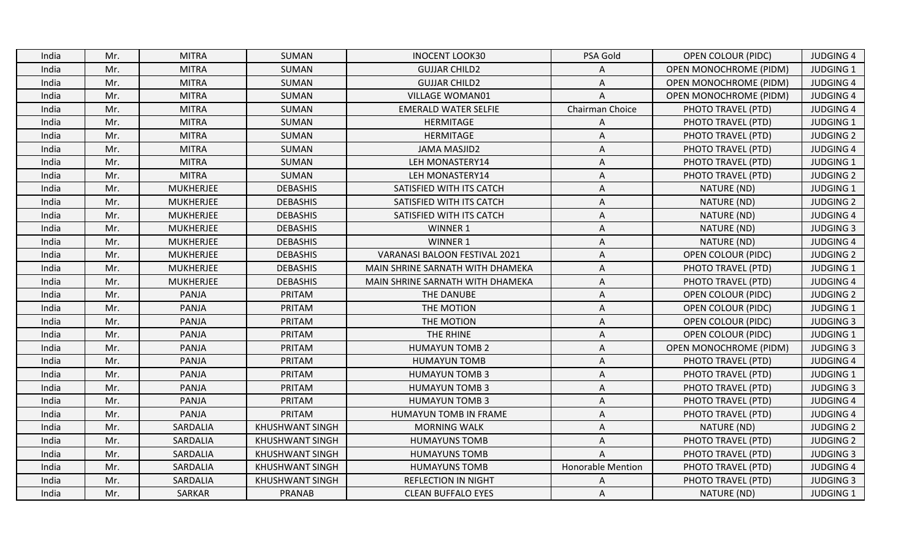| India | Mr. | <b>MITRA</b>     | SUMAN                  | <b>INOCENT LOOK30</b>                | PSA Gold                 | <b>OPEN COLOUR (PIDC)</b>     | <b>JUDGING 4</b> |
|-------|-----|------------------|------------------------|--------------------------------------|--------------------------|-------------------------------|------------------|
| India | Mr. | <b>MITRA</b>     | SUMAN                  | <b>GUJJAR CHILD2</b>                 |                          | <b>OPEN MONOCHROME (PIDM)</b> | <b>JUDGING 1</b> |
| India | Mr. | <b>MITRA</b>     | SUMAN                  | <b>GUJJAR CHILD2</b>                 | A                        | <b>OPEN MONOCHROME (PIDM)</b> | <b>JUDGING 4</b> |
| India | Mr. | <b>MITRA</b>     | SUMAN                  | <b>VILLAGE WOMAN01</b>               | $\mathsf{A}$             | <b>OPEN MONOCHROME (PIDM)</b> | <b>JUDGING 4</b> |
| India | Mr. | <b>MITRA</b>     | SUMAN                  | <b>EMERALD WATER SELFIE</b>          | Chairman Choice          | PHOTO TRAVEL (PTD)            | <b>JUDGING 4</b> |
| India | Mr. | <b>MITRA</b>     | SUMAN                  | <b>HERMITAGE</b>                     | Α                        | PHOTO TRAVEL (PTD)            | <b>JUDGING 1</b> |
| India | Mr. | <b>MITRA</b>     | SUMAN                  | HERMITAGE                            | A                        | PHOTO TRAVEL (PTD)            | <b>JUDGING 2</b> |
| India | Mr. | <b>MITRA</b>     | SUMAN                  | <b>JAMA MASJID2</b>                  | $\Lambda$                | PHOTO TRAVEL (PTD)            | <b>JUDGING 4</b> |
| India | Mr. | <b>MITRA</b>     | SUMAN                  | LEH MONASTERY14                      | A                        | PHOTO TRAVEL (PTD)            | <b>JUDGING 1</b> |
| India | Mr. | <b>MITRA</b>     | SUMAN                  | LEH MONASTERY14                      | A                        | PHOTO TRAVEL (PTD)            | <b>JUDGING 2</b> |
| India | Mr. | <b>MUKHERJEE</b> | <b>DEBASHIS</b>        | SATISFIED WITH ITS CATCH             | A                        | NATURE (ND)                   | <b>JUDGING 1</b> |
| India | Mr. | MUKHERJEE        | <b>DEBASHIS</b>        | SATISFIED WITH ITS CATCH             | A                        | NATURE (ND)                   | <b>JUDGING 2</b> |
| India | Mr. | <b>MUKHERJEE</b> | <b>DEBASHIS</b>        | SATISFIED WITH ITS CATCH             | A                        | NATURE (ND)                   | <b>JUDGING 4</b> |
| India | Mr. | <b>MUKHERJEE</b> | <b>DEBASHIS</b>        | WINNER 1                             | A                        | NATURE (ND)                   | <b>JUDGING 3</b> |
| India | Mr. | <b>MUKHERJEE</b> | <b>DEBASHIS</b>        | <b>WINNER 1</b>                      | Α                        | NATURE (ND)                   | <b>JUDGING 4</b> |
| India | Mr. | MUKHERJEE        | <b>DEBASHIS</b>        | <b>VARANASI BALOON FESTIVAL 2021</b> | A                        | <b>OPEN COLOUR (PIDC)</b>     | <b>JUDGING 2</b> |
| India | Mr. | <b>MUKHERJEE</b> | <b>DEBASHIS</b>        | MAIN SHRINE SARNATH WITH DHAMEKA     | A                        | PHOTO TRAVEL (PTD)            | <b>JUDGING 1</b> |
| India | Mr. | <b>MUKHERJEE</b> | <b>DEBASHIS</b>        | MAIN SHRINE SARNATH WITH DHAMEKA     | A                        | PHOTO TRAVEL (PTD)            | <b>JUDGING 4</b> |
| India | Mr. | PANJA            | PRITAM                 | THE DANUBE                           | A                        | <b>OPEN COLOUR (PIDC)</b>     | <b>JUDGING 2</b> |
| India | Mr. | <b>PANJA</b>     | PRITAM                 | THE MOTION                           | Α                        | <b>OPEN COLOUR (PIDC)</b>     | JUDGING 1        |
| India | Mr. | PANJA            | PRITAM                 | THE MOTION                           | A                        | <b>OPEN COLOUR (PIDC)</b>     | <b>JUDGING 3</b> |
| India | Mr. | PANJA            | PRITAM                 | THE RHINE                            | Α                        | <b>OPEN COLOUR (PIDC)</b>     | <b>JUDGING 1</b> |
| India | Mr. | PANJA            | PRITAM                 | <b>HUMAYUN TOMB 2</b>                | A                        | <b>OPEN MONOCHROME (PIDM)</b> | <b>JUDGING 3</b> |
| India | Mr. | PANJA            | PRITAM                 | <b>HUMAYUN TOMB</b>                  | A                        | PHOTO TRAVEL (PTD)            | <b>JUDGING 4</b> |
| India | Mr. | PANJA            | PRITAM                 | <b>HUMAYUN TOMB 3</b>                | Α                        | PHOTO TRAVEL (PTD)            | <b>JUDGING 1</b> |
| India | Mr. | PANJA            | PRITAM                 | <b>HUMAYUN TOMB 3</b>                | Α                        | PHOTO TRAVEL (PTD)            | <b>JUDGING 3</b> |
| India | Mr. | PANJA            | PRITAM                 | <b>HUMAYUN TOMB 3</b>                | Α                        | PHOTO TRAVEL (PTD)            | <b>JUDGING 4</b> |
| India | Mr. | PANJA            | PRITAM                 | HUMAYUN TOMB IN FRAME                | A                        | PHOTO TRAVEL (PTD)            | <b>JUDGING 4</b> |
| India | Mr. | SARDALIA         | <b>KHUSHWANT SINGH</b> | <b>MORNING WALK</b>                  | A                        | NATURE (ND)                   | <b>JUDGING 2</b> |
| India | Mr. | SARDALIA         | <b>KHUSHWANT SINGH</b> | <b>HUMAYUNS TOMB</b>                 | Α                        | PHOTO TRAVEL (PTD)            | <b>JUDGING 2</b> |
| India | Mr. | SARDALIA         | <b>KHUSHWANT SINGH</b> | <b>HUMAYUNS TOMB</b>                 | A                        | PHOTO TRAVEL (PTD)            | <b>JUDGING 3</b> |
| India | Mr. | SARDALIA         | <b>KHUSHWANT SINGH</b> | <b>HUMAYUNS TOMB</b>                 | <b>Honorable Mention</b> | PHOTO TRAVEL (PTD)            | <b>JUDGING 4</b> |
| India | Mr. | SARDALIA         | <b>KHUSHWANT SINGH</b> | <b>REFLECTION IN NIGHT</b>           | Α                        | PHOTO TRAVEL (PTD)            | <b>JUDGING 3</b> |
| India | Mr. | SARKAR           | <b>PRANAB</b>          | <b>CLEAN BUFFALO EYES</b>            | A                        | NATURE (ND)                   | <b>JUDGING 1</b> |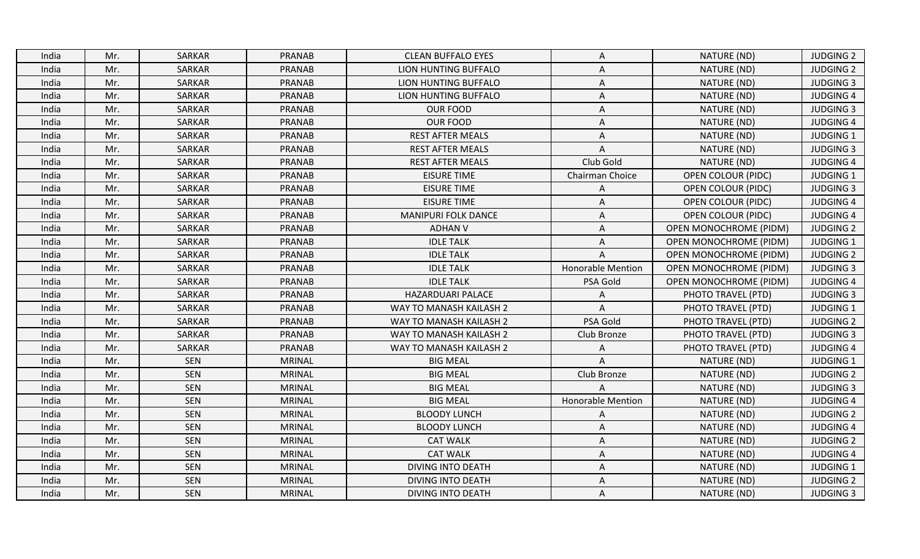| <b>SARKAR</b><br><b>PRANAB</b><br>India<br>Mr.<br><b>CLEAN BUFFALO EYES</b><br>A<br><b>SARKAR</b><br><b>PRANAB</b><br>Mr.<br>LION HUNTING BUFFALO<br>A<br>India<br>Mr.<br><b>SARKAR</b><br><b>PRANAB</b><br>LION HUNTING BUFFALO<br>India<br>Α<br>Mr.<br>SARKAR<br>PRANAB<br>LION HUNTING BUFFALO<br>Α<br>India<br>Mr.<br><b>SARKAR</b><br><b>PRANAB</b><br><b>OUR FOOD</b><br>A<br>India<br><b>SARKAR</b><br><b>PRANAB</b><br><b>OUR FOOD</b><br>Mr.<br>India<br>A<br>Mr.<br><b>SARKAR</b><br>PRANAB<br><b>REST AFTER MEALS</b><br>India<br>A<br><b>SARKAR</b><br><b>PRANAB</b><br>Mr.<br><b>REST AFTER MEALS</b><br>$\Lambda$<br>India | NATURE (ND)<br>NATURE (ND)<br>NATURE (ND)<br>NATURE (ND)<br>NATURE (ND)<br>NATURE (ND)<br>NATURE (ND) | <b>JUDGING 2</b><br><b>JUDGING 2</b><br><b>JUDGING 3</b><br><b>JUDGING 4</b><br><b>JUDGING 3</b><br><b>JUDGING 4</b> |
|------------------------------------------------------------------------------------------------------------------------------------------------------------------------------------------------------------------------------------------------------------------------------------------------------------------------------------------------------------------------------------------------------------------------------------------------------------------------------------------------------------------------------------------------------------------------------------------------------------------------------------------|-------------------------------------------------------------------------------------------------------|----------------------------------------------------------------------------------------------------------------------|
|                                                                                                                                                                                                                                                                                                                                                                                                                                                                                                                                                                                                                                          |                                                                                                       |                                                                                                                      |
|                                                                                                                                                                                                                                                                                                                                                                                                                                                                                                                                                                                                                                          |                                                                                                       |                                                                                                                      |
|                                                                                                                                                                                                                                                                                                                                                                                                                                                                                                                                                                                                                                          |                                                                                                       |                                                                                                                      |
|                                                                                                                                                                                                                                                                                                                                                                                                                                                                                                                                                                                                                                          |                                                                                                       |                                                                                                                      |
|                                                                                                                                                                                                                                                                                                                                                                                                                                                                                                                                                                                                                                          |                                                                                                       |                                                                                                                      |
|                                                                                                                                                                                                                                                                                                                                                                                                                                                                                                                                                                                                                                          |                                                                                                       |                                                                                                                      |
|                                                                                                                                                                                                                                                                                                                                                                                                                                                                                                                                                                                                                                          |                                                                                                       | <b>JUDGING 1</b>                                                                                                     |
|                                                                                                                                                                                                                                                                                                                                                                                                                                                                                                                                                                                                                                          | NATURE (ND)                                                                                           | <b>JUDGING 3</b>                                                                                                     |
| Club Gold<br>Mr.<br><b>SARKAR</b><br><b>PRANAB</b><br><b>REST AFTER MEALS</b><br>India                                                                                                                                                                                                                                                                                                                                                                                                                                                                                                                                                   | NATURE (ND)                                                                                           | <b>JUDGING 4</b>                                                                                                     |
| Mr.<br>SARKAR<br><b>PRANAB</b><br><b>EISURE TIME</b><br>Chairman Choice<br>India                                                                                                                                                                                                                                                                                                                                                                                                                                                                                                                                                         | <b>OPEN COLOUR (PIDC)</b>                                                                             | <b>JUDGING 1</b>                                                                                                     |
| SARKAR<br><b>PRANAB</b><br><b>EISURE TIME</b><br>Mr.<br>India<br>A                                                                                                                                                                                                                                                                                                                                                                                                                                                                                                                                                                       | <b>OPEN COLOUR (PIDC)</b>                                                                             | <b>JUDGING 3</b>                                                                                                     |
| Mr.<br><b>SARKAR</b><br><b>PRANAB</b><br><b>EISURE TIME</b><br>$\mathsf A$<br>India                                                                                                                                                                                                                                                                                                                                                                                                                                                                                                                                                      | <b>OPEN COLOUR (PIDC)</b>                                                                             | <b>JUDGING 4</b>                                                                                                     |
| Mr.<br>SARKAR<br><b>PRANAB</b><br>MANIPURI FOLK DANCE<br>A<br>India                                                                                                                                                                                                                                                                                                                                                                                                                                                                                                                                                                      | <b>OPEN COLOUR (PIDC)</b>                                                                             | <b>JUDGING 4</b>                                                                                                     |
| <b>SARKAR</b><br>Mr.<br><b>PRANAB</b><br><b>ADHAN V</b><br>A<br>India                                                                                                                                                                                                                                                                                                                                                                                                                                                                                                                                                                    | <b>OPEN MONOCHROME (PIDM)</b>                                                                         | <b>JUDGING 2</b>                                                                                                     |
| Mr.<br>SARKAR<br><b>PRANAB</b><br><b>IDLE TALK</b><br>India<br>A                                                                                                                                                                                                                                                                                                                                                                                                                                                                                                                                                                         | <b>OPEN MONOCHROME (PIDM)</b>                                                                         | <b>JUDGING 1</b>                                                                                                     |
| PRANAB<br><b>IDLE TALK</b><br>Mr.<br><b>SARKAR</b><br>India<br>A                                                                                                                                                                                                                                                                                                                                                                                                                                                                                                                                                                         | OPEN MONOCHROME (PIDM)                                                                                | <b>JUDGING 2</b>                                                                                                     |
| Mr.<br><b>SARKAR</b><br><b>PRANAB</b><br><b>IDLE TALK</b><br><b>Honorable Mention</b><br>India                                                                                                                                                                                                                                                                                                                                                                                                                                                                                                                                           | <b>OPEN MONOCHROME (PIDM)</b>                                                                         | <b>JUDGING 3</b>                                                                                                     |
| <b>SARKAR</b><br><b>PRANAB</b><br>Mr.<br><b>IDLE TALK</b><br>PSA Gold<br>India                                                                                                                                                                                                                                                                                                                                                                                                                                                                                                                                                           | <b>OPEN MONOCHROME (PIDM)</b>                                                                         | <b>JUDGING 4</b>                                                                                                     |
| <b>SARKAR</b><br>Mr.<br><b>PRANAB</b><br>HAZARDUARI PALACE<br>India<br>A                                                                                                                                                                                                                                                                                                                                                                                                                                                                                                                                                                 | PHOTO TRAVEL (PTD)                                                                                    | <b>JUDGING 3</b>                                                                                                     |
| Mr.<br>SARKAR<br><b>PRANAB</b><br>WAY TO MANASH KAILASH 2<br>India<br>$\Lambda$                                                                                                                                                                                                                                                                                                                                                                                                                                                                                                                                                          | PHOTO TRAVEL (PTD)                                                                                    | <b>JUDGING 1</b>                                                                                                     |
| <b>SARKAR</b><br>PRANAB<br>PSA Gold<br>Mr.<br>WAY TO MANASH KAILASH 2<br>India                                                                                                                                                                                                                                                                                                                                                                                                                                                                                                                                                           | PHOTO TRAVEL (PTD)                                                                                    | <b>JUDGING 2</b>                                                                                                     |
| <b>SARKAR</b><br>Mr.<br><b>PRANAB</b><br>WAY TO MANASH KAILASH 2<br>Club Bronze<br>India                                                                                                                                                                                                                                                                                                                                                                                                                                                                                                                                                 | PHOTO TRAVEL (PTD)                                                                                    | <b>JUDGING 3</b>                                                                                                     |
| <b>PRANAB</b><br>Mr.<br><b>SARKAR</b><br>WAY TO MANASH KAILASH 2<br>India<br>Α                                                                                                                                                                                                                                                                                                                                                                                                                                                                                                                                                           | PHOTO TRAVEL (PTD)                                                                                    | <b>JUDGING 4</b>                                                                                                     |
| Mr.<br><b>SEN</b><br><b>MRINAL</b><br><b>BIG MEAL</b><br>Δ<br>India                                                                                                                                                                                                                                                                                                                                                                                                                                                                                                                                                                      | NATURE (ND)                                                                                           | <b>JUDGING 1</b>                                                                                                     |
| SEN<br>Mr.<br><b>MRINAL</b><br><b>BIG MEAL</b><br>Club Bronze<br>India                                                                                                                                                                                                                                                                                                                                                                                                                                                                                                                                                                   | NATURE (ND)                                                                                           | <b>JUDGING 2</b>                                                                                                     |
| <b>SEN</b><br><b>BIG MEAL</b><br>Mr.<br><b>MRINAL</b><br>India                                                                                                                                                                                                                                                                                                                                                                                                                                                                                                                                                                           | NATURE (ND)                                                                                           | <b>JUDGING 3</b>                                                                                                     |
| SEN<br>Mr.<br><b>MRINAL</b><br><b>BIG MEAL</b><br>India<br><b>Honorable Mention</b>                                                                                                                                                                                                                                                                                                                                                                                                                                                                                                                                                      | NATURE (ND)                                                                                           | <b>JUDGING 4</b>                                                                                                     |
| <b>SEN</b><br>Mr.<br><b>MRINAL</b><br><b>BLOODY LUNCH</b><br>India<br>$\overline{A}$                                                                                                                                                                                                                                                                                                                                                                                                                                                                                                                                                     | NATURE (ND)                                                                                           | <b>JUDGING 2</b>                                                                                                     |
| <b>SEN</b><br>Mr.<br><b>MRINAL</b><br><b>BLOODY LUNCH</b><br>India<br>A                                                                                                                                                                                                                                                                                                                                                                                                                                                                                                                                                                  | NATURE (ND)                                                                                           | <b>JUDGING 4</b>                                                                                                     |
| <b>SEN</b><br>Mr.<br><b>MRINAL</b><br><b>CAT WALK</b><br>A<br>India                                                                                                                                                                                                                                                                                                                                                                                                                                                                                                                                                                      | NATURE (ND)                                                                                           | <b>JUDGING 2</b>                                                                                                     |
| <b>SEN</b><br><b>CAT WALK</b><br>Mr.<br><b>MRINAL</b><br>India<br>Α                                                                                                                                                                                                                                                                                                                                                                                                                                                                                                                                                                      | NATURE (ND)                                                                                           | <b>JUDGING 4</b>                                                                                                     |
| Mr.<br>SEN<br><b>MRINAL</b><br>DIVING INTO DEATH<br>A<br>India                                                                                                                                                                                                                                                                                                                                                                                                                                                                                                                                                                           | NATURE (ND)                                                                                           | <b>JUDGING 1</b>                                                                                                     |
| <b>SEN</b><br>Mr.<br><b>MRINAL</b><br><b>DIVING INTO DEATH</b><br>India<br>A                                                                                                                                                                                                                                                                                                                                                                                                                                                                                                                                                             | NATURE (ND)                                                                                           | <b>JUDGING 2</b>                                                                                                     |
| <b>SEN</b><br>India<br>Mr.<br><b>MRINAL</b><br><b>DIVING INTO DEATH</b><br>Α                                                                                                                                                                                                                                                                                                                                                                                                                                                                                                                                                             | NATURE (ND)                                                                                           | <b>JUDGING 3</b>                                                                                                     |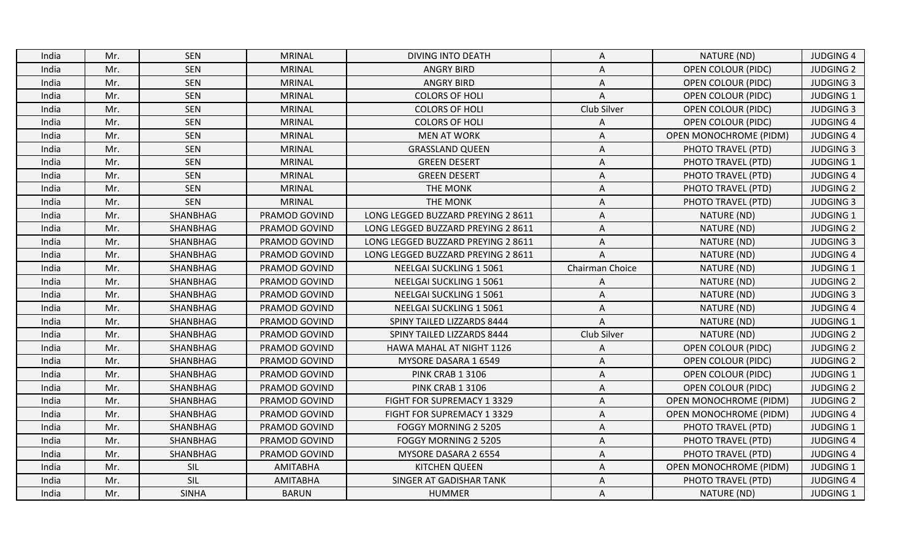| India | Mr. | <b>SEN</b>   | <b>MRINAL</b>   | <b>DIVING INTO DEATH</b>           | A               | NATURE (ND)                   | <b>JUDGING 4</b> |
|-------|-----|--------------|-----------------|------------------------------------|-----------------|-------------------------------|------------------|
| India | Mr. | <b>SEN</b>   | <b>MRINAL</b>   | <b>ANGRY BIRD</b>                  | A               | <b>OPEN COLOUR (PIDC)</b>     | <b>JUDGING 2</b> |
| India | Mr. | <b>SEN</b>   | <b>MRINAL</b>   | <b>ANGRY BIRD</b>                  | A               | <b>OPEN COLOUR (PIDC)</b>     | <b>JUDGING 3</b> |
| India | Mr. | SEN          | <b>MRINAL</b>   | <b>COLORS OF HOLI</b>              | $\Delta$        | <b>OPEN COLOUR (PIDC)</b>     | <b>JUDGING 1</b> |
| India | Mr. | <b>SEN</b>   | <b>MRINAL</b>   | <b>COLORS OF HOLI</b>              | Club Silver     | <b>OPEN COLOUR (PIDC)</b>     | <b>JUDGING 3</b> |
| India | Mr. | <b>SEN</b>   | <b>MRINAL</b>   | <b>COLORS OF HOLI</b>              | A               | <b>OPEN COLOUR (PIDC)</b>     | <b>JUDGING 4</b> |
| India | Mr. | <b>SEN</b>   | <b>MRINAL</b>   | <b>MEN AT WORK</b>                 | Α               | <b>OPEN MONOCHROME (PIDM)</b> | <b>JUDGING 4</b> |
| India | Mr. | SEN          | <b>MRINAL</b>   | <b>GRASSLAND QUEEN</b>             | A               | PHOTO TRAVEL (PTD)            | <b>JUDGING 3</b> |
| India | Mr. | <b>SEN</b>   | <b>MRINAL</b>   | <b>GREEN DESERT</b>                | A               | PHOTO TRAVEL (PTD)            | <b>JUDGING 1</b> |
| India | Mr. | SEN          | <b>MRINAL</b>   | <b>GREEN DESERT</b>                | Α               | PHOTO TRAVEL (PTD)            | <b>JUDGING 4</b> |
| India | Mr. | <b>SEN</b>   | <b>MRINAL</b>   | <b>THE MONK</b>                    | A               | PHOTO TRAVEL (PTD)            | <b>JUDGING 2</b> |
| India | Mr. | <b>SEN</b>   | <b>MRINAL</b>   | <b>THE MONK</b>                    | Α               | PHOTO TRAVEL (PTD)            | <b>JUDGING 3</b> |
| India | Mr. | SHANBHAG     | PRAMOD GOVIND   | LONG LEGGED BUZZARD PREYING 2 8611 | A               | NATURE (ND)                   | <b>JUDGING 1</b> |
| India | Mr. | SHANBHAG     | PRAMOD GOVIND   | LONG LEGGED BUZZARD PREYING 2 8611 | A               | NATURE (ND)                   | <b>JUDGING 2</b> |
| India | Mr. | SHANBHAG     | PRAMOD GOVIND   | LONG LEGGED BUZZARD PREYING 2 8611 | A               | NATURE (ND)                   | <b>JUDGING 3</b> |
| India | Mr. | SHANBHAG     | PRAMOD GOVIND   | LONG LEGGED BUZZARD PREYING 2 8611 | A               | NATURE (ND)                   | <b>JUDGING 4</b> |
| India | Mr. | SHANBHAG     | PRAMOD GOVIND   | NEELGAI SUCKLING 1 5061            | Chairman Choice | NATURE (ND)                   | <b>JUDGING 1</b> |
| India | Mr. | SHANBHAG     | PRAMOD GOVIND   | NEELGAI SUCKLING 1 5061            | A               | NATURE (ND)                   | <b>JUDGING 2</b> |
| India | Mr. | SHANBHAG     | PRAMOD GOVIND   | NEELGAI SUCKLING 1 5061            | Α               | NATURE (ND)                   | <b>JUDGING 3</b> |
| India | Mr. | SHANBHAG     | PRAMOD GOVIND   | NEELGAI SUCKLING 1 5061            | A               | NATURE (ND)                   | <b>JUDGING 4</b> |
| India | Mr. | SHANBHAG     | PRAMOD GOVIND   | SPINY TAILED LIZZARDS 8444         | A               | NATURE (ND)                   | <b>JUDGING 1</b> |
| India | Mr. | SHANBHAG     | PRAMOD GOVIND   | SPINY TAILED LIZZARDS 8444         | Club Silver     | NATURE (ND)                   | <b>JUDGING 2</b> |
| India | Mr. | SHANBHAG     | PRAMOD GOVIND   | HAWA MAHAL AT NIGHT 1126           | A               | <b>OPEN COLOUR (PIDC)</b>     | <b>JUDGING 2</b> |
| India | Mr. | SHANBHAG     | PRAMOD GOVIND   | MYSORE DASARA 1 6549               | A               | <b>OPEN COLOUR (PIDC)</b>     | <b>JUDGING 2</b> |
| India | Mr. | SHANBHAG     | PRAMOD GOVIND   | PINK CRAB 1 3106                   | Α               | <b>OPEN COLOUR (PIDC)</b>     | <b>JUDGING 1</b> |
| India | Mr. | SHANBHAG     | PRAMOD GOVIND   | <b>PINK CRAB 1 3106</b>            | Α               | <b>OPEN COLOUR (PIDC)</b>     | <b>JUDGING 2</b> |
| India | Mr. | SHANBHAG     | PRAMOD GOVIND   | FIGHT FOR SUPREMACY 1 3329         | Α               | <b>OPEN MONOCHROME (PIDM)</b> | <b>JUDGING 2</b> |
| India | Mr. | SHANBHAG     | PRAMOD GOVIND   | FIGHT FOR SUPREMACY 1 3329         | A               | <b>OPEN MONOCHROME (PIDM)</b> | <b>JUDGING 4</b> |
| India | Mr. | SHANBHAG     | PRAMOD GOVIND   | FOGGY MORNING 2 5205               | A               | PHOTO TRAVEL (PTD)            | <b>JUDGING 1</b> |
| India | Mr. | SHANBHAG     | PRAMOD GOVIND   | FOGGY MORNING 2 5205               | Α               | PHOTO TRAVEL (PTD)            | <b>JUDGING 4</b> |
| India | Mr. | SHANBHAG     | PRAMOD GOVIND   | MYSORE DASARA 2 6554               | Α               | PHOTO TRAVEL (PTD)            | <b>JUDGING 4</b> |
| India | Mr. | SIL          | <b>AMITABHA</b> | <b>KITCHEN QUEEN</b>               | A               | <b>OPEN MONOCHROME (PIDM)</b> | <b>JUDGING 1</b> |
| India | Mr. | SIL          | <b>AMITABHA</b> | SINGER AT GADISHAR TANK            | A               | PHOTO TRAVEL (PTD)            | <b>JUDGING 4</b> |
| India | Mr. | <b>SINHA</b> | <b>BARUN</b>    | <b>HUMMER</b>                      | Α               | NATURE (ND)                   | <b>JUDGING 1</b> |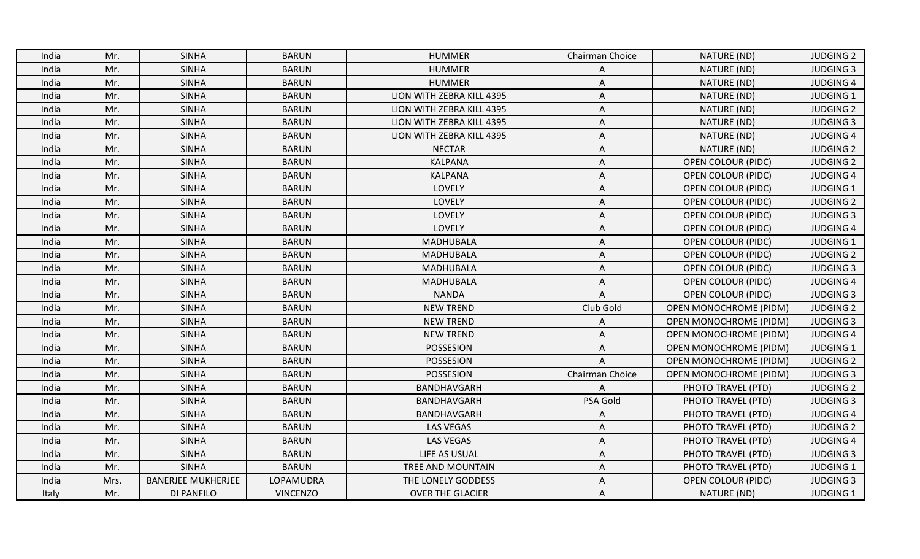| India | Mr.  | <b>SINHA</b>              | <b>BARUN</b>    | <b>HUMMER</b>             | Chairman Choice | NATURE (ND)                   | <b>JUDGING 2</b> |
|-------|------|---------------------------|-----------------|---------------------------|-----------------|-------------------------------|------------------|
| India | Mr.  | <b>SINHA</b>              | <b>BARUN</b>    | <b>HUMMER</b>             | A               | NATURE (ND)                   | <b>JUDGING 3</b> |
| India | Mr.  | <b>SINHA</b>              | <b>BARUN</b>    | <b>HUMMER</b>             | A               | NATURE (ND)                   | <b>JUDGING 4</b> |
| India | Mr.  | <b>SINHA</b>              | <b>BARUN</b>    | LION WITH ZEBRA KILL 4395 | A               | NATURE (ND)                   | JUDGING 1        |
| India | Mr.  | <b>SINHA</b>              | <b>BARUN</b>    | LION WITH ZEBRA KILL 4395 | Α               | NATURE (ND)                   | <b>JUDGING 2</b> |
| India | Mr.  | <b>SINHA</b>              | <b>BARUN</b>    | LION WITH ZEBRA KILL 4395 | A               | NATURE (ND)                   | <b>JUDGING 3</b> |
| India | Mr.  | <b>SINHA</b>              | <b>BARUN</b>    | LION WITH ZEBRA KILL 4395 | Α               | NATURE (ND)                   | <b>JUDGING 4</b> |
| India | Mr.  | <b>SINHA</b>              | <b>BARUN</b>    | <b>NECTAR</b>             | A               | NATURE (ND)                   | <b>JUDGING 2</b> |
| India | Mr.  | <b>SINHA</b>              | <b>BARUN</b>    | <b>KALPANA</b>            | A               | <b>OPEN COLOUR (PIDC)</b>     | <b>JUDGING 2</b> |
| India | Mr.  | <b>SINHA</b>              | <b>BARUN</b>    | <b>KALPANA</b>            | Α               | <b>OPEN COLOUR (PIDC)</b>     | <b>JUDGING 4</b> |
| India | Mr.  | <b>SINHA</b>              | <b>BARUN</b>    | LOVELY                    | A               | <b>OPEN COLOUR (PIDC)</b>     | <b>JUDGING 1</b> |
| India | Mr.  | <b>SINHA</b>              | <b>BARUN</b>    | <b>LOVELY</b>             | Α               | <b>OPEN COLOUR (PIDC)</b>     | <b>JUDGING 2</b> |
| India | Mr.  | <b>SINHA</b>              | <b>BARUN</b>    | LOVELY                    | A               | <b>OPEN COLOUR (PIDC)</b>     | <b>JUDGING 3</b> |
| India | Mr.  | <b>SINHA</b>              | <b>BARUN</b>    | LOVELY                    | A               | <b>OPEN COLOUR (PIDC)</b>     | <b>JUDGING 4</b> |
| India | Mr.  | <b>SINHA</b>              | <b>BARUN</b>    | <b>MADHUBALA</b>          | A               | <b>OPEN COLOUR (PIDC)</b>     | <b>JUDGING 1</b> |
| India | Mr.  | <b>SINHA</b>              | <b>BARUN</b>    | MADHUBALA                 | Α               | <b>OPEN COLOUR (PIDC)</b>     | <b>JUDGING 2</b> |
| India | Mr.  | <b>SINHA</b>              | <b>BARUN</b>    | <b>MADHUBALA</b>          | A               | <b>OPEN COLOUR (PIDC)</b>     | <b>JUDGING 3</b> |
| India | Mr.  | <b>SINHA</b>              | <b>BARUN</b>    | <b>MADHUBALA</b>          | A               | <b>OPEN COLOUR (PIDC)</b>     | <b>JUDGING 4</b> |
| India | Mr.  | <b>SINHA</b>              | <b>BARUN</b>    | <b>NANDA</b>              | A               | OPEN COLOUR (PIDC)            | <b>JUDGING 3</b> |
| India | Mr.  | <b>SINHA</b>              | <b>BARUN</b>    | <b>NEW TREND</b>          | Club Gold       | <b>OPEN MONOCHROME (PIDM)</b> | <b>JUDGING 2</b> |
| India | Mr.  | <b>SINHA</b>              | <b>BARUN</b>    | <b>NEW TREND</b>          | A               | <b>OPEN MONOCHROME (PIDM)</b> | <b>JUDGING 3</b> |
| India | Mr.  | <b>SINHA</b>              | <b>BARUN</b>    | <b>NEW TREND</b>          | Α               | <b>OPEN MONOCHROME (PIDM)</b> | <b>JUDGING 4</b> |
| India | Mr.  | <b>SINHA</b>              | <b>BARUN</b>    | POSSESION                 | A               | <b>OPEN MONOCHROME (PIDM)</b> | JUDGING 1        |
| India | Mr.  | <b>SINHA</b>              | <b>BARUN</b>    | POSSESION                 | $\mathsf{A}$    | <b>OPEN MONOCHROME (PIDM)</b> | <b>JUDGING 2</b> |
| India | Mr.  | <b>SINHA</b>              | <b>BARUN</b>    | POSSESION                 | Chairman Choice | <b>OPEN MONOCHROME (PIDM)</b> | <b>JUDGING 3</b> |
| India | Mr.  | <b>SINHA</b>              | <b>BARUN</b>    | BANDHAVGARH               | A               | PHOTO TRAVEL (PTD)            | <b>JUDGING 2</b> |
| India | Mr.  | <b>SINHA</b>              | <b>BARUN</b>    | BANDHAVGARH               | PSA Gold        | PHOTO TRAVEL (PTD)            | <b>JUDGING 3</b> |
| India | Mr.  | <b>SINHA</b>              | <b>BARUN</b>    | BANDHAVGARH               | A               | PHOTO TRAVEL (PTD)            | <b>JUDGING 4</b> |
| India | Mr.  | <b>SINHA</b>              | <b>BARUN</b>    | <b>LAS VEGAS</b>          | A               | PHOTO TRAVEL (PTD)            | <b>JUDGING 2</b> |
| India | Mr.  | <b>SINHA</b>              | <b>BARUN</b>    | <b>LAS VEGAS</b>          | Α               | PHOTO TRAVEL (PTD)            | <b>JUDGING 4</b> |
| India | Mr.  | <b>SINHA</b>              | <b>BARUN</b>    | LIFE AS USUAL             | A               | PHOTO TRAVEL (PTD)            | <b>JUDGING 3</b> |
| India | Mr.  | <b>SINHA</b>              | <b>BARUN</b>    | TREE AND MOUNTAIN         | A               | PHOTO TRAVEL (PTD)            | <b>JUDGING 1</b> |
| India | Mrs. | <b>BANERJEE MUKHERJEE</b> | LOPAMUDRA       | THE LONELY GODDESS        | $\overline{A}$  | <b>OPEN COLOUR (PIDC)</b>     | <b>JUDGING 3</b> |
| Italy | Mr.  | DI PANFILO                | <b>VINCENZO</b> | <b>OVER THE GLACIER</b>   | A               | NATURE (ND)                   | <b>JUDGING 1</b> |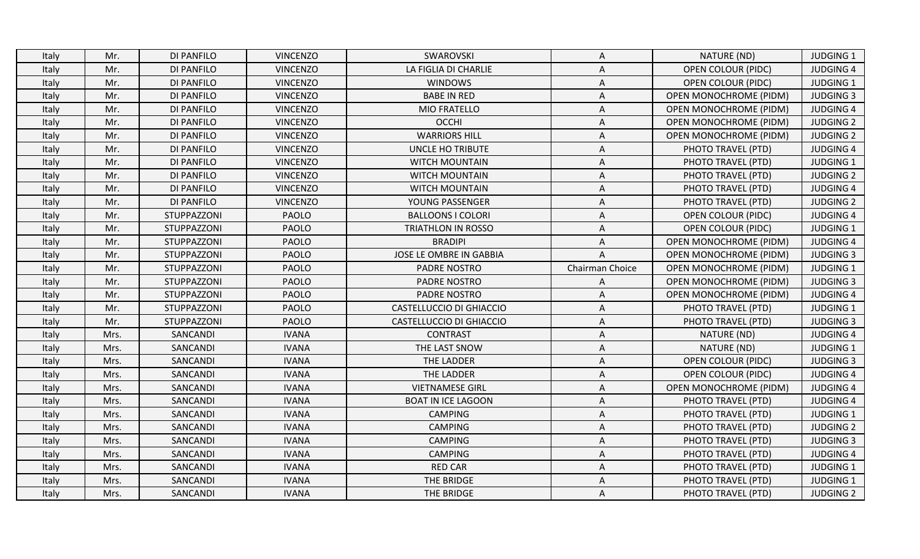| DI PANFILO<br><b>VINCENZO</b><br>NATURE (ND)<br>Italy<br>Mr.<br>SWAROVSKI<br>A<br><b>DI PANFILO</b><br><b>VINCENZO</b><br>LA FIGLIA DI CHARLIE<br><b>OPEN COLOUR (PIDC)</b><br>Mr.<br>A<br>Italy<br><b>DI PANFILO</b><br><b>VINCENZO</b><br><b>WINDOWS</b><br><b>OPEN COLOUR (PIDC)</b><br>Mr.<br>Italy<br>A<br>DI PANFILO<br><b>VINCENZO</b><br><b>BABE IN RED</b><br>Italy<br>Mr.<br>A<br><b>OPEN MONOCHROME (PIDM)</b><br>Mr.<br><b>VINCENZO</b><br>MIO FRATELLO<br><b>DI PANFILO</b><br><b>OPEN MONOCHROME (PIDM)</b><br>Italy<br>A<br>DI PANFILO<br><b>VINCENZO</b><br><b>OCCHI</b><br>Italy<br>Mr.<br>Α<br><b>OPEN MONOCHROME (PIDM)</b><br><b>DI PANFILO</b><br><b>VINCENZO</b><br><b>WARRIORS HILL</b><br>$\mathsf A$<br>Italy<br>Mr.<br><b>OPEN MONOCHROME (PIDM)</b><br><b>DI PANFILO</b><br><b>VINCENZO</b><br>Mr.<br>UNCLE HO TRIBUTE<br>A<br>PHOTO TRAVEL (PTD)<br>Italy<br>Italy<br>Mr.<br>DI PANFILO<br><b>VINCENZO</b><br><b>WITCH MOUNTAIN</b><br>A<br>PHOTO TRAVEL (PTD)<br>Mr.<br><b>VINCENZO</b><br><b>DI PANFILO</b><br><b>WITCH MOUNTAIN</b><br>PHOTO TRAVEL (PTD)<br>Italy<br>A<br>DI PANFILO<br><b>VINCENZO</b><br>WITCH MOUNTAIN<br>PHOTO TRAVEL (PTD)<br>Italy<br>Mr.<br>A<br><b>VINCENZO</b><br>Italy<br>Mr.<br>DI PANFILO<br>YOUNG PASSENGER<br>A<br>PHOTO TRAVEL (PTD)<br>STUPPAZZONI<br><b>PAOLO</b><br><b>BALLOONS I COLORI</b><br><b>OPEN COLOUR (PIDC)</b><br>Italy<br>Mr.<br>A<br>PAOLO<br>Italy<br>Mr.<br>STUPPAZZONI<br>TRIATHLON IN ROSSO<br><b>OPEN COLOUR (PIDC)</b><br>A<br>Mr.<br>PAOLO<br>STUPPAZZONI<br><b>BRADIPI</b><br><b>OPEN MONOCHROME (PIDM)</b><br>Italy<br>A<br><b>PAOLO</b><br>JOSE LE OMBRE IN GABBIA<br>Mr.<br>STUPPAZZONI<br>$\Lambda$<br><b>OPEN MONOCHROME (PIDM)</b><br>Italy<br>Italy<br>Mr.<br>STUPPAZZONI<br><b>PAOLO</b><br>PADRE NOSTRO<br>Chairman Choice<br><b>OPEN MONOCHROME (PIDM)</b><br><b>PAOLO</b><br>PADRE NOSTRO<br>Italy<br>Mr.<br>STUPPAZZONI<br><b>OPEN MONOCHROME (PIDM)</b><br>A<br>Mr.<br>STUPPAZZONI<br><b>PAOLO</b><br>PADRE NOSTRO<br>Italy<br>A<br><b>OPEN MONOCHROME (PIDM)</b><br><b>PAOLO</b><br>Mr.<br>STUPPAZZONI<br>CASTELLUCCIO DI GHIACCIO<br>Α<br>PHOTO TRAVEL (PTD)<br>Italy<br>STUPPAZZONI<br><b>PAOLO</b><br>Mr.<br>CASTELLUCCIO DI GHIACCIO<br>Α<br>PHOTO TRAVEL (PTD)<br>Italy<br>Italy<br>Mrs.<br>SANCANDI<br><b>IVANA</b><br><b>CONTRAST</b><br>A<br>NATURE (ND)<br>SANCANDI<br><b>IVANA</b><br>THE LAST SNOW<br>Mrs.<br>NATURE (ND)<br>Italy<br>A<br>SANCANDI<br><b>IVANA</b><br>THE LADDER<br><b>OPEN COLOUR (PIDC)</b><br>Italy<br>Mrs.<br>A<br>Mrs.<br>SANCANDI<br><b>IVANA</b><br>THE LADDER<br><b>OPEN COLOUR (PIDC)</b><br>Italy<br>Α<br>SANCANDI<br><b>VIETNAMESE GIRL</b><br>Mrs.<br><b>IVANA</b><br><b>OPEN MONOCHROME (PIDM)</b><br>Italy<br>Α<br>SANCANDI<br><b>IVANA</b><br><b>BOAT IN ICE LAGOON</b><br>Italy<br>Mrs.<br>A<br>PHOTO TRAVEL (PTD)<br>Mrs.<br>SANCANDI<br><b>IVANA</b><br><b>CAMPING</b><br>PHOTO TRAVEL (PTD)<br>Italy<br>A<br>SANCANDI<br><b>IVANA</b><br><b>CAMPING</b><br>PHOTO TRAVEL (PTD)<br>Italy<br>Mrs.<br>A<br>SANCANDI<br><b>IVANA</b><br><b>CAMPING</b><br>Italy<br>Mrs.<br>A<br>PHOTO TRAVEL (PTD)<br>SANCANDI<br><b>IVANA</b><br><b>CAMPING</b><br>Mrs.<br>PHOTO TRAVEL (PTD)<br>Italy<br>A<br>SANCANDI<br><b>IVANA</b><br><b>RED CAR</b><br>PHOTO TRAVEL (PTD)<br>Italy<br>Mrs.<br>Α<br>THE BRIDGE<br>SANCANDI<br><b>IVANA</b><br>PHOTO TRAVEL (PTD)<br>Italy<br>Mrs.<br>A |       |      |          |              |            |   |                    |                  |
|-----------------------------------------------------------------------------------------------------------------------------------------------------------------------------------------------------------------------------------------------------------------------------------------------------------------------------------------------------------------------------------------------------------------------------------------------------------------------------------------------------------------------------------------------------------------------------------------------------------------------------------------------------------------------------------------------------------------------------------------------------------------------------------------------------------------------------------------------------------------------------------------------------------------------------------------------------------------------------------------------------------------------------------------------------------------------------------------------------------------------------------------------------------------------------------------------------------------------------------------------------------------------------------------------------------------------------------------------------------------------------------------------------------------------------------------------------------------------------------------------------------------------------------------------------------------------------------------------------------------------------------------------------------------------------------------------------------------------------------------------------------------------------------------------------------------------------------------------------------------------------------------------------------------------------------------------------------------------------------------------------------------------------------------------------------------------------------------------------------------------------------------------------------------------------------------------------------------------------------------------------------------------------------------------------------------------------------------------------------------------------------------------------------------------------------------------------------------------------------------------------------------------------------------------------------------------------------------------------------------------------------------------------------------------------------------------------------------------------------------------------------------------------------------------------------------------------------------------------------------------------------------------------------------------------------------------------------------------------------------------------------------------------------------------------------------------------------------------------------------------------------------------------------------------------------------------------------------------------------------------------------------------------------------------------------------------------------------------------------------------------------------------------------------------------|-------|------|----------|--------------|------------|---|--------------------|------------------|
|                                                                                                                                                                                                                                                                                                                                                                                                                                                                                                                                                                                                                                                                                                                                                                                                                                                                                                                                                                                                                                                                                                                                                                                                                                                                                                                                                                                                                                                                                                                                                                                                                                                                                                                                                                                                                                                                                                                                                                                                                                                                                                                                                                                                                                                                                                                                                                                                                                                                                                                                                                                                                                                                                                                                                                                                                                                                                                                                                                                                                                                                                                                                                                                                                                                                                                                                                                                                                             |       |      |          |              |            |   |                    | <b>JUDGING 1</b> |
|                                                                                                                                                                                                                                                                                                                                                                                                                                                                                                                                                                                                                                                                                                                                                                                                                                                                                                                                                                                                                                                                                                                                                                                                                                                                                                                                                                                                                                                                                                                                                                                                                                                                                                                                                                                                                                                                                                                                                                                                                                                                                                                                                                                                                                                                                                                                                                                                                                                                                                                                                                                                                                                                                                                                                                                                                                                                                                                                                                                                                                                                                                                                                                                                                                                                                                                                                                                                                             |       |      |          |              |            |   |                    | <b>JUDGING 4</b> |
|                                                                                                                                                                                                                                                                                                                                                                                                                                                                                                                                                                                                                                                                                                                                                                                                                                                                                                                                                                                                                                                                                                                                                                                                                                                                                                                                                                                                                                                                                                                                                                                                                                                                                                                                                                                                                                                                                                                                                                                                                                                                                                                                                                                                                                                                                                                                                                                                                                                                                                                                                                                                                                                                                                                                                                                                                                                                                                                                                                                                                                                                                                                                                                                                                                                                                                                                                                                                                             |       |      |          |              |            |   |                    | <b>JUDGING 1</b> |
|                                                                                                                                                                                                                                                                                                                                                                                                                                                                                                                                                                                                                                                                                                                                                                                                                                                                                                                                                                                                                                                                                                                                                                                                                                                                                                                                                                                                                                                                                                                                                                                                                                                                                                                                                                                                                                                                                                                                                                                                                                                                                                                                                                                                                                                                                                                                                                                                                                                                                                                                                                                                                                                                                                                                                                                                                                                                                                                                                                                                                                                                                                                                                                                                                                                                                                                                                                                                                             |       |      |          |              |            |   |                    | <b>JUDGING 3</b> |
|                                                                                                                                                                                                                                                                                                                                                                                                                                                                                                                                                                                                                                                                                                                                                                                                                                                                                                                                                                                                                                                                                                                                                                                                                                                                                                                                                                                                                                                                                                                                                                                                                                                                                                                                                                                                                                                                                                                                                                                                                                                                                                                                                                                                                                                                                                                                                                                                                                                                                                                                                                                                                                                                                                                                                                                                                                                                                                                                                                                                                                                                                                                                                                                                                                                                                                                                                                                                                             |       |      |          |              |            |   |                    | <b>JUDGING 4</b> |
|                                                                                                                                                                                                                                                                                                                                                                                                                                                                                                                                                                                                                                                                                                                                                                                                                                                                                                                                                                                                                                                                                                                                                                                                                                                                                                                                                                                                                                                                                                                                                                                                                                                                                                                                                                                                                                                                                                                                                                                                                                                                                                                                                                                                                                                                                                                                                                                                                                                                                                                                                                                                                                                                                                                                                                                                                                                                                                                                                                                                                                                                                                                                                                                                                                                                                                                                                                                                                             |       |      |          |              |            |   |                    | <b>JUDGING 2</b> |
|                                                                                                                                                                                                                                                                                                                                                                                                                                                                                                                                                                                                                                                                                                                                                                                                                                                                                                                                                                                                                                                                                                                                                                                                                                                                                                                                                                                                                                                                                                                                                                                                                                                                                                                                                                                                                                                                                                                                                                                                                                                                                                                                                                                                                                                                                                                                                                                                                                                                                                                                                                                                                                                                                                                                                                                                                                                                                                                                                                                                                                                                                                                                                                                                                                                                                                                                                                                                                             |       |      |          |              |            |   |                    | <b>JUDGING 2</b> |
|                                                                                                                                                                                                                                                                                                                                                                                                                                                                                                                                                                                                                                                                                                                                                                                                                                                                                                                                                                                                                                                                                                                                                                                                                                                                                                                                                                                                                                                                                                                                                                                                                                                                                                                                                                                                                                                                                                                                                                                                                                                                                                                                                                                                                                                                                                                                                                                                                                                                                                                                                                                                                                                                                                                                                                                                                                                                                                                                                                                                                                                                                                                                                                                                                                                                                                                                                                                                                             |       |      |          |              |            |   |                    | <b>JUDGING 4</b> |
|                                                                                                                                                                                                                                                                                                                                                                                                                                                                                                                                                                                                                                                                                                                                                                                                                                                                                                                                                                                                                                                                                                                                                                                                                                                                                                                                                                                                                                                                                                                                                                                                                                                                                                                                                                                                                                                                                                                                                                                                                                                                                                                                                                                                                                                                                                                                                                                                                                                                                                                                                                                                                                                                                                                                                                                                                                                                                                                                                                                                                                                                                                                                                                                                                                                                                                                                                                                                                             |       |      |          |              |            |   |                    | <b>JUDGING 1</b> |
|                                                                                                                                                                                                                                                                                                                                                                                                                                                                                                                                                                                                                                                                                                                                                                                                                                                                                                                                                                                                                                                                                                                                                                                                                                                                                                                                                                                                                                                                                                                                                                                                                                                                                                                                                                                                                                                                                                                                                                                                                                                                                                                                                                                                                                                                                                                                                                                                                                                                                                                                                                                                                                                                                                                                                                                                                                                                                                                                                                                                                                                                                                                                                                                                                                                                                                                                                                                                                             |       |      |          |              |            |   |                    | <b>JUDGING 2</b> |
|                                                                                                                                                                                                                                                                                                                                                                                                                                                                                                                                                                                                                                                                                                                                                                                                                                                                                                                                                                                                                                                                                                                                                                                                                                                                                                                                                                                                                                                                                                                                                                                                                                                                                                                                                                                                                                                                                                                                                                                                                                                                                                                                                                                                                                                                                                                                                                                                                                                                                                                                                                                                                                                                                                                                                                                                                                                                                                                                                                                                                                                                                                                                                                                                                                                                                                                                                                                                                             |       |      |          |              |            |   |                    | <b>JUDGING 4</b> |
|                                                                                                                                                                                                                                                                                                                                                                                                                                                                                                                                                                                                                                                                                                                                                                                                                                                                                                                                                                                                                                                                                                                                                                                                                                                                                                                                                                                                                                                                                                                                                                                                                                                                                                                                                                                                                                                                                                                                                                                                                                                                                                                                                                                                                                                                                                                                                                                                                                                                                                                                                                                                                                                                                                                                                                                                                                                                                                                                                                                                                                                                                                                                                                                                                                                                                                                                                                                                                             |       |      |          |              |            |   |                    | <b>JUDGING 2</b> |
|                                                                                                                                                                                                                                                                                                                                                                                                                                                                                                                                                                                                                                                                                                                                                                                                                                                                                                                                                                                                                                                                                                                                                                                                                                                                                                                                                                                                                                                                                                                                                                                                                                                                                                                                                                                                                                                                                                                                                                                                                                                                                                                                                                                                                                                                                                                                                                                                                                                                                                                                                                                                                                                                                                                                                                                                                                                                                                                                                                                                                                                                                                                                                                                                                                                                                                                                                                                                                             |       |      |          |              |            |   |                    | <b>JUDGING 4</b> |
|                                                                                                                                                                                                                                                                                                                                                                                                                                                                                                                                                                                                                                                                                                                                                                                                                                                                                                                                                                                                                                                                                                                                                                                                                                                                                                                                                                                                                                                                                                                                                                                                                                                                                                                                                                                                                                                                                                                                                                                                                                                                                                                                                                                                                                                                                                                                                                                                                                                                                                                                                                                                                                                                                                                                                                                                                                                                                                                                                                                                                                                                                                                                                                                                                                                                                                                                                                                                                             |       |      |          |              |            |   |                    | <b>JUDGING 1</b> |
|                                                                                                                                                                                                                                                                                                                                                                                                                                                                                                                                                                                                                                                                                                                                                                                                                                                                                                                                                                                                                                                                                                                                                                                                                                                                                                                                                                                                                                                                                                                                                                                                                                                                                                                                                                                                                                                                                                                                                                                                                                                                                                                                                                                                                                                                                                                                                                                                                                                                                                                                                                                                                                                                                                                                                                                                                                                                                                                                                                                                                                                                                                                                                                                                                                                                                                                                                                                                                             |       |      |          |              |            |   |                    | <b>JUDGING 4</b> |
|                                                                                                                                                                                                                                                                                                                                                                                                                                                                                                                                                                                                                                                                                                                                                                                                                                                                                                                                                                                                                                                                                                                                                                                                                                                                                                                                                                                                                                                                                                                                                                                                                                                                                                                                                                                                                                                                                                                                                                                                                                                                                                                                                                                                                                                                                                                                                                                                                                                                                                                                                                                                                                                                                                                                                                                                                                                                                                                                                                                                                                                                                                                                                                                                                                                                                                                                                                                                                             |       |      |          |              |            |   |                    | <b>JUDGING 3</b> |
|                                                                                                                                                                                                                                                                                                                                                                                                                                                                                                                                                                                                                                                                                                                                                                                                                                                                                                                                                                                                                                                                                                                                                                                                                                                                                                                                                                                                                                                                                                                                                                                                                                                                                                                                                                                                                                                                                                                                                                                                                                                                                                                                                                                                                                                                                                                                                                                                                                                                                                                                                                                                                                                                                                                                                                                                                                                                                                                                                                                                                                                                                                                                                                                                                                                                                                                                                                                                                             |       |      |          |              |            |   |                    | <b>JUDGING 1</b> |
|                                                                                                                                                                                                                                                                                                                                                                                                                                                                                                                                                                                                                                                                                                                                                                                                                                                                                                                                                                                                                                                                                                                                                                                                                                                                                                                                                                                                                                                                                                                                                                                                                                                                                                                                                                                                                                                                                                                                                                                                                                                                                                                                                                                                                                                                                                                                                                                                                                                                                                                                                                                                                                                                                                                                                                                                                                                                                                                                                                                                                                                                                                                                                                                                                                                                                                                                                                                                                             |       |      |          |              |            |   |                    | <b>JUDGING 3</b> |
|                                                                                                                                                                                                                                                                                                                                                                                                                                                                                                                                                                                                                                                                                                                                                                                                                                                                                                                                                                                                                                                                                                                                                                                                                                                                                                                                                                                                                                                                                                                                                                                                                                                                                                                                                                                                                                                                                                                                                                                                                                                                                                                                                                                                                                                                                                                                                                                                                                                                                                                                                                                                                                                                                                                                                                                                                                                                                                                                                                                                                                                                                                                                                                                                                                                                                                                                                                                                                             |       |      |          |              |            |   |                    | <b>JUDGING 4</b> |
|                                                                                                                                                                                                                                                                                                                                                                                                                                                                                                                                                                                                                                                                                                                                                                                                                                                                                                                                                                                                                                                                                                                                                                                                                                                                                                                                                                                                                                                                                                                                                                                                                                                                                                                                                                                                                                                                                                                                                                                                                                                                                                                                                                                                                                                                                                                                                                                                                                                                                                                                                                                                                                                                                                                                                                                                                                                                                                                                                                                                                                                                                                                                                                                                                                                                                                                                                                                                                             |       |      |          |              |            |   |                    | <b>JUDGING 1</b> |
|                                                                                                                                                                                                                                                                                                                                                                                                                                                                                                                                                                                                                                                                                                                                                                                                                                                                                                                                                                                                                                                                                                                                                                                                                                                                                                                                                                                                                                                                                                                                                                                                                                                                                                                                                                                                                                                                                                                                                                                                                                                                                                                                                                                                                                                                                                                                                                                                                                                                                                                                                                                                                                                                                                                                                                                                                                                                                                                                                                                                                                                                                                                                                                                                                                                                                                                                                                                                                             |       |      |          |              |            |   |                    | <b>JUDGING 3</b> |
|                                                                                                                                                                                                                                                                                                                                                                                                                                                                                                                                                                                                                                                                                                                                                                                                                                                                                                                                                                                                                                                                                                                                                                                                                                                                                                                                                                                                                                                                                                                                                                                                                                                                                                                                                                                                                                                                                                                                                                                                                                                                                                                                                                                                                                                                                                                                                                                                                                                                                                                                                                                                                                                                                                                                                                                                                                                                                                                                                                                                                                                                                                                                                                                                                                                                                                                                                                                                                             |       |      |          |              |            |   |                    | <b>JUDGING 4</b> |
|                                                                                                                                                                                                                                                                                                                                                                                                                                                                                                                                                                                                                                                                                                                                                                                                                                                                                                                                                                                                                                                                                                                                                                                                                                                                                                                                                                                                                                                                                                                                                                                                                                                                                                                                                                                                                                                                                                                                                                                                                                                                                                                                                                                                                                                                                                                                                                                                                                                                                                                                                                                                                                                                                                                                                                                                                                                                                                                                                                                                                                                                                                                                                                                                                                                                                                                                                                                                                             |       |      |          |              |            |   |                    | JUDGING 1        |
|                                                                                                                                                                                                                                                                                                                                                                                                                                                                                                                                                                                                                                                                                                                                                                                                                                                                                                                                                                                                                                                                                                                                                                                                                                                                                                                                                                                                                                                                                                                                                                                                                                                                                                                                                                                                                                                                                                                                                                                                                                                                                                                                                                                                                                                                                                                                                                                                                                                                                                                                                                                                                                                                                                                                                                                                                                                                                                                                                                                                                                                                                                                                                                                                                                                                                                                                                                                                                             |       |      |          |              |            |   |                    | <b>JUDGING 3</b> |
|                                                                                                                                                                                                                                                                                                                                                                                                                                                                                                                                                                                                                                                                                                                                                                                                                                                                                                                                                                                                                                                                                                                                                                                                                                                                                                                                                                                                                                                                                                                                                                                                                                                                                                                                                                                                                                                                                                                                                                                                                                                                                                                                                                                                                                                                                                                                                                                                                                                                                                                                                                                                                                                                                                                                                                                                                                                                                                                                                                                                                                                                                                                                                                                                                                                                                                                                                                                                                             |       |      |          |              |            |   |                    | <b>JUDGING 4</b> |
|                                                                                                                                                                                                                                                                                                                                                                                                                                                                                                                                                                                                                                                                                                                                                                                                                                                                                                                                                                                                                                                                                                                                                                                                                                                                                                                                                                                                                                                                                                                                                                                                                                                                                                                                                                                                                                                                                                                                                                                                                                                                                                                                                                                                                                                                                                                                                                                                                                                                                                                                                                                                                                                                                                                                                                                                                                                                                                                                                                                                                                                                                                                                                                                                                                                                                                                                                                                                                             |       |      |          |              |            |   |                    | <b>JUDGING 4</b> |
|                                                                                                                                                                                                                                                                                                                                                                                                                                                                                                                                                                                                                                                                                                                                                                                                                                                                                                                                                                                                                                                                                                                                                                                                                                                                                                                                                                                                                                                                                                                                                                                                                                                                                                                                                                                                                                                                                                                                                                                                                                                                                                                                                                                                                                                                                                                                                                                                                                                                                                                                                                                                                                                                                                                                                                                                                                                                                                                                                                                                                                                                                                                                                                                                                                                                                                                                                                                                                             |       |      |          |              |            |   |                    | <b>JUDGING 4</b> |
|                                                                                                                                                                                                                                                                                                                                                                                                                                                                                                                                                                                                                                                                                                                                                                                                                                                                                                                                                                                                                                                                                                                                                                                                                                                                                                                                                                                                                                                                                                                                                                                                                                                                                                                                                                                                                                                                                                                                                                                                                                                                                                                                                                                                                                                                                                                                                                                                                                                                                                                                                                                                                                                                                                                                                                                                                                                                                                                                                                                                                                                                                                                                                                                                                                                                                                                                                                                                                             |       |      |          |              |            |   |                    | <b>JUDGING 1</b> |
|                                                                                                                                                                                                                                                                                                                                                                                                                                                                                                                                                                                                                                                                                                                                                                                                                                                                                                                                                                                                                                                                                                                                                                                                                                                                                                                                                                                                                                                                                                                                                                                                                                                                                                                                                                                                                                                                                                                                                                                                                                                                                                                                                                                                                                                                                                                                                                                                                                                                                                                                                                                                                                                                                                                                                                                                                                                                                                                                                                                                                                                                                                                                                                                                                                                                                                                                                                                                                             |       |      |          |              |            |   |                    | <b>JUDGING 2</b> |
|                                                                                                                                                                                                                                                                                                                                                                                                                                                                                                                                                                                                                                                                                                                                                                                                                                                                                                                                                                                                                                                                                                                                                                                                                                                                                                                                                                                                                                                                                                                                                                                                                                                                                                                                                                                                                                                                                                                                                                                                                                                                                                                                                                                                                                                                                                                                                                                                                                                                                                                                                                                                                                                                                                                                                                                                                                                                                                                                                                                                                                                                                                                                                                                                                                                                                                                                                                                                                             |       |      |          |              |            |   |                    | <b>JUDGING 3</b> |
|                                                                                                                                                                                                                                                                                                                                                                                                                                                                                                                                                                                                                                                                                                                                                                                                                                                                                                                                                                                                                                                                                                                                                                                                                                                                                                                                                                                                                                                                                                                                                                                                                                                                                                                                                                                                                                                                                                                                                                                                                                                                                                                                                                                                                                                                                                                                                                                                                                                                                                                                                                                                                                                                                                                                                                                                                                                                                                                                                                                                                                                                                                                                                                                                                                                                                                                                                                                                                             |       |      |          |              |            |   |                    | <b>JUDGING 4</b> |
|                                                                                                                                                                                                                                                                                                                                                                                                                                                                                                                                                                                                                                                                                                                                                                                                                                                                                                                                                                                                                                                                                                                                                                                                                                                                                                                                                                                                                                                                                                                                                                                                                                                                                                                                                                                                                                                                                                                                                                                                                                                                                                                                                                                                                                                                                                                                                                                                                                                                                                                                                                                                                                                                                                                                                                                                                                                                                                                                                                                                                                                                                                                                                                                                                                                                                                                                                                                                                             |       |      |          |              |            |   |                    | JUDGING 1        |
|                                                                                                                                                                                                                                                                                                                                                                                                                                                                                                                                                                                                                                                                                                                                                                                                                                                                                                                                                                                                                                                                                                                                                                                                                                                                                                                                                                                                                                                                                                                                                                                                                                                                                                                                                                                                                                                                                                                                                                                                                                                                                                                                                                                                                                                                                                                                                                                                                                                                                                                                                                                                                                                                                                                                                                                                                                                                                                                                                                                                                                                                                                                                                                                                                                                                                                                                                                                                                             |       |      |          |              |            |   |                    | <b>JUDGING 1</b> |
|                                                                                                                                                                                                                                                                                                                                                                                                                                                                                                                                                                                                                                                                                                                                                                                                                                                                                                                                                                                                                                                                                                                                                                                                                                                                                                                                                                                                                                                                                                                                                                                                                                                                                                                                                                                                                                                                                                                                                                                                                                                                                                                                                                                                                                                                                                                                                                                                                                                                                                                                                                                                                                                                                                                                                                                                                                                                                                                                                                                                                                                                                                                                                                                                                                                                                                                                                                                                                             | Italy | Mrs. | SANCANDI | <b>IVANA</b> | THE BRIDGE | Α | PHOTO TRAVEL (PTD) | <b>JUDGING 2</b> |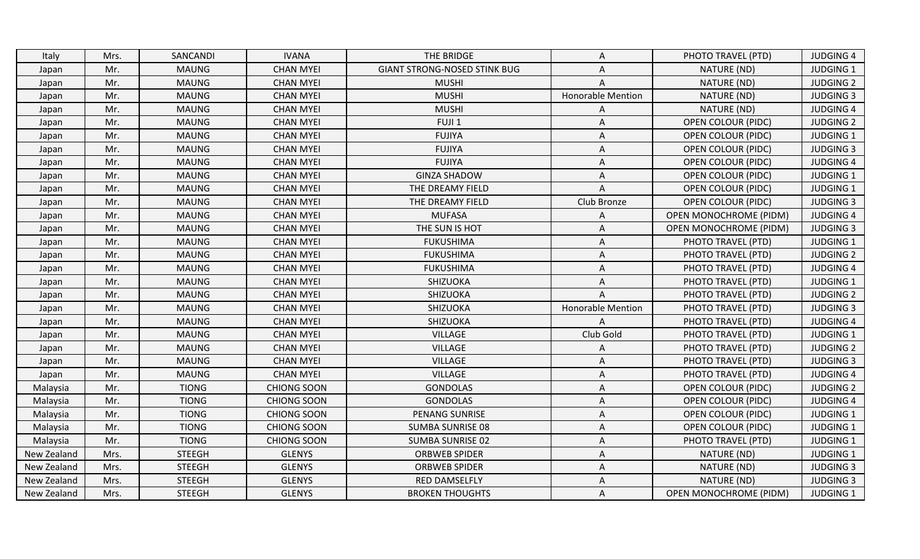| Italy       | Mrs. | SANCANDI      | <b>IVANA</b>       | THE BRIDGE                          | A                        | PHOTO TRAVEL (PTD)            | <b>JUDGING 4</b> |
|-------------|------|---------------|--------------------|-------------------------------------|--------------------------|-------------------------------|------------------|
| Japan       | Mr.  | <b>MAUNG</b>  | <b>CHAN MYEI</b>   | <b>GIANT STRONG-NOSED STINK BUG</b> | A                        | NATURE (ND)                   | <b>JUDGING 1</b> |
| Japan       | Mr.  | <b>MAUNG</b>  | <b>CHAN MYEI</b>   | <b>MUSHI</b>                        | A                        | NATURE (ND)                   | <b>JUDGING 2</b> |
| Japan       | Mr.  | <b>MAUNG</b>  | <b>CHAN MYEI</b>   | <b>MUSHI</b>                        | <b>Honorable Mention</b> | NATURE (ND)                   | <b>JUDGING 3</b> |
| Japan       | Mr.  | <b>MAUNG</b>  | <b>CHAN MYEI</b>   | <b>MUSHI</b>                        | A                        | NATURE (ND)                   | <b>JUDGING 4</b> |
| Japan       | Mr.  | <b>MAUNG</b>  | <b>CHAN MYEI</b>   | FUJI <sub>1</sub>                   | A                        | <b>OPEN COLOUR (PIDC)</b>     | <b>JUDGING 2</b> |
| Japan       | Mr.  | <b>MAUNG</b>  | <b>CHAN MYEI</b>   | <b>FUJIYA</b>                       | Α                        | <b>OPEN COLOUR (PIDC)</b>     | <b>JUDGING 1</b> |
| Japan       | Mr.  | <b>MAUNG</b>  | <b>CHAN MYEI</b>   | <b>FUJIYA</b>                       | Α                        | <b>OPEN COLOUR (PIDC)</b>     | <b>JUDGING 3</b> |
| Japan       | Mr.  | <b>MAUNG</b>  | <b>CHAN MYEI</b>   | <b>FUJIYA</b>                       | A                        | OPEN COLOUR (PIDC)            | <b>JUDGING 4</b> |
| Japan       | Mr.  | <b>MAUNG</b>  | <b>CHAN MYEI</b>   | <b>GINZA SHADOW</b>                 | Α                        | <b>OPEN COLOUR (PIDC)</b>     | <b>JUDGING 1</b> |
| Japan       | Mr.  | <b>MAUNG</b>  | <b>CHAN MYEI</b>   | THE DREAMY FIELD                    | A                        | <b>OPEN COLOUR (PIDC)</b>     | <b>JUDGING 1</b> |
| Japan       | Mr.  | <b>MAUNG</b>  | <b>CHAN MYEI</b>   | THE DREAMY FIELD                    | Club Bronze              | <b>OPEN COLOUR (PIDC)</b>     | <b>JUDGING 3</b> |
| Japan       | Mr.  | <b>MAUNG</b>  | <b>CHAN MYEI</b>   | <b>MUFASA</b>                       | A                        | OPEN MONOCHROME (PIDM)        | <b>JUDGING 4</b> |
| Japan       | Mr.  | <b>MAUNG</b>  | <b>CHAN MYEI</b>   | THE SUN IS HOT                      | A                        | <b>OPEN MONOCHROME (PIDM)</b> | <b>JUDGING 3</b> |
| Japan       | Mr.  | <b>MAUNG</b>  | <b>CHAN MYEI</b>   | <b>FUKUSHIMA</b>                    | A                        | PHOTO TRAVEL (PTD)            | <b>JUDGING 1</b> |
| Japan       | Mr.  | <b>MAUNG</b>  | <b>CHAN MYEI</b>   | <b>FUKUSHIMA</b>                    | Α                        | PHOTO TRAVEL (PTD)            | <b>JUDGING 2</b> |
| Japan       | Mr.  | <b>MAUNG</b>  | <b>CHAN MYEI</b>   | <b>FUKUSHIMA</b>                    | Α                        | PHOTO TRAVEL (PTD)            | <b>JUDGING 4</b> |
| Japan       | Mr.  | <b>MAUNG</b>  | <b>CHAN MYEI</b>   | SHIZUOKA                            | A                        | PHOTO TRAVEL (PTD)            | <b>JUDGING 1</b> |
| Japan       | Mr.  | <b>MAUNG</b>  | <b>CHAN MYEI</b>   | SHIZUOKA                            | A                        | PHOTO TRAVEL (PTD)            | <b>JUDGING 2</b> |
| Japan       | Mr.  | <b>MAUNG</b>  | <b>CHAN MYEI</b>   | SHIZUOKA                            | Honorable Mention        | PHOTO TRAVEL (PTD)            | <b>JUDGING 3</b> |
| Japan       | Mr.  | <b>MAUNG</b>  | <b>CHAN MYEI</b>   | SHIZUOKA                            | A                        | PHOTO TRAVEL (PTD)            | <b>JUDGING 4</b> |
| Japan       | Mr.  | <b>MAUNG</b>  | <b>CHAN MYEI</b>   | <b>VILLAGE</b>                      | Club Gold                | PHOTO TRAVEL (PTD)            | <b>JUDGING 1</b> |
| Japan       | Mr.  | <b>MAUNG</b>  | <b>CHAN MYEI</b>   | <b>VILLAGE</b>                      | A                        | PHOTO TRAVEL (PTD)            | <b>JUDGING 2</b> |
| Japan       | Mr.  | <b>MAUNG</b>  | <b>CHAN MYEI</b>   | <b>VILLAGE</b>                      | A                        | PHOTO TRAVEL (PTD)            | <b>JUDGING 3</b> |
| Japan       | Mr.  | <b>MAUNG</b>  | <b>CHAN MYEI</b>   | <b>VILLAGE</b>                      | A                        | PHOTO TRAVEL (PTD)            | <b>JUDGING 4</b> |
| Malaysia    | Mr.  | <b>TIONG</b>  | <b>CHIONG SOON</b> | <b>GONDOLAS</b>                     | Α                        | <b>OPEN COLOUR (PIDC)</b>     | <b>JUDGING 2</b> |
| Malaysia    | Mr.  | <b>TIONG</b>  | <b>CHIONG SOON</b> | <b>GONDOLAS</b>                     | Α                        | <b>OPEN COLOUR (PIDC)</b>     | <b>JUDGING 4</b> |
| Malaysia    | Mr.  | <b>TIONG</b>  | <b>CHIONG SOON</b> | PENANG SUNRISE                      | Α                        | <b>OPEN COLOUR (PIDC)</b>     | <b>JUDGING 1</b> |
| Malaysia    | Mr.  | <b>TIONG</b>  | <b>CHIONG SOON</b> | <b>SUMBA SUNRISE 08</b>             | A                        | <b>OPEN COLOUR (PIDC)</b>     | <b>JUDGING 1</b> |
| Malaysia    | Mr.  | <b>TIONG</b>  | <b>CHIONG SOON</b> | <b>SUMBA SUNRISE 02</b>             | Α                        | PHOTO TRAVEL (PTD)            | <b>JUDGING 1</b> |
| New Zealand | Mrs. | <b>STEEGH</b> | <b>GLENYS</b>      | <b>ORBWEB SPIDER</b>                | A                        | NATURE (ND)                   | <b>JUDGING 1</b> |
| New Zealand | Mrs. | <b>STEEGH</b> | <b>GLENYS</b>      | <b>ORBWEB SPIDER</b>                | A                        | NATURE (ND)                   | <b>JUDGING 3</b> |
| New Zealand | Mrs. | <b>STEEGH</b> | <b>GLENYS</b>      | RED DAMSELFLY                       | A                        | NATURE (ND)                   | <b>JUDGING 3</b> |
| New Zealand | Mrs. | <b>STEEGH</b> | <b>GLENYS</b>      | <b>BROKEN THOUGHTS</b>              | Α                        | <b>OPEN MONOCHROME (PIDM)</b> | <b>JUDGING 1</b> |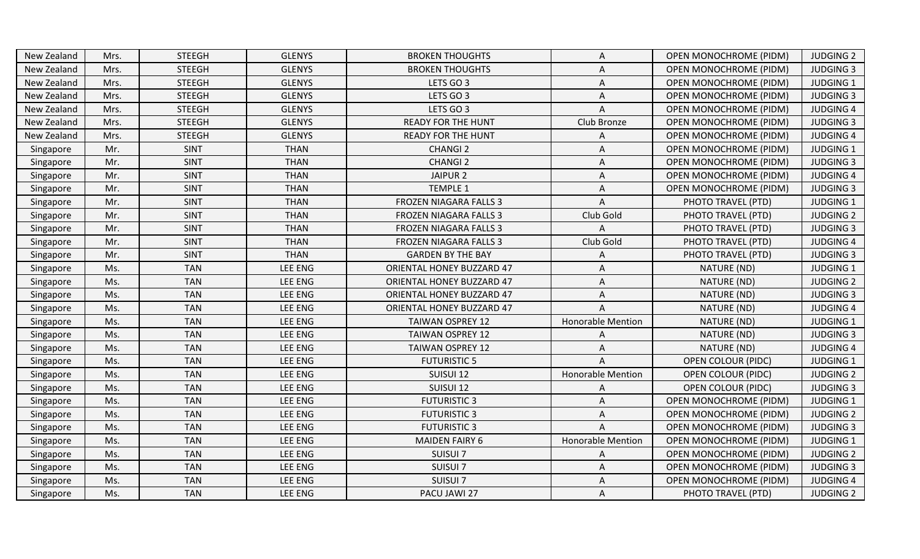| New Zealand | Mrs. | <b>STEEGH</b> | <b>GLENYS</b> | <b>BROKEN THOUGHTS</b>           | Α                        | <b>OPEN MONOCHROME (PIDM)</b> | <b>JUDGING 2</b> |
|-------------|------|---------------|---------------|----------------------------------|--------------------------|-------------------------------|------------------|
| New Zealand | Mrs. | <b>STEEGH</b> | <b>GLENYS</b> | <b>BROKEN THOUGHTS</b>           | Α                        | <b>OPEN MONOCHROME (PIDM)</b> | <b>JUDGING 3</b> |
| New Zealand | Mrs. | <b>STEEGH</b> | <b>GLENYS</b> | LETS GO 3                        | Α                        | <b>OPEN MONOCHROME (PIDM)</b> | <b>JUDGING 1</b> |
| New Zealand | Mrs. | <b>STEEGH</b> | <b>GLENYS</b> | LETS GO 3                        | Α                        | <b>OPEN MONOCHROME (PIDM)</b> | <b>JUDGING 3</b> |
| New Zealand | Mrs. | <b>STEEGH</b> | <b>GLENYS</b> | LETS GO 3                        | Α                        | <b>OPEN MONOCHROME (PIDM)</b> | <b>JUDGING 4</b> |
| New Zealand | Mrs. | <b>STEEGH</b> | <b>GLENYS</b> | <b>READY FOR THE HUNT</b>        | Club Bronze              | <b>OPEN MONOCHROME (PIDM)</b> | <b>JUDGING 3</b> |
| New Zealand | Mrs. | <b>STEEGH</b> | <b>GLENYS</b> | <b>READY FOR THE HUNT</b>        | Α                        | OPEN MONOCHROME (PIDM)        | <b>JUDGING 4</b> |
| Singapore   | Mr.  | <b>SINT</b>   | <b>THAN</b>   | <b>CHANGI 2</b>                  | A                        | OPEN MONOCHROME (PIDM)        | JUDGING 1        |
| Singapore   | Mr.  | <b>SINT</b>   | <b>THAN</b>   | <b>CHANGI 2</b>                  | Α                        | <b>OPEN MONOCHROME (PIDM)</b> | <b>JUDGING 3</b> |
| Singapore   | Mr.  | <b>SINT</b>   | <b>THAN</b>   | JAIPUR <sub>2</sub>              | Α                        | OPEN MONOCHROME (PIDM)        | <b>JUDGING 4</b> |
| Singapore   | Mr.  | <b>SINT</b>   | <b>THAN</b>   | <b>TEMPLE 1</b>                  | Α                        | <b>OPEN MONOCHROME (PIDM)</b> | <b>JUDGING 3</b> |
| Singapore   | Mr.  | <b>SINT</b>   | <b>THAN</b>   | FROZEN NIAGARA FALLS 3           | Α                        | PHOTO TRAVEL (PTD)            | <b>JUDGING 1</b> |
| Singapore   | Mr.  | <b>SINT</b>   | <b>THAN</b>   | FROZEN NIAGARA FALLS 3           | Club Gold                | PHOTO TRAVEL (PTD)            | <b>JUDGING 2</b> |
| Singapore   | Mr.  | <b>SINT</b>   | <b>THAN</b>   | <b>FROZEN NIAGARA FALLS 3</b>    | A                        | PHOTO TRAVEL (PTD)            | <b>JUDGING 3</b> |
| Singapore   | Mr.  | <b>SINT</b>   | <b>THAN</b>   | FROZEN NIAGARA FALLS 3           | Club Gold                | PHOTO TRAVEL (PTD)            | <b>JUDGING 4</b> |
| Singapore   | Mr.  | <b>SINT</b>   | <b>THAN</b>   | <b>GARDEN BY THE BAY</b>         | Α                        | PHOTO TRAVEL (PTD)            | <b>JUDGING 3</b> |
| Singapore   | Ms.  | <b>TAN</b>    | LEE ENG       | ORIENTAL HONEY BUZZARD 47        | A                        | NATURE (ND)                   | <b>JUDGING 1</b> |
| Singapore   | Ms.  | <b>TAN</b>    | LEE ENG       | <b>ORIENTAL HONEY BUZZARD 47</b> | Α                        | NATURE (ND)                   | <b>JUDGING 2</b> |
| Singapore   | Ms.  | <b>TAN</b>    | LEE ENG       | <b>ORIENTAL HONEY BUZZARD 47</b> | Α                        | NATURE (ND)                   | <b>JUDGING 3</b> |
| Singapore   | Ms.  | <b>TAN</b>    | LEE ENG       | ORIENTAL HONEY BUZZARD 47        | A                        | NATURE (ND)                   | <b>JUDGING 4</b> |
| Singapore   | Ms.  | <b>TAN</b>    | LEE ENG       | <b>TAIWAN OSPREY 12</b>          | <b>Honorable Mention</b> | NATURE (ND)                   | <b>JUDGING 1</b> |
| Singapore   | Ms.  | <b>TAN</b>    | LEE ENG       | <b>TAIWAN OSPREY 12</b>          | A                        | NATURE (ND)                   | <b>JUDGING 3</b> |
| Singapore   | Ms.  | <b>TAN</b>    | LEE ENG       | <b>TAIWAN OSPREY 12</b>          | Α                        | NATURE (ND)                   | <b>JUDGING 4</b> |
| Singapore   | Ms.  | <b>TAN</b>    | LEE ENG       | <b>FUTURISTIC 5</b>              | A                        | <b>OPEN COLOUR (PIDC)</b>     | <b>JUDGING 1</b> |
| Singapore   | Ms.  | <b>TAN</b>    | LEE ENG       | SUISUI 12                        | Honorable Mention        | <b>OPEN COLOUR (PIDC)</b>     | <b>JUDGING 2</b> |
| Singapore   | Ms.  | <b>TAN</b>    | LEE ENG       | SUISUI 12                        | Α                        | <b>OPEN COLOUR (PIDC)</b>     | <b>JUDGING 3</b> |
| Singapore   | Ms.  | <b>TAN</b>    | LEE ENG       | <b>FUTURISTIC 3</b>              | Α                        | OPEN MONOCHROME (PIDM)        | <b>JUDGING 1</b> |
| Singapore   | Ms.  | <b>TAN</b>    | LEE ENG       | <b>FUTURISTIC 3</b>              | Α                        | <b>OPEN MONOCHROME (PIDM)</b> | <b>JUDGING 2</b> |
| Singapore   | Ms.  | <b>TAN</b>    | LEE ENG       | <b>FUTURISTIC 3</b>              | A                        | OPEN MONOCHROME (PIDM)        | <b>JUDGING 3</b> |
| Singapore   | Ms.  | <b>TAN</b>    | LEE ENG       | <b>MAIDEN FAIRY 6</b>            | <b>Honorable Mention</b> | <b>OPEN MONOCHROME (PIDM)</b> | <b>JUDGING 1</b> |
| Singapore   | Ms.  | <b>TAN</b>    | LEE ENG       | SUISUI 7                         | Α                        | OPEN MONOCHROME (PIDM)        | <b>JUDGING 2</b> |
| Singapore   | Ms.  | <b>TAN</b>    | LEE ENG       | SUISUI 7                         | Α                        | OPEN MONOCHROME (PIDM)        | <b>JUDGING 3</b> |
| Singapore   | Ms.  | <b>TAN</b>    | LEE ENG       | SUISUI 7                         | Α                        | OPEN MONOCHROME (PIDM)        | <b>JUDGING 4</b> |
| Singapore   | Ms.  | <b>TAN</b>    | LEE ENG       | PACU JAWI 27                     | Α                        | PHOTO TRAVEL (PTD)            | <b>JUDGING 2</b> |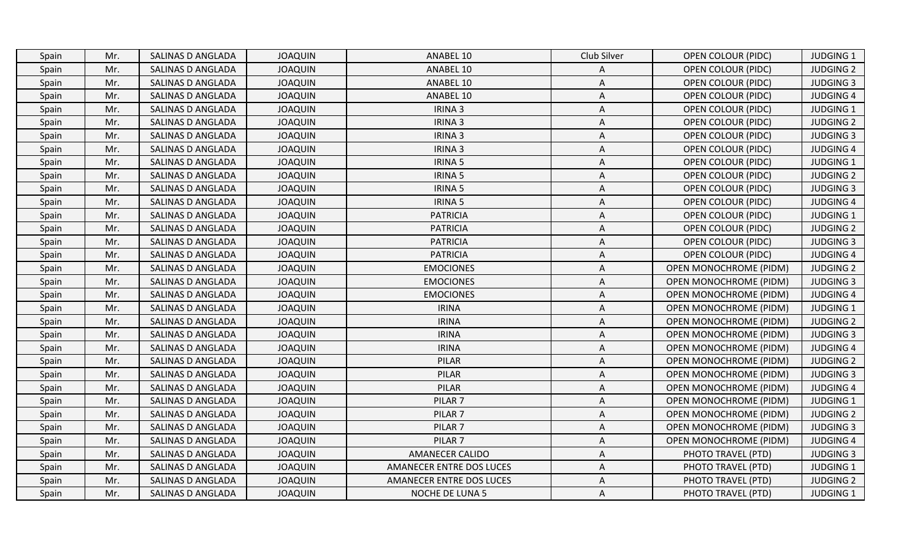| Spain | Mr. | SALINAS D ANGLADA | <b>JOAQUIN</b> | ANABEL 10                | Club Silver | <b>OPEN COLOUR (PIDC)</b>     | <b>JUDGING 1</b> |
|-------|-----|-------------------|----------------|--------------------------|-------------|-------------------------------|------------------|
| Spain | Mr. | SALINAS D ANGLADA | <b>JOAQUIN</b> | ANABEL 10                | Α           | <b>OPEN COLOUR (PIDC)</b>     | <b>JUDGING 2</b> |
| Spain | Mr. | SALINAS D ANGLADA | <b>JOAQUIN</b> | ANABEL 10                | A           | <b>OPEN COLOUR (PIDC)</b>     | <b>JUDGING 3</b> |
| Spain | Mr. | SALINAS D ANGLADA | <b>JOAQUIN</b> | ANABEL 10                | A           | <b>OPEN COLOUR (PIDC)</b>     | <b>JUDGING 4</b> |
| Spain | Mr. | SALINAS D ANGLADA | <b>JOAQUIN</b> | IRINA 3                  | Α           | <b>OPEN COLOUR (PIDC)</b>     | <b>JUDGING 1</b> |
| Spain | Mr. | SALINAS D ANGLADA | <b>JOAQUIN</b> | IRINA 3                  | Α           | <b>OPEN COLOUR (PIDC)</b>     | <b>JUDGING 2</b> |
| Spain | Mr. | SALINAS D ANGLADA | <b>JOAQUIN</b> | IRINA 3                  | Α           | <b>OPEN COLOUR (PIDC)</b>     | <b>JUDGING 3</b> |
| Spain | Mr. | SALINAS D ANGLADA | <b>JOAQUIN</b> | IRINA 3                  | A           | <b>OPEN COLOUR (PIDC)</b>     | <b>JUDGING 4</b> |
| Spain | Mr. | SALINAS D ANGLADA | <b>JOAQUIN</b> | IRINA 5                  | A           | <b>OPEN COLOUR (PIDC)</b>     | <b>JUDGING 1</b> |
| Spain | Mr. | SALINAS D ANGLADA | <b>JOAQUIN</b> | <b>IRINA 5</b>           | Α           | <b>OPEN COLOUR (PIDC)</b>     | <b>JUDGING 2</b> |
| Spain | Mr. | SALINAS D ANGLADA | <b>JOAQUIN</b> | <b>IRINA 5</b>           | A           | <b>OPEN COLOUR (PIDC)</b>     | <b>JUDGING 3</b> |
| Spain | Mr. | SALINAS D ANGLADA | <b>JOAQUIN</b> | <b>IRINA 5</b>           | A           | <b>OPEN COLOUR (PIDC)</b>     | <b>JUDGING 4</b> |
| Spain | Mr. | SALINAS D ANGLADA | <b>JOAQUIN</b> | <b>PATRICIA</b>          | Α           | <b>OPEN COLOUR (PIDC)</b>     | <b>JUDGING 1</b> |
| Spain | Mr. | SALINAS D ANGLADA | <b>JOAQUIN</b> | <b>PATRICIA</b>          | A           | <b>OPEN COLOUR (PIDC)</b>     | <b>JUDGING 2</b> |
| Spain | Mr. | SALINAS D ANGLADA | <b>JOAQUIN</b> | <b>PATRICIA</b>          | Α           | <b>OPEN COLOUR (PIDC)</b>     | <b>JUDGING 3</b> |
| Spain | Mr. | SALINAS D ANGLADA | <b>JOAQUIN</b> | <b>PATRICIA</b>          | A           | <b>OPEN COLOUR (PIDC)</b>     | <b>JUDGING 4</b> |
| Spain | Mr. | SALINAS D ANGLADA | <b>JOAQUIN</b> | <b>EMOCIONES</b>         | Α           | <b>OPEN MONOCHROME (PIDM)</b> | <b>JUDGING 2</b> |
| Spain | Mr. | SALINAS D ANGLADA | <b>JOAQUIN</b> | <b>EMOCIONES</b>         | Α           | OPEN MONOCHROME (PIDM)        | <b>JUDGING 3</b> |
| Spain | Mr. | SALINAS D ANGLADA | <b>JOAQUIN</b> | <b>EMOCIONES</b>         | A           | <b>OPEN MONOCHROME (PIDM)</b> | <b>JUDGING 4</b> |
| Spain | Mr. | SALINAS D ANGLADA | <b>JOAQUIN</b> | <b>IRINA</b>             | Α           | <b>OPEN MONOCHROME (PIDM)</b> | JUDGING 1        |
| Spain | Mr. | SALINAS D ANGLADA | <b>JOAQUIN</b> | <b>IRINA</b>             | Α           | <b>OPEN MONOCHROME (PIDM)</b> | <b>JUDGING 2</b> |
| Spain | Mr. | SALINAS D ANGLADA | <b>JOAQUIN</b> | <b>IRINA</b>             | Α           | <b>OPEN MONOCHROME (PIDM)</b> | <b>JUDGING 3</b> |
| Spain | Mr. | SALINAS D ANGLADA | <b>JOAQUIN</b> | <b>IRINA</b>             | A           | <b>OPEN MONOCHROME (PIDM)</b> | <b>JUDGING 4</b> |
| Spain | Mr. | SALINAS D ANGLADA | <b>JOAQUIN</b> | PILAR                    | A           | <b>OPEN MONOCHROME (PIDM)</b> | <b>JUDGING 2</b> |
| Spain | Mr. | SALINAS D ANGLADA | <b>JOAQUIN</b> | PILAR                    | A           | <b>OPEN MONOCHROME (PIDM)</b> | <b>JUDGING 3</b> |
| Spain | Mr. | SALINAS D ANGLADA | <b>JOAQUIN</b> | <b>PILAR</b>             | Α           | <b>OPEN MONOCHROME (PIDM)</b> | <b>JUDGING 4</b> |
| Spain | Mr. | SALINAS D ANGLADA | <b>JOAQUIN</b> | PILAR <sub>7</sub>       | Α           | <b>OPEN MONOCHROME (PIDM)</b> | <b>JUDGING 1</b> |
| Spain | Mr. | SALINAS D ANGLADA | <b>JOAQUIN</b> | PILAR <sub>7</sub>       | A           | OPEN MONOCHROME (PIDM)        | <b>JUDGING 2</b> |
| Spain | Mr. | SALINAS D ANGLADA | <b>JOAQUIN</b> | PILAR <sub>7</sub>       | A           | OPEN MONOCHROME (PIDM)        | <b>JUDGING 3</b> |
| Spain | Mr. | SALINAS D ANGLADA | <b>JOAQUIN</b> | PILAR <sub>7</sub>       | Α           | <b>OPEN MONOCHROME (PIDM)</b> | <b>JUDGING 4</b> |
| Spain | Mr. | SALINAS D ANGLADA | <b>JOAQUIN</b> | <b>AMANECER CALIDO</b>   | Α           | PHOTO TRAVEL (PTD)            | <b>JUDGING 3</b> |
| Spain | Mr. | SALINAS D ANGLADA | <b>JOAQUIN</b> | AMANECER ENTRE DOS LUCES | Α           | PHOTO TRAVEL (PTD)            | <b>JUDGING 1</b> |
| Spain | Mr. | SALINAS D ANGLADA | <b>JOAQUIN</b> | AMANECER ENTRE DOS LUCES | A           | PHOTO TRAVEL (PTD)            | <b>JUDGING 2</b> |
| Spain | Mr. | SALINAS D ANGLADA | <b>JOAQUIN</b> | <b>NOCHE DE LUNA 5</b>   | A           | PHOTO TRAVEL (PTD)            | <b>JUDGING 1</b> |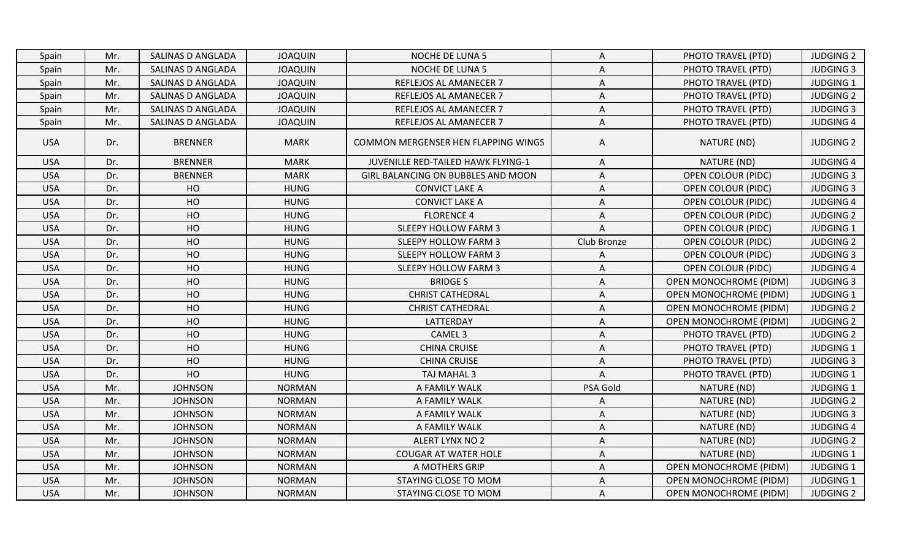| Spain      | Mr. | SALINAS D ANGLADA | <b>JOAQUIN</b> | <b>NOCHE DE LUNA 5</b>              | A           | PHOTO TRAVEL (PTD)            | <b>JUDGING 2</b> |
|------------|-----|-------------------|----------------|-------------------------------------|-------------|-------------------------------|------------------|
| Spain      | Mr. | SALINAS D ANGLADA | <b>JOAQUIN</b> | NOCHE DE LUNA 5                     | Α           | PHOTO TRAVEL (PTD)            | <b>JUDGING 3</b> |
| Spain      | Mr. | SALINAS D ANGLADA | <b>JOAQUIN</b> | REFLEJOS AL AMANECER 7              | Α           | PHOTO TRAVEL (PTD)            | JUDGING 1        |
| Spain      | Mr. | SALINAS D ANGLADA | <b>JOAQUIN</b> | REFLEJOS AL AMANECER 7              | A           | PHOTO TRAVEL (PTD)            | <b>JUDGING 2</b> |
| Spain      | Mr. | SALINAS D ANGLADA | <b>JOAQUIN</b> | REFLEJOS AL AMANECER 7              | A           | PHOTO TRAVEL (PTD)            | <b>JUDGING 3</b> |
| Spain      | Mr. | SALINAS D ANGLADA | <b>JOAQUIN</b> | REFLEJOS AL AMANECER 7              | A           | PHOTO TRAVEL (PTD)            | <b>JUDGING 4</b> |
| <b>USA</b> | Dr. | <b>BRENNER</b>    | <b>MARK</b>    | COMMON MERGENSER HEN FLAPPING WINGS | Α           | NATURE (ND)                   | <b>JUDGING 2</b> |
| <b>USA</b> | Dr. | <b>BRENNER</b>    | <b>MARK</b>    | JUVENILLE RED-TAILED HAWK FLYING-1  | Α           | NATURE (ND)                   | <b>JUDGING 4</b> |
| <b>USA</b> | Dr. | <b>BRENNER</b>    | <b>MARK</b>    | GIRL BALANCING ON BUBBLES AND MOON  | A           | <b>OPEN COLOUR (PIDC)</b>     | <b>JUDGING 3</b> |
| <b>USA</b> | Dr. | HO                | <b>HUNG</b>    | <b>CONVICT LAKE A</b>               | Α           | <b>OPEN COLOUR (PIDC)</b>     | <b>JUDGING 3</b> |
| <b>USA</b> | Dr. | HO                | <b>HUNG</b>    | <b>CONVICT LAKE A</b>               | Α           | <b>OPEN COLOUR (PIDC)</b>     | <b>JUDGING 4</b> |
| <b>USA</b> | Dr. | HO                | <b>HUNG</b>    | <b>FLORENCE 4</b>                   | Α           | <b>OPEN COLOUR (PIDC)</b>     | <b>JUDGING 2</b> |
| <b>USA</b> | Dr. | HO                | <b>HUNG</b>    | <b>SLEEPY HOLLOW FARM 3</b>         | A           | <b>OPEN COLOUR (PIDC)</b>     | <b>JUDGING 1</b> |
| <b>USA</b> | Dr. | HO                | <b>HUNG</b>    | <b>SLEEPY HOLLOW FARM 3</b>         | Club Bronze | <b>OPEN COLOUR (PIDC)</b>     | <b>JUDGING 2</b> |
| <b>USA</b> | Dr. | HO                | <b>HUNG</b>    | <b>SLEEPY HOLLOW FARM 3</b>         | A           | <b>OPEN COLOUR (PIDC)</b>     | <b>JUDGING 3</b> |
| <b>USA</b> | Dr. | HO                | <b>HUNG</b>    | <b>SLEEPY HOLLOW FARM 3</b>         | A           | <b>OPEN COLOUR (PIDC)</b>     | <b>JUDGING 4</b> |
| <b>USA</b> | Dr. | HO                | <b>HUNG</b>    | <b>BRIDGES</b>                      | Α           | <b>OPEN MONOCHROME (PIDM)</b> | <b>JUDGING 3</b> |
| <b>USA</b> | Dr. | HO                | <b>HUNG</b>    | <b>CHRIST CATHEDRAL</b>             | A           | <b>OPEN MONOCHROME (PIDM)</b> | <b>JUDGING 1</b> |
| <b>USA</b> | Dr. | HO                | <b>HUNG</b>    | <b>CHRIST CATHEDRAL</b>             | A           | <b>OPEN MONOCHROME (PIDM)</b> | <b>JUDGING 2</b> |
| <b>USA</b> | Dr. | HO                | <b>HUNG</b>    | LATTERDAY                           | A           | <b>OPEN MONOCHROME (PIDM)</b> | <b>JUDGING 2</b> |
| <b>USA</b> | Dr. | HO                | <b>HUNG</b>    | CAMEL <sub>3</sub>                  | Α           | PHOTO TRAVEL (PTD)            | <b>JUDGING 2</b> |
| <b>USA</b> | Dr. | HO                | <b>HUNG</b>    | <b>CHINA CRUISE</b>                 | A           | PHOTO TRAVEL (PTD)            | <b>JUDGING 1</b> |
| <b>USA</b> | Dr. | HO                | <b>HUNG</b>    | <b>CHINA CRUISE</b>                 | A           | PHOTO TRAVEL (PTD)            | <b>JUDGING 3</b> |
| <b>USA</b> | Dr. | HO                | <b>HUNG</b>    | TAJ MAHAL 3                         | A           | PHOTO TRAVEL (PTD)            | <b>JUDGING 1</b> |
| <b>USA</b> | Mr. | <b>JOHNSON</b>    | <b>NORMAN</b>  | A FAMILY WALK                       | PSA Gold    | NATURE (ND)                   | <b>JUDGING 1</b> |
| <b>USA</b> | Mr. | <b>JOHNSON</b>    | <b>NORMAN</b>  | A FAMILY WALK                       | Α           | NATURE (ND)                   | <b>JUDGING 2</b> |
| <b>USA</b> | Mr. | <b>JOHNSON</b>    | <b>NORMAN</b>  | A FAMILY WALK                       | Α           | NATURE (ND)                   | <b>JUDGING 3</b> |
| <b>USA</b> | Mr. | <b>JOHNSON</b>    | <b>NORMAN</b>  | A FAMILY WALK                       | A           | NATURE (ND)                   | <b>JUDGING 4</b> |
| <b>USA</b> | Mr. | <b>JOHNSON</b>    | <b>NORMAN</b>  | ALERT LYNX NO 2                     | A           | NATURE (ND)                   | <b>JUDGING 2</b> |
| <b>USA</b> | Mr. | <b>JOHNSON</b>    | <b>NORMAN</b>  | <b>COUGAR AT WATER HOLE</b>         | Α           | NATURE (ND)                   | <b>JUDGING 1</b> |
| <b>USA</b> | Mr. | <b>JOHNSON</b>    | <b>NORMAN</b>  | A MOTHERS GRIP                      | Α           | <b>OPEN MONOCHROME (PIDM)</b> | <b>JUDGING 1</b> |
| <b>USA</b> | Mr. | <b>JOHNSON</b>    | <b>NORMAN</b>  | STAYING CLOSE TO MOM                | Α           | <b>OPEN MONOCHROME (PIDM)</b> | <b>JUDGING 1</b> |
| <b>USA</b> | Mr. | <b>JOHNSON</b>    | <b>NORMAN</b>  | STAYING CLOSE TO MOM                | A           | <b>OPEN MONOCHROME (PIDM)</b> | <b>JUDGING 2</b> |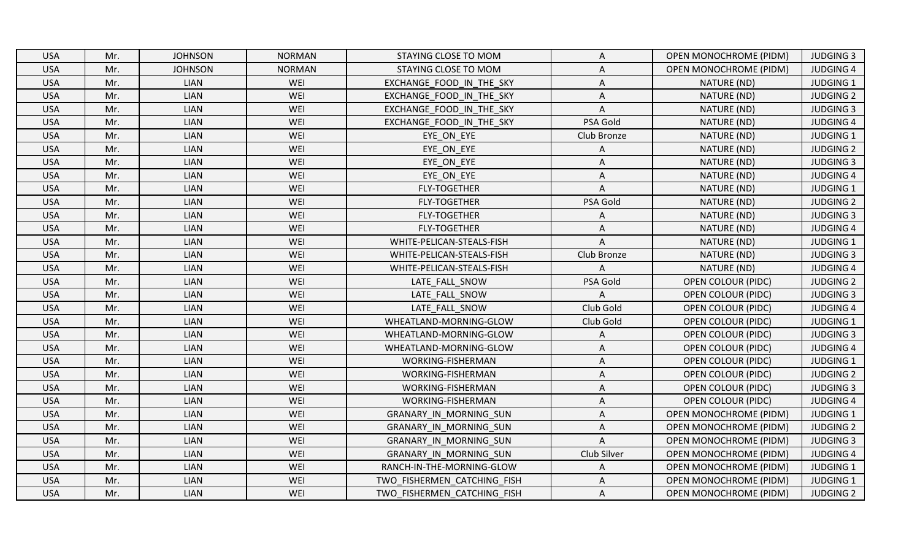| <b>USA</b> | Mr. | <b>JOHNSON</b> | <b>NORMAN</b> | STAYING CLOSE TO MOM        | Α              | <b>OPEN MONOCHROME (PIDM)</b> | <b>JUDGING 3</b> |
|------------|-----|----------------|---------------|-----------------------------|----------------|-------------------------------|------------------|
| <b>USA</b> | Mr. | <b>JOHNSON</b> | <b>NORMAN</b> | STAYING CLOSE TO MOM        | A              | <b>OPEN MONOCHROME (PIDM)</b> | <b>JUDGING 4</b> |
| <b>USA</b> | Mr. | <b>LIAN</b>    | WEI           | EXCHANGE FOOD IN THE SKY    | Α              | NATURE (ND)                   | JUDGING 1        |
| <b>USA</b> | Mr. | LIAN           | WEI           | EXCHANGE FOOD IN THE SKY    | A              | NATURE (ND)                   | <b>JUDGING 2</b> |
| <b>USA</b> | Mr. | LIAN           | WEI           | EXCHANGE_FOOD_IN_THE_SKY    | $\overline{A}$ | NATURE (ND)                   | <b>JUDGING 3</b> |
| <b>USA</b> | Mr. | LIAN           | WEI           | EXCHANGE FOOD IN THE SKY    | PSA Gold       | NATURE (ND)                   | <b>JUDGING 4</b> |
| <b>USA</b> | Mr. | LIAN           | WEI           | EYE ON EYE                  | Club Bronze    | NATURE (ND)                   | <b>JUDGING 1</b> |
| <b>USA</b> | Mr. | <b>LIAN</b>    | WEI           | EYE ON EYE                  |                | NATURE (ND)                   | <b>JUDGING 2</b> |
| <b>USA</b> | Mr. | LIAN           | WEI           | EYE ON EYE                  | A              | NATURE (ND)                   | <b>JUDGING 3</b> |
| <b>USA</b> | Mr. | <b>LIAN</b>    | WEI           | EYE ON EYE                  | Α              | NATURE (ND)                   | <b>JUDGING 4</b> |
| <b>USA</b> | Mr. | <b>LIAN</b>    | WEI           | <b>FLY-TOGETHER</b>         | A              | NATURE (ND)                   | <b>JUDGING 1</b> |
| <b>USA</b> | Mr. | <b>LIAN</b>    | WEI           | <b>FLY-TOGETHER</b>         | PSA Gold       | NATURE (ND)                   | <b>JUDGING 2</b> |
| <b>USA</b> | Mr. | LIAN           | WEI           | <b>FLY-TOGETHER</b>         | Α              | NATURE (ND)                   | <b>JUDGING 3</b> |
| <b>USA</b> | Mr. | <b>LIAN</b>    | WEI           | <b>FLY-TOGETHER</b>         | A              | NATURE (ND)                   | <b>JUDGING 4</b> |
| <b>USA</b> | Mr. | <b>LIAN</b>    | WEI           | WHITE-PELICAN-STEALS-FISH   | $\overline{A}$ | NATURE (ND)                   | <b>JUDGING 1</b> |
| <b>USA</b> | Mr. | <b>LIAN</b>    | WEI           | WHITE-PELICAN-STEALS-FISH   | Club Bronze    | NATURE (ND)                   | <b>JUDGING 3</b> |
| <b>USA</b> | Mr. | LIAN           | WEI           | WHITE-PELICAN-STEALS-FISH   | A              | NATURE (ND)                   | <b>JUDGING 4</b> |
| <b>USA</b> | Mr. | <b>LIAN</b>    | WEI           | LATE FALL SNOW              | PSA Gold       | <b>OPEN COLOUR (PIDC)</b>     | <b>JUDGING 2</b> |
| <b>USA</b> | Mr. | LIAN           | WEI           | LATE FALL SNOW              | A              | <b>OPEN COLOUR (PIDC)</b>     | <b>JUDGING 3</b> |
| <b>USA</b> | Mr. | <b>LIAN</b>    | WEI           | LATE FALL SNOW              | Club Gold      | <b>OPEN COLOUR (PIDC)</b>     | <b>JUDGING 4</b> |
| <b>USA</b> | Mr. | <b>LIAN</b>    | WEI           | WHEATLAND-MORNING-GLOW      | Club Gold      | <b>OPEN COLOUR (PIDC)</b>     | <b>JUDGING 1</b> |
| <b>USA</b> | Mr. | <b>LIAN</b>    | WEI           | WHEATLAND-MORNING-GLOW      | Α              | <b>OPEN COLOUR (PIDC)</b>     | <b>JUDGING 3</b> |
| <b>USA</b> | Mr. | <b>LIAN</b>    | WEI           | WHEATLAND-MORNING-GLOW      | Α              | <b>OPEN COLOUR (PIDC)</b>     | <b>JUDGING 4</b> |
| <b>USA</b> | Mr. | <b>LIAN</b>    | WEI           | WORKING-FISHERMAN           | Α              | <b>OPEN COLOUR (PIDC)</b>     | <b>JUDGING 1</b> |
| <b>USA</b> | Mr. | <b>LIAN</b>    | WEI           | WORKING-FISHERMAN           | Α              | <b>OPEN COLOUR (PIDC)</b>     | <b>JUDGING 2</b> |
| <b>USA</b> | Mr. | LIAN           | WEI           | WORKING-FISHERMAN           | Α              | <b>OPEN COLOUR (PIDC)</b>     | <b>JUDGING 3</b> |
| <b>USA</b> | Mr. | <b>LIAN</b>    | WEI           | WORKING-FISHERMAN           | A              | <b>OPEN COLOUR (PIDC)</b>     | <b>JUDGING 4</b> |
| <b>USA</b> | Mr. | LIAN           | WEI           | GRANARY IN MORNING SUN      | Α              | <b>OPEN MONOCHROME (PIDM)</b> | <b>JUDGING 1</b> |
| <b>USA</b> | Mr. | LIAN           | WEI           | GRANARY IN MORNING SUN      | A              | <b>OPEN MONOCHROME (PIDM)</b> | <b>JUDGING 2</b> |
| <b>USA</b> | Mr. | LIAN           | WEI           | GRANARY IN MORNING SUN      | $\mathsf{A}$   | <b>OPEN MONOCHROME (PIDM)</b> | <b>JUDGING 3</b> |
| <b>USA</b> | Mr. | <b>LIAN</b>    | WEI           | GRANARY IN MORNING SUN      | Club Silver    | <b>OPEN MONOCHROME (PIDM)</b> | <b>JUDGING 4</b> |
| <b>USA</b> | Mr. | <b>LIAN</b>    | WEI           | RANCH-IN-THE-MORNING-GLOW   | A              | <b>OPEN MONOCHROME (PIDM)</b> | <b>JUDGING 1</b> |
| <b>USA</b> | Mr. | <b>LIAN</b>    | WEI           | TWO FISHERMEN CATCHING FISH | A              | OPEN MONOCHROME (PIDM)        | <b>JUDGING 1</b> |
| <b>USA</b> | Mr. | <b>LIAN</b>    | WEI           | TWO FISHERMEN CATCHING FISH | Α              | <b>OPEN MONOCHROME (PIDM)</b> | <b>JUDGING 2</b> |